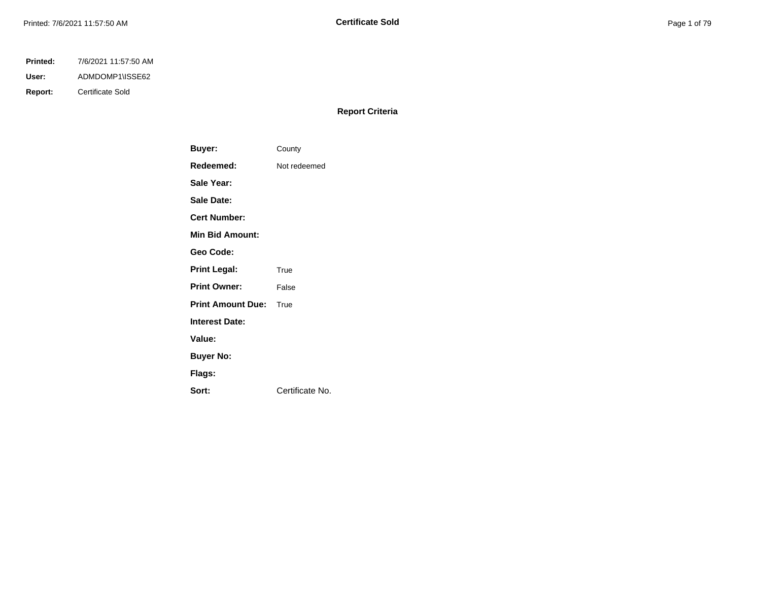## **Printed:** 7/6/2021 11:57:50 AM

**User:** ADMDOMP1\ISSE62

**Report:** Certificate Sold

## **Report Criteria**

| Buyer:                   | County          |
|--------------------------|-----------------|
| Redeemed:                | Not redeemed    |
| Sale Year:               |                 |
| <b>Sale Date:</b>        |                 |
| Cert Number:             |                 |
| <b>Min Bid Amount:</b>   |                 |
| Geo Code:                |                 |
| <b>Print Legal:</b>      | True            |
| <b>Print Owner:</b>      | False           |
| <b>Print Amount Due:</b> | True            |
| <b>Interest Date:</b>    |                 |
| Value:                   |                 |
| <b>Buyer No:</b>         |                 |
| Flags:                   |                 |
| Sort:                    | Certificate No. |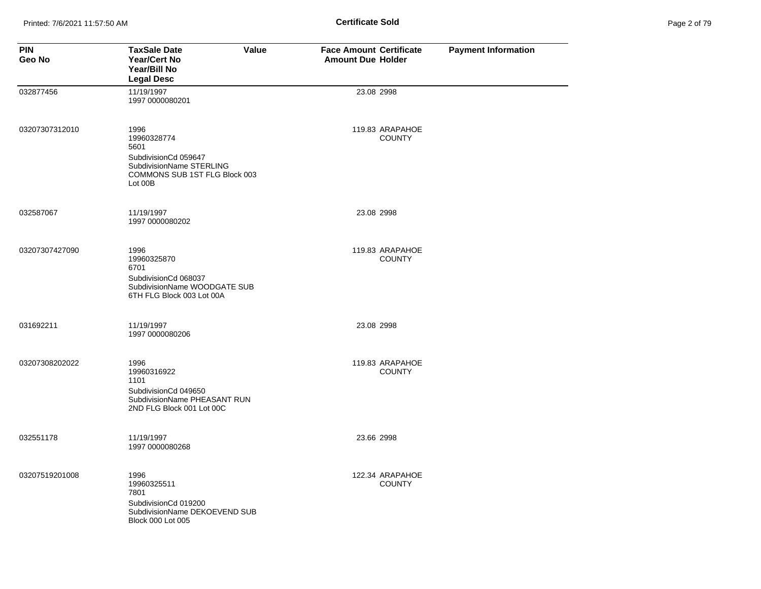| Page 2 of 79 |  |  |
|--------------|--|--|
|              |  |  |

| <b>PIN</b><br>Geo No | <b>TaxSale Date</b><br>Value<br>Year/Cert No<br>Year/Bill No<br><b>Legal Desc</b>                                           | <b>Face Amount Certificate</b><br><b>Amount Due Holder</b> | <b>Payment Information</b> |
|----------------------|-----------------------------------------------------------------------------------------------------------------------------|------------------------------------------------------------|----------------------------|
| 032877456            | 11/19/1997<br>1997 0000080201                                                                                               | 23.08 2998                                                 |                            |
| 03207307312010       | 1996<br>19960328774<br>5601<br>SubdivisionCd 059647<br>SubdivisionName STERLING<br>COMMONS SUB 1ST FLG Block 003<br>Lot 00B | 119.83 ARAPAHOE<br><b>COUNTY</b>                           |                            |
| 032587067            | 11/19/1997<br>1997 0000080202                                                                                               | 23.08 2998                                                 |                            |
| 03207307427090       | 1996<br>19960325870<br>6701<br>SubdivisionCd 068037<br>SubdivisionName WOODGATE SUB<br>6TH FLG Block 003 Lot 00A            | 119.83 ARAPAHOE<br><b>COUNTY</b>                           |                            |
| 031692211            | 11/19/1997<br>1997 0000080206                                                                                               | 23.08 2998                                                 |                            |
| 03207308202022       | 1996<br>19960316922<br>1101<br>SubdivisionCd 049650<br>SubdivisionName PHEASANT RUN<br>2ND FLG Block 001 Lot 00C            | 119.83 ARAPAHOE<br><b>COUNTY</b>                           |                            |
| 032551178            | 11/19/1997<br>1997 0000080268                                                                                               | 23.66 2998                                                 |                            |
| 03207519201008       | 1996<br>19960325511<br>7801<br>SubdivisionCd 019200<br>SubdivisionName DEKOEVEND SUB<br><b>Block 000 Lot 005</b>            | 122.34 ARAPAHOE<br><b>COUNTY</b>                           |                            |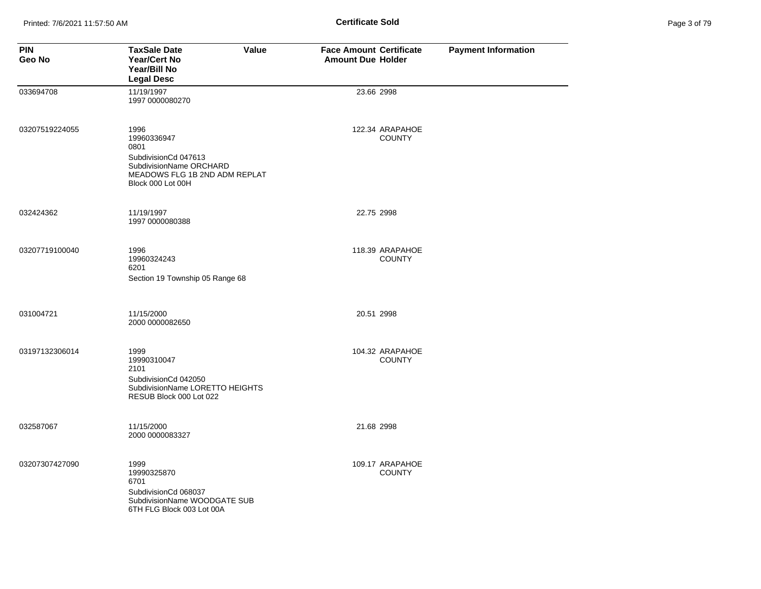| Page 3 of 79 |  |  |
|--------------|--|--|
|              |  |  |

| <b>PIN</b><br>Geo No | <b>TaxSale Date</b><br>Value<br><b>Year/Cert No</b><br>Year/Bill No<br><b>Legal Desc</b>                                             | <b>Face Amount Certificate</b><br><b>Amount Due Holder</b> | <b>Payment Information</b> |
|----------------------|--------------------------------------------------------------------------------------------------------------------------------------|------------------------------------------------------------|----------------------------|
| 033694708            | 11/19/1997<br>1997 0000080270                                                                                                        | 23.66 2998                                                 |                            |
| 03207519224055       | 1996<br>19960336947<br>0801<br>SubdivisionCd 047613<br>SubdivisionName ORCHARD<br>MEADOWS FLG 1B 2ND ADM REPLAT<br>Block 000 Lot 00H | 122.34 ARAPAHOE<br><b>COUNTY</b>                           |                            |
| 032424362            | 11/19/1997<br>1997 0000080388                                                                                                        | 22.75 2998                                                 |                            |
| 03207719100040       | 1996<br>19960324243<br>6201<br>Section 19 Township 05 Range 68                                                                       | 118.39 ARAPAHOE<br><b>COUNTY</b>                           |                            |
| 031004721            | 11/15/2000<br>2000 0000082650                                                                                                        | 20.51 2998                                                 |                            |
| 03197132306014       | 1999<br>19990310047<br>2101<br>SubdivisionCd 042050<br>SubdivisionName LORETTO HEIGHTS<br>RESUB Block 000 Lot 022                    | 104.32 ARAPAHOE<br><b>COUNTY</b>                           |                            |
| 032587067            | 11/15/2000<br>2000 0000083327                                                                                                        | 21.68 2998                                                 |                            |
| 03207307427090       | 1999<br>19990325870<br>6701<br>SubdivisionCd 068037<br>SubdivisionName WOODGATE SUB<br>6TH FLG Block 003 Lot 00A                     | 109.17 ARAPAHOE<br><b>COUNTY</b>                           |                            |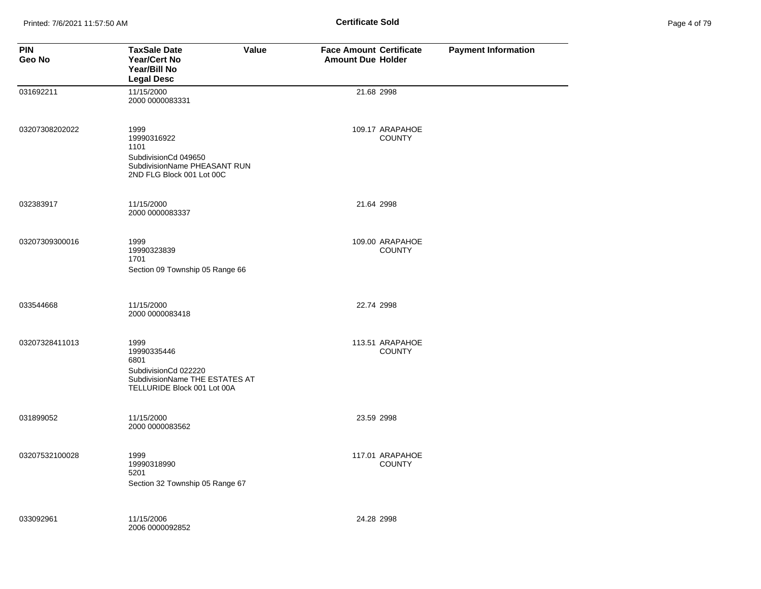Printed: 7/6/2021 11:57:50 AM **Page 4 of 71 of 71 of 71 of 71 of 71 of 71 of 71 of 71 of 79 of 79 of 79 of 79 of 79 of 79 of 79 of 79 of 79 of 79 of 79 of 79 of 79 of 79 of 79 of 79 of 79 of 79 of 79 of 79 of 79 of 79 of 7** 

| Page 4 of 79 |  |
|--------------|--|
|--------------|--|

| <b>PIN</b><br>Geo No | <b>TaxSale Date</b><br><b>Value</b><br>Year/Cert No<br>Year/Bill No<br><b>Legal Desc</b>                             | <b>Face Amount Certificate</b><br><b>Amount Due Holder</b> | <b>Payment Information</b> |
|----------------------|----------------------------------------------------------------------------------------------------------------------|------------------------------------------------------------|----------------------------|
| 031692211            | 11/15/2000<br>2000 0000083331                                                                                        | 21.68 2998                                                 |                            |
| 03207308202022       | 1999<br>19990316922<br>1101<br>SubdivisionCd 049650<br>SubdivisionName PHEASANT RUN<br>2ND FLG Block 001 Lot 00C     | 109.17 ARAPAHOE<br><b>COUNTY</b>                           |                            |
| 032383917            | 11/15/2000<br>2000 0000083337                                                                                        | 21.64 2998                                                 |                            |
| 03207309300016       | 1999<br>19990323839<br>1701<br>Section 09 Township 05 Range 66                                                       | 109.00 ARAPAHOE<br><b>COUNTY</b>                           |                            |
| 033544668            | 11/15/2000<br>2000 0000083418                                                                                        | 22.74 2998                                                 |                            |
| 03207328411013       | 1999<br>19990335446<br>6801<br>SubdivisionCd 022220<br>SubdivisionName THE ESTATES AT<br>TELLURIDE Block 001 Lot 00A | 113.51 ARAPAHOE<br><b>COUNTY</b>                           |                            |
| 031899052            | 11/15/2000<br>2000 0000083562                                                                                        | 23.59 2998                                                 |                            |
| 03207532100028       | 1999<br>19990318990<br>5201<br>Section 32 Township 05 Range 67                                                       | 117.01 ARAPAHOE<br><b>COUNTY</b>                           |                            |
| 033092961            | 11/15/2006<br>2006 0000092852                                                                                        | 24.28 2998                                                 |                            |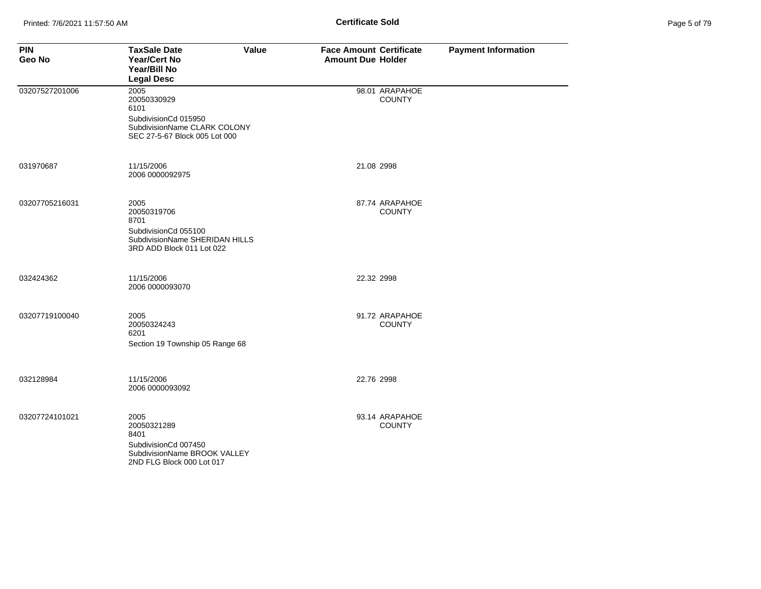|  | Page 5 of 79 |  |  |  |
|--|--------------|--|--|--|
|--|--------------|--|--|--|

| <b>PIN</b><br>Geo No | <b>TaxSale Date</b><br><b>Year/Cert No</b><br>Year/Bill No<br><b>Legal Desc</b>                                      | Value | <b>Face Amount Certificate</b><br><b>Amount Due Holder</b> |                                 | <b>Payment Information</b> |
|----------------------|----------------------------------------------------------------------------------------------------------------------|-------|------------------------------------------------------------|---------------------------------|----------------------------|
| 03207527201006       | 2005<br>20050330929<br>6101<br>SubdivisionCd 015950<br>SubdivisionName CLARK COLONY<br>SEC 27-5-67 Block 005 Lot 000 |       |                                                            | 98.01 ARAPAHOE<br><b>COUNTY</b> |                            |
| 031970687            | 11/15/2006<br>2006 0000092975                                                                                        |       | 21.08 2998                                                 |                                 |                            |
| 03207705216031       | 2005<br>20050319706<br>8701<br>SubdivisionCd 055100<br>SubdivisionName SHERIDAN HILLS<br>3RD ADD Block 011 Lot 022   |       |                                                            | 87.74 ARAPAHOE<br><b>COUNTY</b> |                            |
| 032424362            | 11/15/2006<br>2006 0000093070                                                                                        |       | 22.32 2998                                                 |                                 |                            |
| 03207719100040       | 2005<br>20050324243<br>6201<br>Section 19 Township 05 Range 68                                                       |       |                                                            | 91.72 ARAPAHOE<br><b>COUNTY</b> |                            |
| 032128984            | 11/15/2006<br>2006 0000093092                                                                                        |       | 22.76 2998                                                 |                                 |                            |
| 03207724101021       | 2005<br>20050321289<br>8401<br>SubdivisionCd 007450<br>SubdivisionName BROOK VALLEY<br>2ND FLG Block 000 Lot 017     |       |                                                            | 93.14 ARAPAHOE<br><b>COUNTY</b> |                            |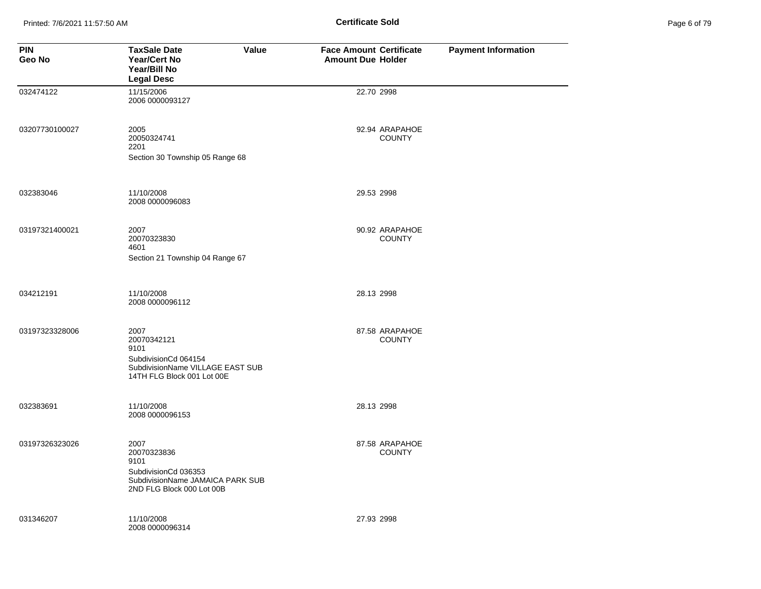Printed: 7/6/2021 11:57:50 AM **Page 11:57:50 AM** Page 6 **Certificate Sold** 

|  | Page 6 of 79 |
|--|--------------|
|  |              |

| <b>PIN</b><br>Geo No | <b>TaxSale Date</b><br>Value<br><b>Year/Cert No</b><br>Year/Bill No<br><b>Legal Desc</b>                              | <b>Face Amount Certificate</b><br><b>Amount Due Holder</b> | <b>Payment Information</b> |
|----------------------|-----------------------------------------------------------------------------------------------------------------------|------------------------------------------------------------|----------------------------|
| 032474122            | 11/15/2006<br>2006 0000093127                                                                                         | 22.70 2998                                                 |                            |
| 03207730100027       | 2005<br>20050324741<br>2201<br>Section 30 Township 05 Range 68                                                        | 92.94 ARAPAHOE<br><b>COUNTY</b>                            |                            |
| 032383046            | 11/10/2008<br>2008 0000096083                                                                                         | 29.53 2998                                                 |                            |
| 03197321400021       | 2007<br>20070323830<br>4601<br>Section 21 Township 04 Range 67                                                        | 90.92 ARAPAHOE<br><b>COUNTY</b>                            |                            |
| 034212191            | 11/10/2008<br>2008 0000096112                                                                                         | 28.13 2998                                                 |                            |
| 03197323328006       | 2007<br>20070342121<br>9101<br>SubdivisionCd 064154<br>SubdivisionName VILLAGE EAST SUB<br>14TH FLG Block 001 Lot 00E | 87.58 ARAPAHOE<br><b>COUNTY</b>                            |                            |
| 032383691            | 11/10/2008<br>2008 0000096153                                                                                         | 28.13 2998                                                 |                            |
| 03197326323026       | 2007<br>20070323836<br>9101<br>SubdivisionCd 036353<br>SubdivisionName JAMAICA PARK SUB<br>2ND FLG Block 000 Lot 00B  | 87.58 ARAPAHOE<br><b>COUNTY</b>                            |                            |
| 031346207            | 11/10/2008<br>2008 0000096314                                                                                         | 27.93 2998                                                 |                            |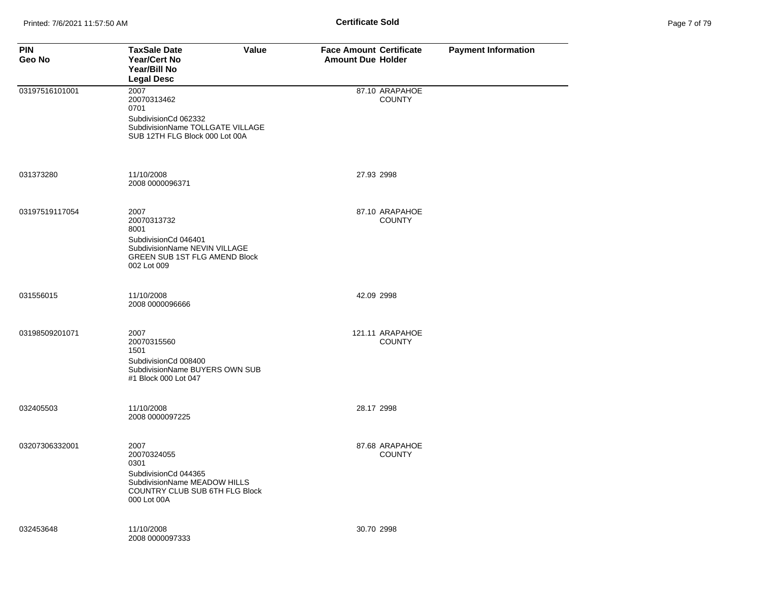| <b>PIN</b><br>Geo No | <b>TaxSale Date</b><br>Value<br><b>Year/Cert No</b><br>Year/Bill No<br><b>Legal Desc</b>                                             | <b>Face Amount Certificate</b><br><b>Amount Due Holder</b> | <b>Payment Information</b> |
|----------------------|--------------------------------------------------------------------------------------------------------------------------------------|------------------------------------------------------------|----------------------------|
| 03197516101001       | 2007<br>20070313462<br>0701<br>SubdivisionCd 062332<br>SubdivisionName TOLLGATE VILLAGE<br>SUB 12TH FLG Block 000 Lot 00A            | 87.10 ARAPAHOE<br><b>COUNTY</b>                            |                            |
| 031373280            | 11/10/2008<br>2008 0000096371                                                                                                        | 27.93 2998                                                 |                            |
| 03197519117054       | 2007<br>20070313732<br>8001<br>SubdivisionCd 046401<br>SubdivisionName NEVIN VILLAGE<br>GREEN SUB 1ST FLG AMEND Block<br>002 Lot 009 | 87.10 ARAPAHOE<br><b>COUNTY</b>                            |                            |
| 031556015            | 11/10/2008<br>2008 0000096666                                                                                                        | 42.09 2998                                                 |                            |
| 03198509201071       | 2007<br>20070315560<br>1501<br>SubdivisionCd 008400<br>SubdivisionName BUYERS OWN SUB<br>#1 Block 000 Lot 047                        | 121.11 ARAPAHOE<br><b>COUNTY</b>                           |                            |
| 032405503            | 11/10/2008<br>2008 0000097225                                                                                                        | 28.17 2998                                                 |                            |
| 03207306332001       | 2007<br>20070324055<br>0301<br>SubdivisionCd 044365<br>SubdivisionName MEADOW HILLS<br>COUNTRY CLUB SUB 6TH FLG Block<br>000 Lot 00A | 87.68 ARAPAHOE<br><b>COUNTY</b>                            |                            |
| 032453648            | 11/10/2008<br>2008 0000097333                                                                                                        | 30.70 2998                                                 |                            |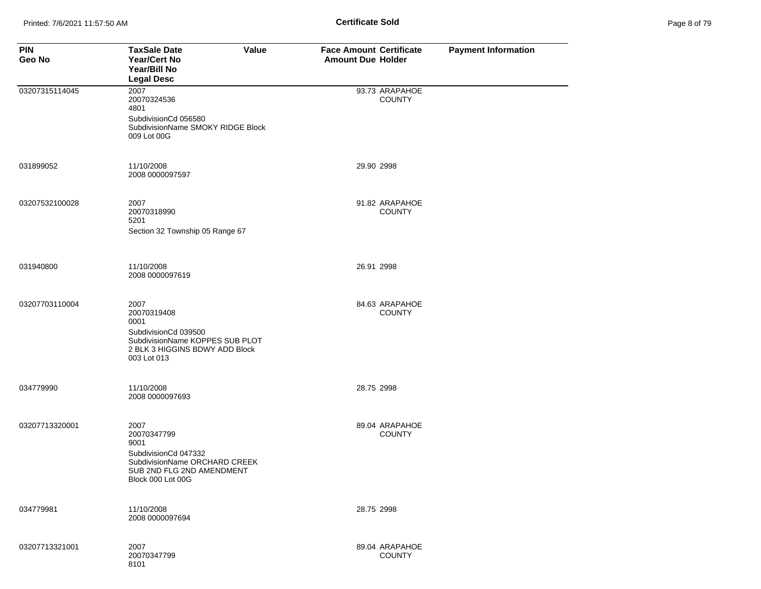| Page 8 of 79 |  |  |
|--------------|--|--|
|              |  |  |

| <b>PIN</b><br>Geo No | <b>TaxSale Date</b><br>Value<br>Year/Cert No<br>Year/Bill No<br><b>Legal Desc</b>                                                       | <b>Face Amount Certificate</b><br><b>Amount Due Holder</b> | <b>Payment Information</b> |
|----------------------|-----------------------------------------------------------------------------------------------------------------------------------------|------------------------------------------------------------|----------------------------|
| 03207315114045       | 2007<br>20070324536<br>4801<br>SubdivisionCd 056580<br>SubdivisionName SMOKY RIDGE Block<br>009 Lot 00G                                 | 93.73 ARAPAHOE<br><b>COUNTY</b>                            |                            |
| 031899052            | 11/10/2008<br>2008 0000097597                                                                                                           | 29.90 2998                                                 |                            |
| 03207532100028       | 2007<br>20070318990<br>5201<br>Section 32 Township 05 Range 67                                                                          | 91.82 ARAPAHOE<br><b>COUNTY</b>                            |                            |
| 031940800            | 11/10/2008<br>2008 0000097619                                                                                                           | 26.91 2998                                                 |                            |
| 03207703110004       | 2007<br>20070319408<br>0001<br>SubdivisionCd 039500<br>SubdivisionName KOPPES SUB PLOT<br>2 BLK 3 HIGGINS BDWY ADD Block<br>003 Lot 013 | 84.63 ARAPAHOE<br><b>COUNTY</b>                            |                            |
| 034779990            | 11/10/2008<br>2008 0000097693                                                                                                           | 28.75 2998                                                 |                            |
| 03207713320001       | 2007<br>20070347799<br>9001<br>SubdivisionCd 047332<br>SubdivisionName ORCHARD CREEK<br>SUB 2ND FLG 2ND AMENDMENT<br>Block 000 Lot 00G  | 89.04 ARAPAHOE<br><b>COUNTY</b>                            |                            |
| 034779981            | 11/10/2008<br>2008 0000097694                                                                                                           | 28.75 2998                                                 |                            |
| 03207713321001       | 2007<br>20070347799<br>8101                                                                                                             | 89.04 ARAPAHOE<br><b>COUNTY</b>                            |                            |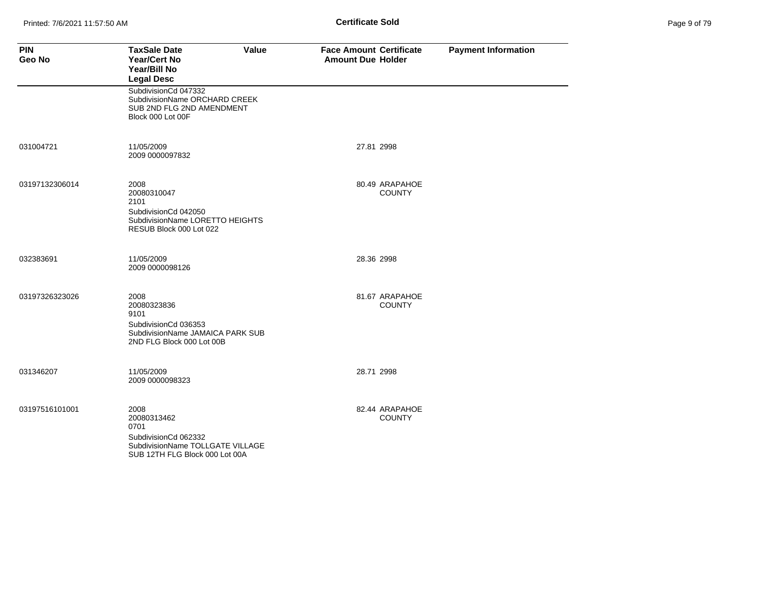| Page 9 of 79 |  |  |
|--------------|--|--|
|              |  |  |

| <b>PIN</b><br>Geo No | <b>TaxSale Date</b><br>Value<br><b>Year/Cert No</b><br>Year/Bill No<br><b>Legal Desc</b>                                  | <b>Face Amount Certificate</b><br><b>Amount Due Holder</b> | <b>Payment Information</b> |
|----------------------|---------------------------------------------------------------------------------------------------------------------------|------------------------------------------------------------|----------------------------|
|                      | SubdivisionCd 047332<br>SubdivisionName ORCHARD CREEK<br>SUB 2ND FLG 2ND AMENDMENT<br>Block 000 Lot 00F                   |                                                            |                            |
| 031004721            | 11/05/2009<br>2009 0000097832                                                                                             | 27.81 2998                                                 |                            |
| 03197132306014       | 2008<br>20080310047<br>2101<br>SubdivisionCd 042050<br>SubdivisionName LORETTO HEIGHTS<br>RESUB Block 000 Lot 022         | 80.49 ARAPAHOE<br><b>COUNTY</b>                            |                            |
| 032383691            | 11/05/2009<br>2009 0000098126                                                                                             | 28.36 2998                                                 |                            |
| 03197326323026       | 2008<br>20080323836<br>9101<br>SubdivisionCd 036353<br>SubdivisionName JAMAICA PARK SUB<br>2ND FLG Block 000 Lot 00B      | 81.67 ARAPAHOE<br><b>COUNTY</b>                            |                            |
| 031346207            | 11/05/2009<br>2009 0000098323                                                                                             | 28.71 2998                                                 |                            |
| 03197516101001       | 2008<br>20080313462<br>0701<br>SubdivisionCd 062332<br>SubdivisionName TOLLGATE VILLAGE<br>SUB 12TH FLG Block 000 Lot 00A | 82.44 ARAPAHOE<br><b>COUNTY</b>                            |                            |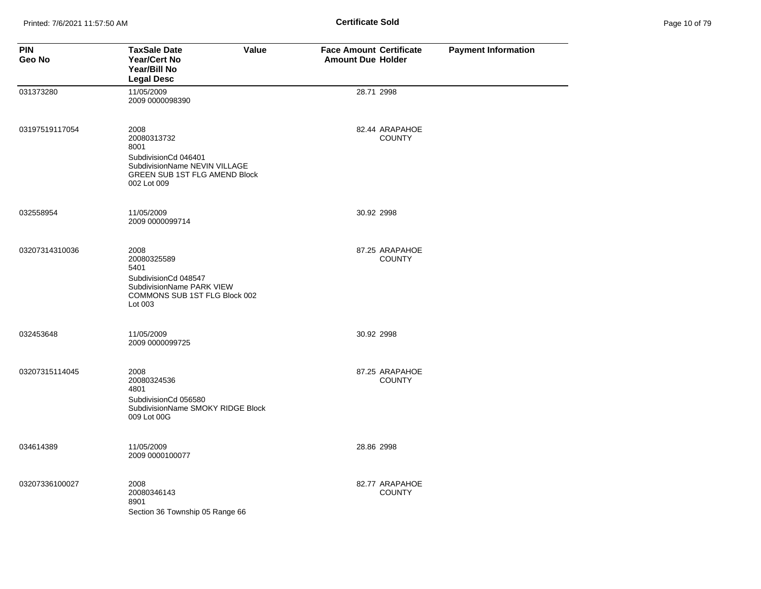| Page 10 of 79 |  |  |  |
|---------------|--|--|--|
|---------------|--|--|--|

| <b>PIN</b><br>Geo No | <b>TaxSale Date</b><br><b>Value</b><br><b>Year/Cert No</b><br>Year/Bill No<br><b>Legal Desc</b>                                      | <b>Face Amount Certificate</b><br><b>Amount Due Holder</b> | <b>Payment Information</b> |
|----------------------|--------------------------------------------------------------------------------------------------------------------------------------|------------------------------------------------------------|----------------------------|
| 031373280            | 11/05/2009<br>2009 0000098390                                                                                                        | 28.71 2998                                                 |                            |
| 03197519117054       | 2008<br>20080313732<br>8001<br>SubdivisionCd 046401<br>SubdivisionName NEVIN VILLAGE<br>GREEN SUB 1ST FLG AMEND Block<br>002 Lot 009 | 82.44 ARAPAHOE<br><b>COUNTY</b>                            |                            |
| 032558954            | 11/05/2009<br>2009 0000099714                                                                                                        | 30.92 2998                                                 |                            |
| 03207314310036       | 2008<br>20080325589<br>5401<br>SubdivisionCd 048547<br>SubdivisionName PARK VIEW<br>COMMONS SUB 1ST FLG Block 002<br>Lot 003         | 87.25 ARAPAHOE<br><b>COUNTY</b>                            |                            |
| 032453648            | 11/05/2009<br>2009 0000099725                                                                                                        | 30.92 2998                                                 |                            |
| 03207315114045       | 2008<br>20080324536<br>4801<br>SubdivisionCd 056580<br>SubdivisionName SMOKY RIDGE Block<br>009 Lot 00G                              | 87.25 ARAPAHOE<br><b>COUNTY</b>                            |                            |
| 034614389            | 11/05/2009<br>2009 0000100077                                                                                                        | 28.86 2998                                                 |                            |
| 03207336100027       | 2008<br>20080346143<br>8901<br>Section 36 Township 05 Range 66                                                                       | 82.77 ARAPAHOE<br><b>COUNTY</b>                            |                            |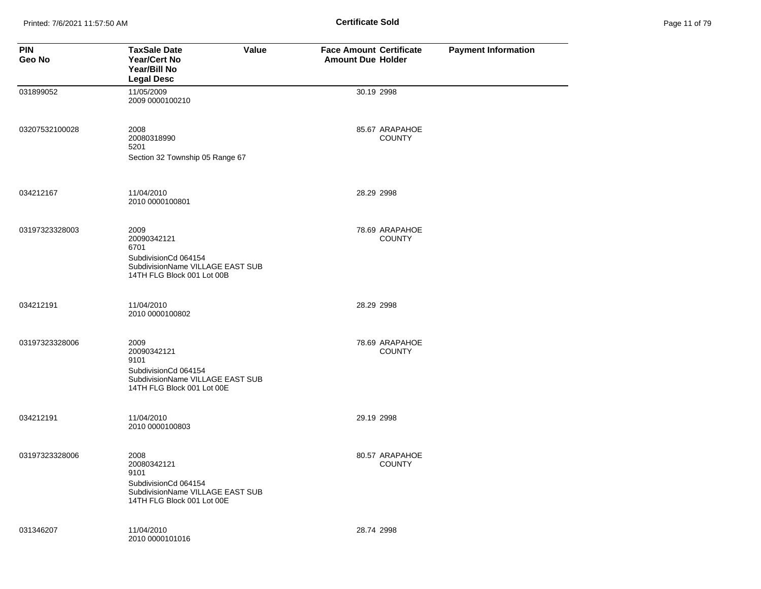Printed: 7/6/2021 11:57:50 AM **Page 11:57:50 AM** Page 11:57:50 AM

| Page 11 of 79 |  |  |  |
|---------------|--|--|--|
|---------------|--|--|--|

| <b>PIN</b><br>Geo No | <b>TaxSale Date</b><br><b>Value</b><br><b>Year/Cert No</b><br>Year/Bill No<br><b>Legal Desc</b>                       | <b>Face Amount Certificate</b><br><b>Amount Due Holder</b> | <b>Payment Information</b> |
|----------------------|-----------------------------------------------------------------------------------------------------------------------|------------------------------------------------------------|----------------------------|
| 031899052            | 11/05/2009<br>2009 0000100210                                                                                         | 30.19 2998                                                 |                            |
| 03207532100028       | 2008<br>20080318990<br>5201<br>Section 32 Township 05 Range 67                                                        | 85.67 ARAPAHOE<br><b>COUNTY</b>                            |                            |
| 034212167            | 11/04/2010<br>2010 0000100801                                                                                         | 28.29 2998                                                 |                            |
| 03197323328003       | 2009<br>20090342121<br>6701<br>SubdivisionCd 064154<br>SubdivisionName VILLAGE EAST SUB<br>14TH FLG Block 001 Lot 00B | 78.69 ARAPAHOE<br><b>COUNTY</b>                            |                            |
| 034212191            | 11/04/2010<br>2010 0000100802                                                                                         | 28.29 2998                                                 |                            |
| 03197323328006       | 2009<br>20090342121<br>9101<br>SubdivisionCd 064154<br>SubdivisionName VILLAGE EAST SUB<br>14TH FLG Block 001 Lot 00E | 78.69 ARAPAHOE<br><b>COUNTY</b>                            |                            |
| 034212191            | 11/04/2010<br>2010 0000100803                                                                                         | 29.19 2998                                                 |                            |
| 03197323328006       | 2008<br>20080342121<br>9101<br>SubdivisionCd 064154<br>SubdivisionName VILLAGE EAST SUB<br>14TH FLG Block 001 Lot 00E | 80.57 ARAPAHOE<br><b>COUNTY</b>                            |                            |
| 031346207            | 11/04/2010<br>2010 0000101016                                                                                         | 28.74 2998                                                 |                            |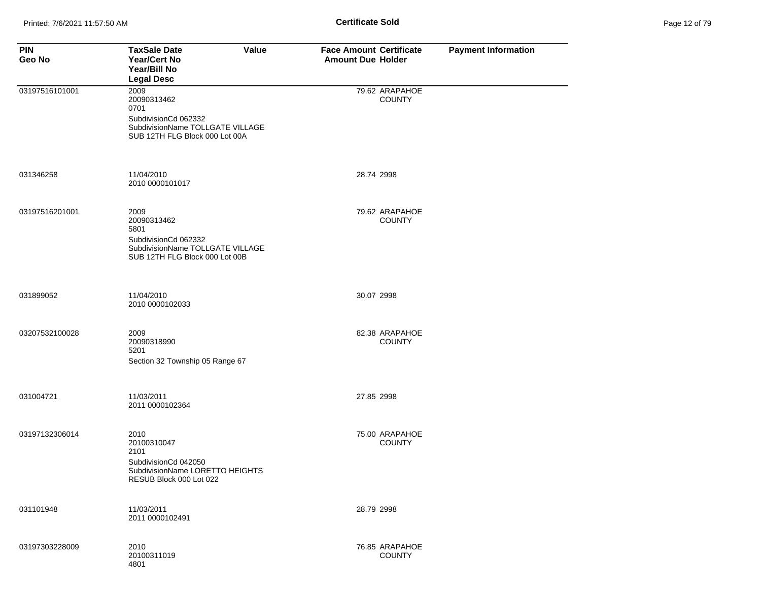| <b>PIN</b><br>Geo No | <b>TaxSale Date</b><br>Value<br>Year/Cert No<br>Year/Bill No<br><b>Legal Desc</b>                                         | <b>Face Amount Certificate</b><br><b>Amount Due Holder</b> | <b>Payment Information</b> |
|----------------------|---------------------------------------------------------------------------------------------------------------------------|------------------------------------------------------------|----------------------------|
| 03197516101001       | 2009<br>20090313462<br>0701<br>SubdivisionCd 062332<br>SubdivisionName TOLLGATE VILLAGE<br>SUB 12TH FLG Block 000 Lot 00A | 79.62 ARAPAHOE<br><b>COUNTY</b>                            |                            |
| 031346258            | 11/04/2010<br>2010 0000101017                                                                                             | 28.74 2998                                                 |                            |
| 03197516201001       | 2009<br>20090313462<br>5801<br>SubdivisionCd 062332<br>SubdivisionName TOLLGATE VILLAGE<br>SUB 12TH FLG Block 000 Lot 00B | 79.62 ARAPAHOE<br><b>COUNTY</b>                            |                            |
| 031899052            | 11/04/2010<br>2010 0000102033                                                                                             | 30.07 2998                                                 |                            |
| 03207532100028       | 2009<br>20090318990<br>5201<br>Section 32 Township 05 Range 67                                                            | 82.38 ARAPAHOE<br><b>COUNTY</b>                            |                            |
| 031004721            | 11/03/2011<br>2011 0000102364                                                                                             | 27.85 2998                                                 |                            |
| 03197132306014       | 2010<br>20100310047<br>2101<br>SubdivisionCd 042050<br>SubdivisionName LORETTO HEIGHTS<br>RESUB Block 000 Lot 022         | 75.00 ARAPAHOE<br><b>COUNTY</b>                            |                            |
| 031101948            | 11/03/2011<br>2011 0000102491                                                                                             | 28.79 2998                                                 |                            |
| 03197303228009       | 2010<br>20100311019<br>4801                                                                                               | 76.85 ARAPAHOE<br><b>COUNTY</b>                            |                            |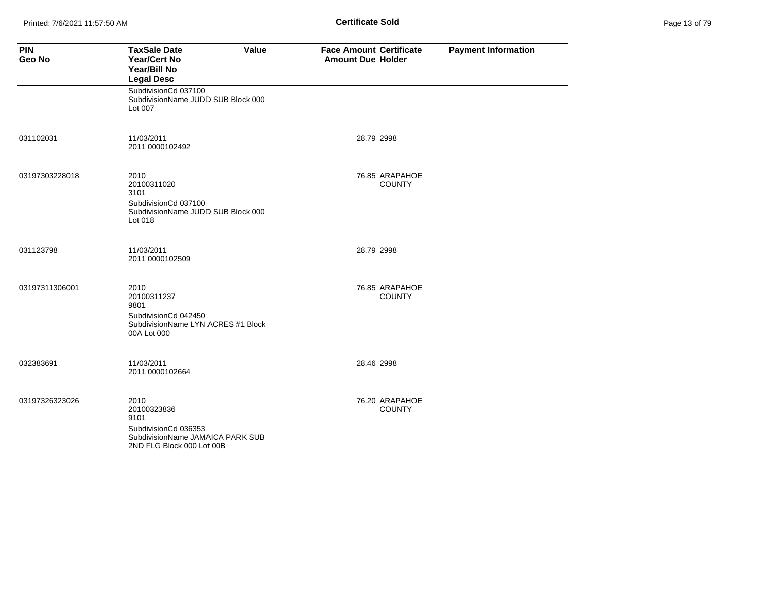Printed: 7/6/2021 11:57:50 AM **Page 13 Of 79 of 79 of 79 of 79 of 79 of 79 of 79 of 79 of 79 of 79 of 79 of 79 of 79 of 79 of 79 of 79 of 79 of 79 of 79 of 79 of 79 of 79 of 79 of 79 of 79 of 79 of 79 of 79 of 79 of 79 of** 

| Page 13 of 79 |  |  |  |
|---------------|--|--|--|
|---------------|--|--|--|

| <b>PIN</b><br>Geo No | <b>TaxSale Date</b><br>Value<br><b>Year/Cert No</b><br>Year/Bill No<br><b>Legal Desc</b>                             | <b>Face Amount Certificate</b><br><b>Amount Due Holder</b> | <b>Payment Information</b> |
|----------------------|----------------------------------------------------------------------------------------------------------------------|------------------------------------------------------------|----------------------------|
|                      | SubdivisionCd 037100<br>SubdivisionName JUDD SUB Block 000<br>Lot 007                                                |                                                            |                            |
| 031102031            | 11/03/2011<br>2011 0000102492                                                                                        | 28.79 2998                                                 |                            |
| 03197303228018       | 2010<br>20100311020<br>3101<br>SubdivisionCd 037100<br>SubdivisionName JUDD SUB Block 000<br>Lot 018                 | 76.85 ARAPAHOE<br><b>COUNTY</b>                            |                            |
| 031123798            | 11/03/2011<br>2011 0000102509                                                                                        | 28.79 2998                                                 |                            |
| 03197311306001       | 2010<br>20100311237<br>9801<br>SubdivisionCd 042450<br>SubdivisionName LYN ACRES #1 Block<br>00A Lot 000             | 76.85 ARAPAHOE<br><b>COUNTY</b>                            |                            |
| 032383691            | 11/03/2011<br>2011 0000102664                                                                                        | 28.46 2998                                                 |                            |
| 03197326323026       | 2010<br>20100323836<br>9101<br>SubdivisionCd 036353<br>SubdivisionName JAMAICA PARK SUB<br>2ND FLG Block 000 Lot 00B | 76.20 ARAPAHOE<br><b>COUNTY</b>                            |                            |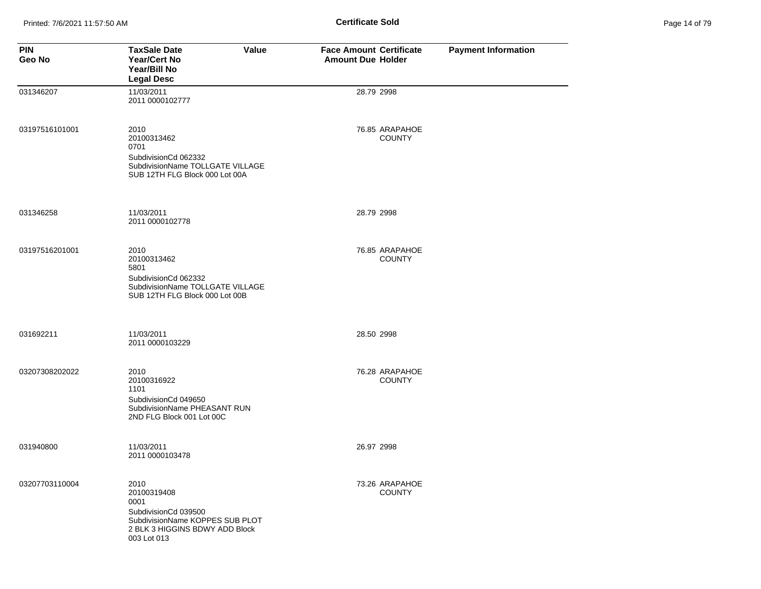| Page 14 of 79 |  |  |  |
|---------------|--|--|--|
|---------------|--|--|--|

| <b>PIN</b><br>Geo No | <b>TaxSale Date</b><br>Value<br><b>Year/Cert No</b><br>Year/Bill No<br><b>Legal Desc</b>                                                | <b>Face Amount Certificate</b><br><b>Amount Due Holder</b> | <b>Payment Information</b> |
|----------------------|-----------------------------------------------------------------------------------------------------------------------------------------|------------------------------------------------------------|----------------------------|
| 031346207            | 11/03/2011<br>2011 0000102777                                                                                                           | 28.79 2998                                                 |                            |
| 03197516101001       | 2010<br>20100313462<br>0701<br>SubdivisionCd 062332<br>SubdivisionName TOLLGATE VILLAGE<br>SUB 12TH FLG Block 000 Lot 00A               | 76.85 ARAPAHOE<br><b>COUNTY</b>                            |                            |
| 031346258            | 11/03/2011<br>2011 0000102778                                                                                                           | 28.79 2998                                                 |                            |
| 03197516201001       | 2010<br>20100313462<br>5801<br>SubdivisionCd 062332<br>SubdivisionName TOLLGATE VILLAGE<br>SUB 12TH FLG Block 000 Lot 00B               | 76.85 ARAPAHOE<br><b>COUNTY</b>                            |                            |
| 031692211            | 11/03/2011<br>2011 0000103229                                                                                                           | 28.50 2998                                                 |                            |
| 03207308202022       | 2010<br>20100316922<br>1101<br>SubdivisionCd 049650<br>SubdivisionName PHEASANT RUN<br>2ND FLG Block 001 Lot 00C                        | 76.28 ARAPAHOE<br><b>COUNTY</b>                            |                            |
| 031940800            | 11/03/2011<br>2011 0000103478                                                                                                           | 26.97 2998                                                 |                            |
| 03207703110004       | 2010<br>20100319408<br>0001<br>SubdivisionCd 039500<br>SubdivisionName KOPPES SUB PLOT<br>2 BLK 3 HIGGINS BDWY ADD Block<br>003 Lot 013 | 73.26 ARAPAHOE<br><b>COUNTY</b>                            |                            |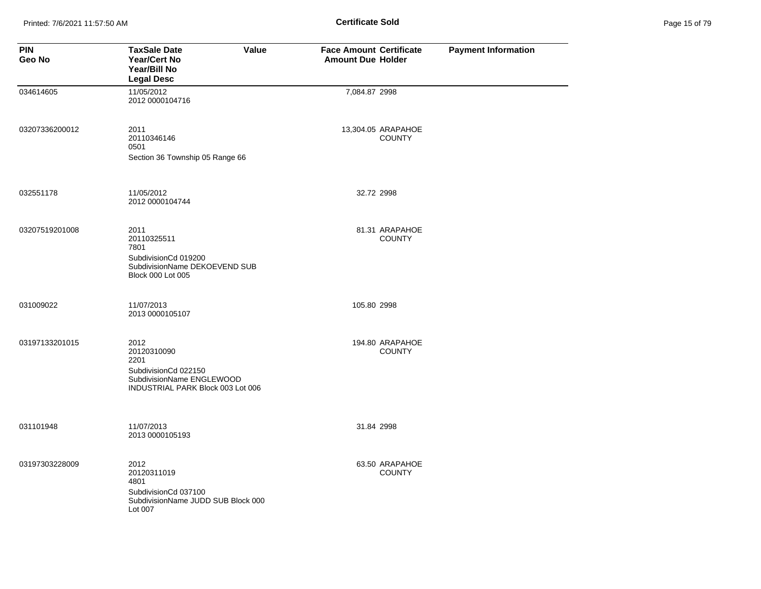Printed: 7/6/2021 11:57:50 AM **Page 15 of 79 of 79 of 79 of 79 of 79 of 79 of 79 of 79 of 79 of 79 of 79 of 79 of 79 of 79 of 79 of 79 of 79 of 79 of 79 of 79 of 79 of 79 of 79 of 79 of 79 of 79 of 79 of 79 of 79 of 79 of** 

| Page 15 of 79 |  |  |  |
|---------------|--|--|--|
|---------------|--|--|--|

| <b>PIN</b><br>Geo No | <b>TaxSale Date</b><br>Value<br><b>Year/Cert No</b><br>Year/Bill No<br><b>Legal Desc</b>                              | <b>Face Amount Certificate</b><br><b>Amount Due Holder</b> | <b>Payment Information</b> |
|----------------------|-----------------------------------------------------------------------------------------------------------------------|------------------------------------------------------------|----------------------------|
| 034614605            | 11/05/2012<br>2012 0000104716                                                                                         | 7,084.87 2998                                              |                            |
| 03207336200012       | 2011<br>20110346146<br>0501<br>Section 36 Township 05 Range 66                                                        | 13,304.05 ARAPAHOE<br><b>COUNTY</b>                        |                            |
|                      |                                                                                                                       |                                                            |                            |
| 032551178            | 11/05/2012<br>2012 0000104744                                                                                         | 32.72 2998                                                 |                            |
| 03207519201008       | 2011<br>20110325511<br>7801<br>SubdivisionCd 019200<br>SubdivisionName DEKOEVEND SUB<br>Block 000 Lot 005             | 81.31 ARAPAHOE<br><b>COUNTY</b>                            |                            |
| 031009022            | 11/07/2013<br>2013 0000105107                                                                                         | 105.80 2998                                                |                            |
| 03197133201015       | 2012<br>20120310090<br>2201<br>SubdivisionCd 022150<br>SubdivisionName ENGLEWOOD<br>INDUSTRIAL PARK Block 003 Lot 006 | 194.80 ARAPAHOE<br><b>COUNTY</b>                           |                            |
| 031101948            | 11/07/2013<br>2013 0000105193                                                                                         | 31.84 2998                                                 |                            |
| 03197303228009       | 2012<br>20120311019<br>4801<br>SubdivisionCd 037100<br>SubdivisionName JUDD SUB Block 000<br>Lot 007                  | 63.50 ARAPAHOE<br><b>COUNTY</b>                            |                            |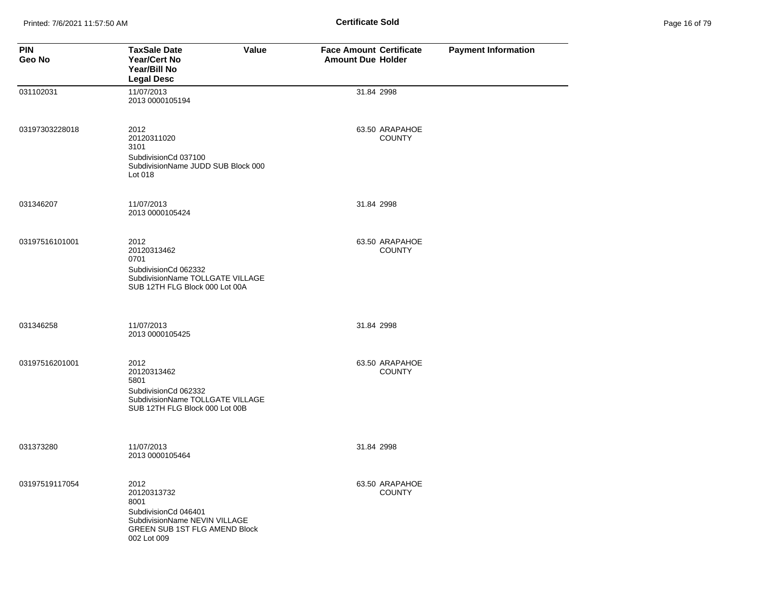| Page 16 of 79 |  |  |  |
|---------------|--|--|--|
|---------------|--|--|--|

| <b>PIN</b><br>Geo No | Value<br><b>TaxSale Date</b><br>Year/Cert No<br>Year/Bill No<br><b>Legal Desc</b>                                                    | <b>Face Amount Certificate</b><br><b>Amount Due Holder</b> | <b>Payment Information</b> |
|----------------------|--------------------------------------------------------------------------------------------------------------------------------------|------------------------------------------------------------|----------------------------|
| 031102031            | 11/07/2013<br>2013 0000105194                                                                                                        | 31.84 2998                                                 |                            |
| 03197303228018       | 2012<br>20120311020<br>3101<br>SubdivisionCd 037100<br>SubdivisionName JUDD SUB Block 000<br>Lot 018                                 | 63.50 ARAPAHOE<br><b>COUNTY</b>                            |                            |
| 031346207            | 11/07/2013<br>2013 0000105424                                                                                                        | 31.84 2998                                                 |                            |
| 03197516101001       | 2012<br>20120313462<br>0701<br>SubdivisionCd 062332<br>SubdivisionName TOLLGATE VILLAGE<br>SUB 12TH FLG Block 000 Lot 00A            | 63.50 ARAPAHOE<br><b>COUNTY</b>                            |                            |
| 031346258            | 11/07/2013<br>2013 0000105425                                                                                                        | 31.84 2998                                                 |                            |
| 03197516201001       | 2012<br>20120313462<br>5801<br>SubdivisionCd 062332<br>SubdivisionName TOLLGATE VILLAGE<br>SUB 12TH FLG Block 000 Lot 00B            | 63.50 ARAPAHOE<br><b>COUNTY</b>                            |                            |
| 031373280            | 11/07/2013<br>2013 0000105464                                                                                                        | 31.84 2998                                                 |                            |
| 03197519117054       | 2012<br>20120313732<br>8001<br>SubdivisionCd 046401<br>SubdivisionName NEVIN VILLAGE<br>GREEN SUB 1ST FLG AMEND Block<br>002 Lot 009 | 63.50 ARAPAHOE<br><b>COUNTY</b>                            |                            |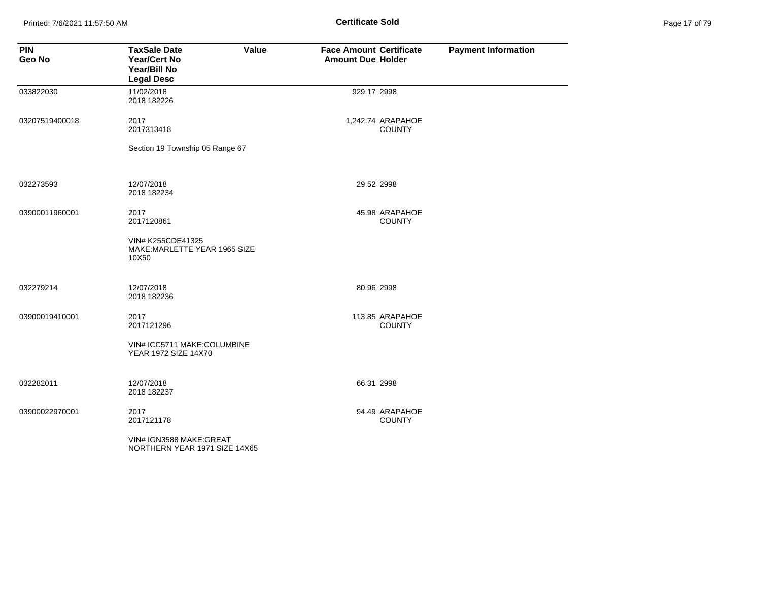Printed: 7/6/2021 11:57:50 AM **Page 17 of 79 of 79 of 79 of 79 of 79 of 79 of 79 of 79 of 79 of 79 of 79 of 79 of 79 of 79 of 79 of 79 of 79 of 79 of 79 of 79 of 79 of 79 of 79 of 79 of 79 of 79 of 79 of 79 of 79 of 79 of** 

| Page 17 of 79 |  |  |  |
|---------------|--|--|--|
|---------------|--|--|--|

| <b>PIN</b><br>Geo No | <b>TaxSale Date</b><br>Value<br><b>Year/Cert No</b><br>Year/Bill No<br><b>Legal Desc</b> | <b>Face Amount Certificate</b><br><b>Amount Due Holder</b> | <b>Payment Information</b> |
|----------------------|------------------------------------------------------------------------------------------|------------------------------------------------------------|----------------------------|
| 033822030            | 11/02/2018<br>2018 182226                                                                | 929.17 2998                                                |                            |
| 03207519400018       | 2017<br>2017313418                                                                       | 1,242.74 ARAPAHOE<br><b>COUNTY</b>                         |                            |
|                      | Section 19 Township 05 Range 67                                                          |                                                            |                            |
| 032273593            | 12/07/2018<br>2018 182234                                                                | 29.52 2998                                                 |                            |
| 03900011960001       | 2017<br>2017120861                                                                       | 45.98 ARAPAHOE<br><b>COUNTY</b>                            |                            |
|                      | VIN# K255CDE41325<br>MAKE: MARLETTE YEAR 1965 SIZE<br>10X50                              |                                                            |                            |
| 032279214            | 12/07/2018<br>2018 182236                                                                | 80.96 2998                                                 |                            |
| 03900019410001       | 2017<br>2017121296                                                                       | 113.85 ARAPAHOE<br><b>COUNTY</b>                           |                            |
|                      | VIN# ICC5711 MAKE:COLUMBINE<br><b>YEAR 1972 SIZE 14X70</b>                               |                                                            |                            |
| 032282011            | 12/07/2018<br>2018 182237                                                                | 66.31 2998                                                 |                            |
| 03900022970001       | 2017<br>2017121178                                                                       | 94.49 ARAPAHOE<br><b>COUNTY</b>                            |                            |
|                      | VIN# IGN3588 MAKE:GREAT<br>NORTHERN YEAR 1971 SIZE 14X65                                 |                                                            |                            |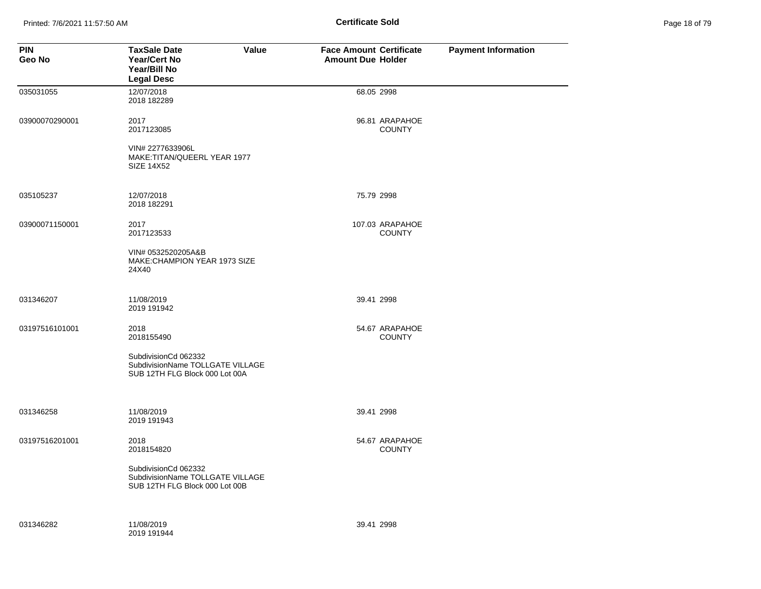Printed: 7/6/2021 11:57:50 AM **Page 18 of 79 of 79 of 79 of 79 of 79 of 79 of 79 of 79 of 79 of 79 of 79 of 79 of 79 of 79 of 79 of 79 of 79 of 79 of 79 of 79 of 79 of 79 of 79 of 79 of 79 of 79 of 79 of 79 of 79 of 79 of** 

| Page 18 of 79 |  |  |  |
|---------------|--|--|--|
|---------------|--|--|--|

| <b>PIN</b><br>Geo No | <b>TaxSale Date</b><br><b>Year/Cert No</b><br>Year/Bill No<br><b>Legal Desc</b>                                  | Value | <b>Face Amount Certificate</b><br><b>Amount Due Holder</b> |                                  | <b>Payment Information</b> |
|----------------------|------------------------------------------------------------------------------------------------------------------|-------|------------------------------------------------------------|----------------------------------|----------------------------|
| 035031055            | 12/07/2018<br>2018 182289                                                                                        |       |                                                            | 68.05 2998                       |                            |
| 03900070290001       | 2017<br>2017123085<br>VIN# 2277633906L<br>MAKE:TITAN/QUEERL YEAR 1977<br>SIZE 14X52                              |       |                                                            | 96.81 ARAPAHOE<br><b>COUNTY</b>  |                            |
| 035105237            | 12/07/2018<br>2018 182291                                                                                        |       |                                                            | 75.79 2998                       |                            |
| 03900071150001       | 2017<br>2017123533<br>VIN# 0532520205A&B<br>MAKE:CHAMPION YEAR 1973 SIZE<br>24X40                                |       |                                                            | 107.03 ARAPAHOE<br><b>COUNTY</b> |                            |
| 031346207            | 11/08/2019<br>2019 191942                                                                                        |       |                                                            | 39.41 2998                       |                            |
| 03197516101001       | 2018<br>2018155490<br>SubdivisionCd 062332<br>SubdivisionName TOLLGATE VILLAGE<br>SUB 12TH FLG Block 000 Lot 00A |       |                                                            | 54.67 ARAPAHOE<br><b>COUNTY</b>  |                            |
| 031346258            | 11/08/2019<br>2019 191943                                                                                        |       |                                                            | 39.41 2998                       |                            |
| 03197516201001       | 2018<br>2018154820<br>SubdivisionCd 062332<br>SubdivisionName TOLLGATE VILLAGE<br>SUB 12TH FLG Block 000 Lot 00B |       |                                                            | 54.67 ARAPAHOE<br><b>COUNTY</b>  |                            |
| 031346282            | 11/08/2019<br>2019 191944                                                                                        |       |                                                            | 39.41 2998                       |                            |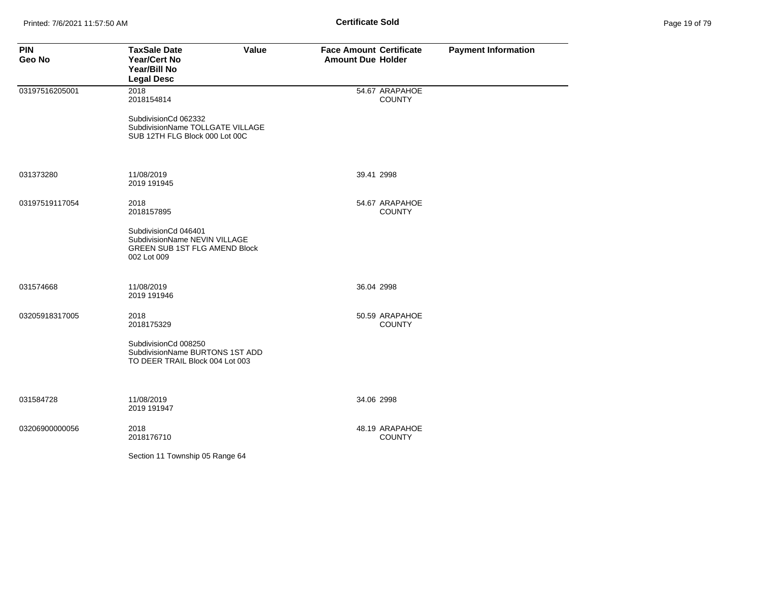| <b>PIN</b><br>Geo No | <b>TaxSale Date</b><br>Value<br><b>Year/Cert No</b><br>Year/Bill No<br><b>Legal Desc</b>                     | <b>Face Amount Certificate</b><br><b>Amount Due Holder</b> | <b>Payment Information</b> |
|----------------------|--------------------------------------------------------------------------------------------------------------|------------------------------------------------------------|----------------------------|
| 03197516205001       | 2018<br>2018154814                                                                                           | 54.67 ARAPAHOE<br><b>COUNTY</b>                            |                            |
|                      | SubdivisionCd 062332<br>SubdivisionName TOLLGATE VILLAGE<br>SUB 12TH FLG Block 000 Lot 00C                   |                                                            |                            |
| 031373280            | 11/08/2019<br>2019 191945                                                                                    | 39.41 2998                                                 |                            |
| 03197519117054       | 2018<br>2018157895                                                                                           | 54.67 ARAPAHOE<br><b>COUNTY</b>                            |                            |
|                      | SubdivisionCd 046401<br>SubdivisionName NEVIN VILLAGE<br><b>GREEN SUB 1ST FLG AMEND Block</b><br>002 Lot 009 |                                                            |                            |
| 031574668            | 11/08/2019<br>2019 191946                                                                                    | 36.04 2998                                                 |                            |
| 03205918317005       | 2018<br>2018175329                                                                                           | 50.59 ARAPAHOE<br><b>COUNTY</b>                            |                            |
|                      | SubdivisionCd 008250<br>SubdivisionName BURTONS 1ST ADD<br>TO DEER TRAIL Block 004 Lot 003                   |                                                            |                            |
| 031584728            | 11/08/2019<br>2019 191947                                                                                    | 34.06 2998                                                 |                            |
| 03206900000056       | 2018<br>2018176710                                                                                           | 48.19 ARAPAHOE<br><b>COUNTY</b>                            |                            |
|                      | Section 11 Township 05 Range 64                                                                              |                                                            |                            |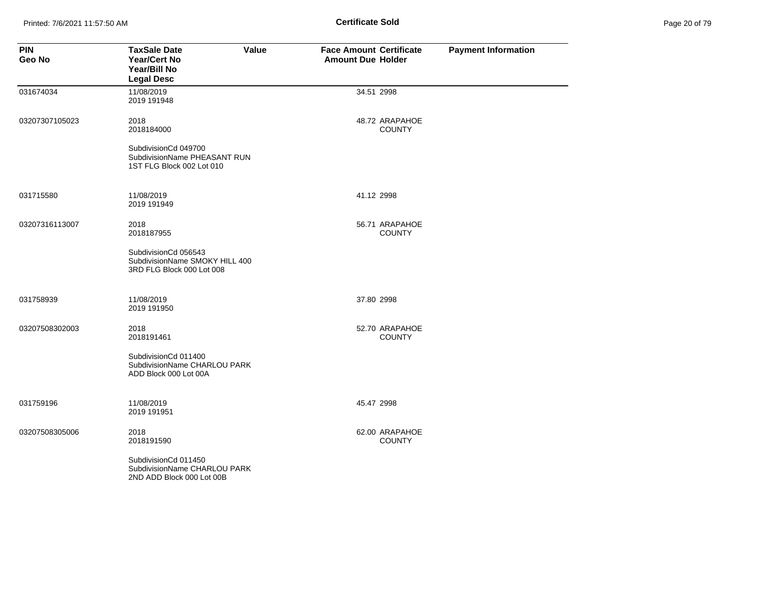Printed: 7/6/2021 11:57:50 AM **Page 20 of 79 of 79 of 79 of 79 of 79 of 79 of 79 of 79 of 79 of 79 of 79 of 79 of 79 of 79 of 79 of 79 of 79 of 79 of 79 of 79 of 79 of 79 of 79 of 79 of 79 of 79 of 79 of 79 of 79 of 79 of** 

| Page 20 of 79 |  |  |  |
|---------------|--|--|--|
|---------------|--|--|--|

| <b>PIN</b><br>Geo No | <b>TaxSale Date</b><br>Value<br>Year/Cert No<br>Year/Bill No<br><b>Legal Desc</b>   | <b>Face Amount Certificate</b><br><b>Amount Due Holder</b> | <b>Payment Information</b> |
|----------------------|-------------------------------------------------------------------------------------|------------------------------------------------------------|----------------------------|
| 031674034            | 11/08/2019<br>2019 191948                                                           | 34.51 2998                                                 |                            |
| 03207307105023       | 2018<br>2018184000                                                                  | 48.72 ARAPAHOE<br><b>COUNTY</b>                            |                            |
|                      | SubdivisionCd 049700<br>SubdivisionName PHEASANT RUN<br>1ST FLG Block 002 Lot 010   |                                                            |                            |
| 031715580            | 11/08/2019<br>2019 191949                                                           | 41.12 2998                                                 |                            |
| 03207316113007       | 2018<br>2018187955                                                                  | 56.71 ARAPAHOE<br><b>COUNTY</b>                            |                            |
|                      | SubdivisionCd 056543<br>SubdivisionName SMOKY HILL 400<br>3RD FLG Block 000 Lot 008 |                                                            |                            |
| 031758939            | 11/08/2019<br>2019 191950                                                           | 37.80 2998                                                 |                            |
| 03207508302003       | 2018<br>2018191461                                                                  | 52.70 ARAPAHOE<br><b>COUNTY</b>                            |                            |
|                      | SubdivisionCd 011400<br>SubdivisionName CHARLOU PARK<br>ADD Block 000 Lot 00A       |                                                            |                            |
| 031759196            | 11/08/2019<br>2019 191951                                                           | 45.47 2998                                                 |                            |
| 03207508305006       | 2018<br>2018191590                                                                  | 62.00 ARAPAHOE<br><b>COUNTY</b>                            |                            |
|                      | SubdivisionCd 011450<br>SubdivisionName CHARLOU PARK<br>2ND ADD Block 000 Lot 00B   |                                                            |                            |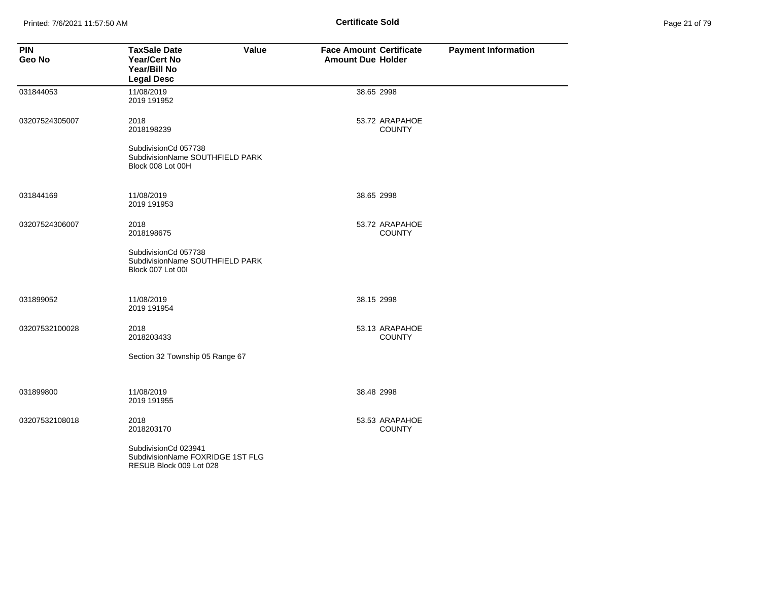Printed: 7/6/2021 11:57:50 AM **Page 21 of 79 of 79 of 79 of 79 of 79 of 79 of 79 of 79 of 79 of 79 of 79 of 79 of 79 of 79 of 79 of 79 of 79 of 79 of 79 of 79 of 79 of 79 of 79 of 79 of 79 of 79 of 79 of 79 of 79 of 79 of** 

| Page 21 of 79 |  |  |  |
|---------------|--|--|--|
|---------------|--|--|--|

| <b>PIN</b><br><b>Geo No</b> | <b>TaxSale Date</b><br>Value<br><b>Year/Cert No</b><br>Year/Bill No<br><b>Legal Desc</b> | <b>Face Amount Certificate</b><br><b>Amount Due Holder</b> | <b>Payment Information</b> |
|-----------------------------|------------------------------------------------------------------------------------------|------------------------------------------------------------|----------------------------|
| 031844053                   | 11/08/2019<br>2019 191952                                                                | 38.65 2998                                                 |                            |
| 03207524305007              | 2018<br>2018198239                                                                       | 53.72 ARAPAHOE<br><b>COUNTY</b>                            |                            |
|                             | SubdivisionCd 057738<br>SubdivisionName SOUTHFIELD PARK<br>Block 008 Lot 00H             |                                                            |                            |
| 031844169                   | 11/08/2019<br>2019 191953                                                                | 38.65 2998                                                 |                            |
| 03207524306007              | 2018<br>2018198675                                                                       | 53.72 ARAPAHOE<br><b>COUNTY</b>                            |                            |
|                             | SubdivisionCd 057738<br>SubdivisionName SOUTHFIELD PARK<br>Block 007 Lot 00I             |                                                            |                            |
| 031899052                   | 11/08/2019<br>2019 191954                                                                | 38.15 2998                                                 |                            |
| 03207532100028              | 2018<br>2018203433                                                                       | 53.13 ARAPAHOE<br><b>COUNTY</b>                            |                            |
|                             | Section 32 Township 05 Range 67                                                          |                                                            |                            |
| 031899800                   | 11/08/2019<br>2019 191955                                                                | 38.48 2998                                                 |                            |
| 03207532108018              | 2018<br>2018203170                                                                       | 53.53 ARAPAHOE<br><b>COUNTY</b>                            |                            |
|                             | SubdivisionCd 023941<br>SubdivisionName FOXRIDGE 1ST FLG<br>RESUB Block 009 Lot 028      |                                                            |                            |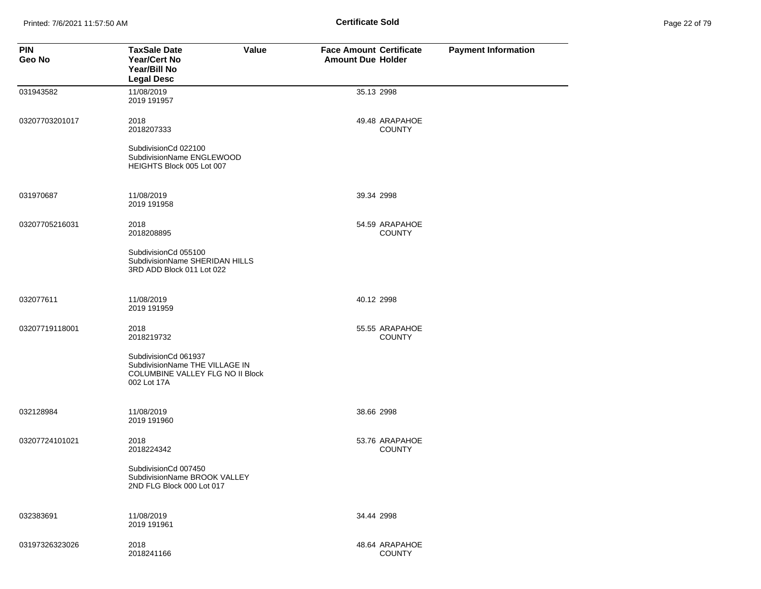Printed: 7/6/2021 11:57:50 AM **Page 22 of 79 of 79 of 79 of 79 of 79 of 79 of 79 of 79 of 79 of 79 of 79 of 79 of 79 of 79 of 79 of 79 of 79 of 79 of 79 of 79 of 79 of 79 of 79 of 79 of 79 of 79 of 79 of 79 of 79 of 79 of** 

| Page 22 of 79 |  |  |  |
|---------------|--|--|--|
|---------------|--|--|--|

| <b>PIN</b><br>Geo No | <b>TaxSale Date</b><br>Value<br><b>Year/Cert No</b><br>Year/Bill No<br><b>Legal Desc</b>                  | <b>Face Amount Certificate</b><br><b>Amount Due Holder</b> | <b>Payment Information</b> |
|----------------------|-----------------------------------------------------------------------------------------------------------|------------------------------------------------------------|----------------------------|
| 031943582            | 11/08/2019<br>2019 191957                                                                                 | 35.13 2998                                                 |                            |
| 03207703201017       | 2018<br>2018207333                                                                                        | 49.48 ARAPAHOE<br><b>COUNTY</b>                            |                            |
|                      | SubdivisionCd 022100<br>SubdivisionName ENGLEWOOD<br>HEIGHTS Block 005 Lot 007                            |                                                            |                            |
| 031970687            | 11/08/2019<br>2019 191958                                                                                 | 39.34 2998                                                 |                            |
| 03207705216031       | 2018<br>2018208895                                                                                        | 54.59 ARAPAHOE<br><b>COUNTY</b>                            |                            |
|                      | SubdivisionCd 055100<br>SubdivisionName SHERIDAN HILLS<br>3RD ADD Block 011 Lot 022                       |                                                            |                            |
| 032077611            | 11/08/2019<br>2019 191959                                                                                 | 40.12 2998                                                 |                            |
| 03207719118001       | 2018<br>2018219732                                                                                        | 55.55 ARAPAHOE<br><b>COUNTY</b>                            |                            |
|                      | SubdivisionCd 061937<br>SubdivisionName THE VILLAGE IN<br>COLUMBINE VALLEY FLG NO II Block<br>002 Lot 17A |                                                            |                            |
| 032128984            | 11/08/2019<br>2019 191960                                                                                 | 38.66 2998                                                 |                            |
| 03207724101021       | 2018<br>2018224342                                                                                        | 53.76 ARAPAHOE<br><b>COUNTY</b>                            |                            |
|                      | SubdivisionCd 007450<br>SubdivisionName BROOK VALLEY<br>2ND FLG Block 000 Lot 017                         |                                                            |                            |
| 032383691            | 11/08/2019<br>2019 191961                                                                                 | 34.44 2998                                                 |                            |
| 03197326323026       | 2018<br>2018241166                                                                                        | 48.64 ARAPAHOE<br><b>COUNTY</b>                            |                            |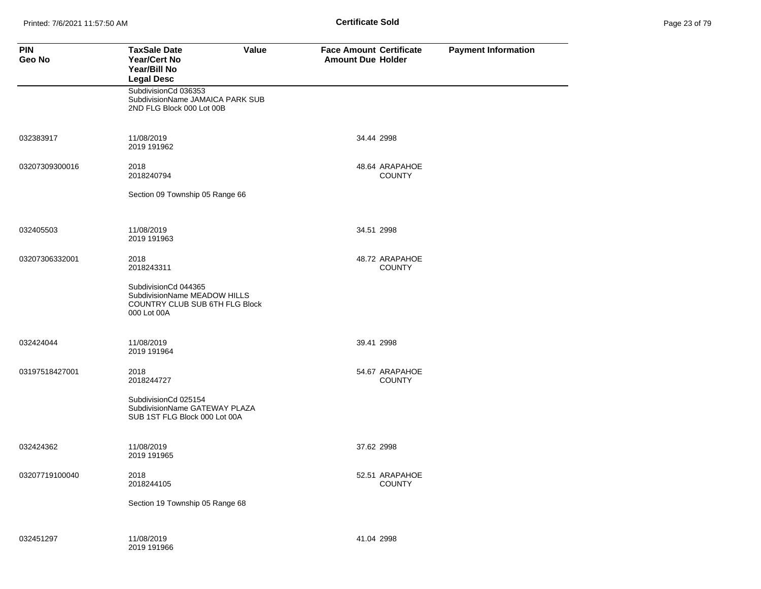| Page 23 of 79 |  |  |  |
|---------------|--|--|--|
|---------------|--|--|--|

| <b>PIN</b><br>Geo No | <b>TaxSale Date</b><br>Value<br>Year/Cert No<br>Year/Bill No<br><b>Legal Desc</b>                     | <b>Face Amount Certificate</b><br><b>Amount Due Holder</b> | <b>Payment Information</b> |
|----------------------|-------------------------------------------------------------------------------------------------------|------------------------------------------------------------|----------------------------|
|                      | SubdivisionCd 036353<br>SubdivisionName JAMAICA PARK SUB<br>2ND FLG Block 000 Lot 00B                 |                                                            |                            |
| 032383917            | 11/08/2019<br>2019 191962                                                                             | 34.44 2998                                                 |                            |
| 03207309300016       | 2018<br>2018240794                                                                                    | 48.64 ARAPAHOE<br><b>COUNTY</b>                            |                            |
|                      | Section 09 Township 05 Range 66                                                                       |                                                            |                            |
| 032405503            | 11/08/2019<br>2019 191963                                                                             | 34.51 2998                                                 |                            |
| 03207306332001       | 2018<br>2018243311                                                                                    | 48.72 ARAPAHOE<br><b>COUNTY</b>                            |                            |
|                      | SubdivisionCd 044365<br>SubdivisionName MEADOW HILLS<br>COUNTRY CLUB SUB 6TH FLG Block<br>000 Lot 00A |                                                            |                            |
| 032424044            | 11/08/2019<br>2019 191964                                                                             | 39.41 2998                                                 |                            |
| 03197518427001       | 2018<br>2018244727                                                                                    | 54.67 ARAPAHOE<br><b>COUNTY</b>                            |                            |
|                      | SubdivisionCd 025154<br>SubdivisionName GATEWAY PLAZA<br>SUB 1ST FLG Block 000 Lot 00A                |                                                            |                            |
| 032424362            | 11/08/2019<br>2019 191965                                                                             | 37.62 2998                                                 |                            |
| 03207719100040       | 2018<br>2018244105                                                                                    | 52.51 ARAPAHOE<br><b>COUNTY</b>                            |                            |
|                      | Section 19 Township 05 Range 68                                                                       |                                                            |                            |
| 032451297            | 11/08/2019<br>2019 191966                                                                             | 41.04 2998                                                 |                            |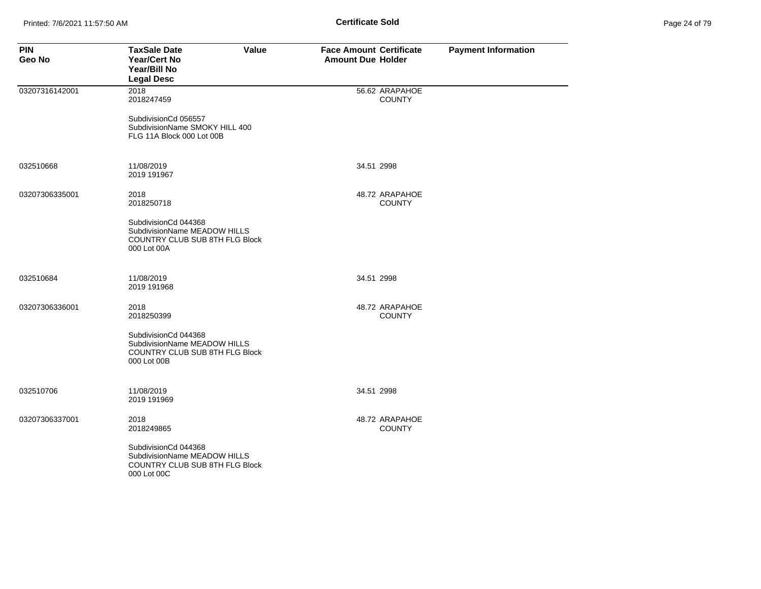| Page 24 of 79 |  |  |  |  |
|---------------|--|--|--|--|
|---------------|--|--|--|--|

| <b>PIN</b><br>Geo No | <b>TaxSale Date</b><br>Value<br>Year/Cert No<br>Year/Bill No<br><b>Legal Desc</b>                     | <b>Face Amount Certificate</b><br><b>Amount Due Holder</b> | <b>Payment Information</b> |
|----------------------|-------------------------------------------------------------------------------------------------------|------------------------------------------------------------|----------------------------|
| 03207316142001       | 2018<br>2018247459                                                                                    | 56.62 ARAPAHOE<br><b>COUNTY</b>                            |                            |
|                      | SubdivisionCd 056557<br>SubdivisionName SMOKY HILL 400<br>FLG 11A Block 000 Lot 00B                   |                                                            |                            |
| 032510668            | 11/08/2019<br>2019 191967                                                                             | 34.51 2998                                                 |                            |
| 03207306335001       | 2018<br>2018250718                                                                                    | 48.72 ARAPAHOE<br><b>COUNTY</b>                            |                            |
|                      | SubdivisionCd 044368<br>SubdivisionName MEADOW HILLS<br>COUNTRY CLUB SUB 8TH FLG Block<br>000 Lot 00A |                                                            |                            |
| 032510684            | 11/08/2019<br>2019 191968                                                                             | 34.51 2998                                                 |                            |
| 03207306336001       | 2018<br>2018250399                                                                                    | 48.72 ARAPAHOE<br><b>COUNTY</b>                            |                            |
|                      | SubdivisionCd 044368<br>SubdivisionName MEADOW HILLS<br>COUNTRY CLUB SUB 8TH FLG Block<br>000 Lot 00B |                                                            |                            |
| 032510706            | 11/08/2019<br>2019 191969                                                                             | 34.51 2998                                                 |                            |
| 03207306337001       | 2018<br>2018249865                                                                                    | 48.72 ARAPAHOE<br><b>COUNTY</b>                            |                            |
|                      | SubdivisionCd 044368<br>SubdivisionName MEADOW HILLS<br>COUNTRY CLUB SUB 8TH FLG Block<br>000 Lot 00C |                                                            |                            |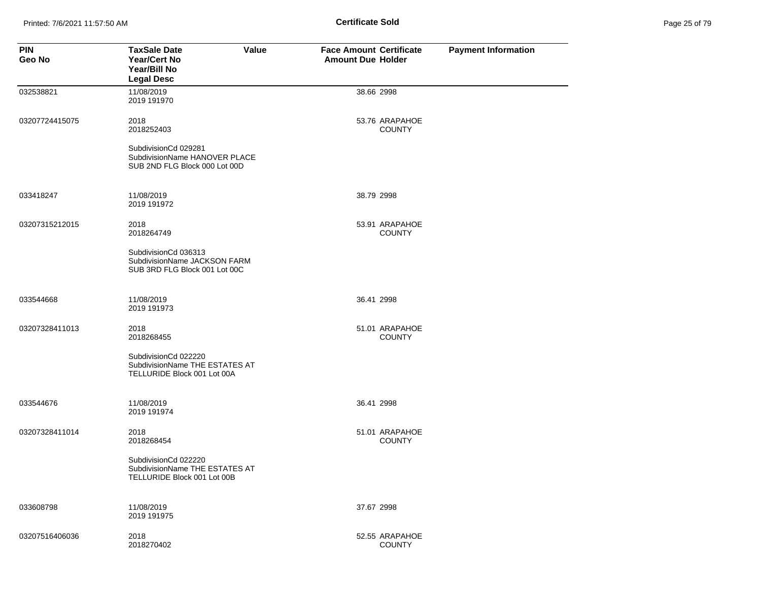Printed: 7/6/2021 11:57:50 AM **Page 25 of 79 of 79 of 79 of 79 of 79 of 79 of 79 of 79 of 79 of 79 of 79 of 79 of 79 of 79 of 79 of 79 of 79 of 79 of 79 of 79 of 79 of 79 of 79 of 79 of 79 of 79 of 79 of 79 of 79 of 79 of** 

| Page 25 of 79 |  |  |  |
|---------------|--|--|--|
|---------------|--|--|--|

| <b>PIN</b><br>Geo No | Value<br><b>TaxSale Date</b><br><b>Year/Cert No</b><br>Year/Bill No<br><b>Legal Desc</b> | <b>Face Amount Certificate</b><br><b>Amount Due Holder</b> | <b>Payment Information</b> |
|----------------------|------------------------------------------------------------------------------------------|------------------------------------------------------------|----------------------------|
| 032538821            | 11/08/2019<br>2019 191970                                                                | 38.66 2998                                                 |                            |
| 03207724415075       | 2018<br>2018252403                                                                       | 53.76 ARAPAHOE<br><b>COUNTY</b>                            |                            |
|                      | SubdivisionCd 029281<br>SubdivisionName HANOVER PLACE<br>SUB 2ND FLG Block 000 Lot 00D   |                                                            |                            |
| 033418247            | 11/08/2019<br>2019 191972                                                                | 38.79 2998                                                 |                            |
| 03207315212015       | 2018<br>2018264749                                                                       | 53.91 ARAPAHOE<br><b>COUNTY</b>                            |                            |
|                      | SubdivisionCd 036313<br>SubdivisionName JACKSON FARM<br>SUB 3RD FLG Block 001 Lot 00C    |                                                            |                            |
| 033544668            | 11/08/2019<br>2019 191973                                                                | 36.41 2998                                                 |                            |
| 03207328411013       | 2018<br>2018268455                                                                       | 51.01 ARAPAHOE<br><b>COUNTY</b>                            |                            |
|                      | SubdivisionCd 022220<br>SubdivisionName THE ESTATES AT<br>TELLURIDE Block 001 Lot 00A    |                                                            |                            |
| 033544676            | 11/08/2019<br>2019 191974                                                                | 36.41 2998                                                 |                            |
| 03207328411014       | 2018<br>2018268454                                                                       | 51.01 ARAPAHOE<br><b>COUNTY</b>                            |                            |
|                      | SubdivisionCd 022220<br>SubdivisionName THE ESTATES AT<br>TELLURIDE Block 001 Lot 00B    |                                                            |                            |
| 033608798            | 11/08/2019<br>2019 191975                                                                | 37.67 2998                                                 |                            |
| 03207516406036       | 2018<br>2018270402                                                                       | 52.55 ARAPAHOE<br><b>COUNTY</b>                            |                            |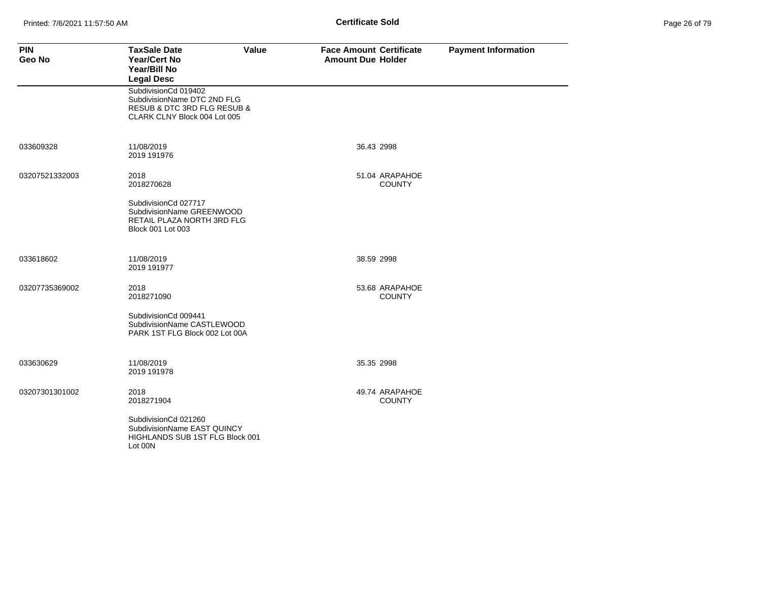| Page 26 of 79 |  |  |  |
|---------------|--|--|--|
|---------------|--|--|--|

| <b>PIN</b><br>Geo No | <b>TaxSale Date</b><br>Value<br><b>Year/Cert No</b><br>Year/Bill No<br><b>Legal Desc</b>                           | <b>Face Amount Certificate</b><br><b>Amount Due Holder</b> | <b>Payment Information</b> |
|----------------------|--------------------------------------------------------------------------------------------------------------------|------------------------------------------------------------|----------------------------|
|                      | SubdivisionCd 019402<br>SubdivisionName DTC 2ND FLG<br>RESUB & DTC 3RD FLG RESUB &<br>CLARK CLNY Block 004 Lot 005 |                                                            |                            |
| 033609328            | 11/08/2019<br>2019 191976                                                                                          | 36.43 2998                                                 |                            |
| 03207521332003       | 2018<br>2018270628                                                                                                 | 51.04 ARAPAHOE<br><b>COUNTY</b>                            |                            |
|                      | SubdivisionCd 027717<br>SubdivisionName GREENWOOD<br>RETAIL PLAZA NORTH 3RD FLG<br>Block 001 Lot 003               |                                                            |                            |
| 033618602            | 11/08/2019<br>2019 191977                                                                                          | 38.59 2998                                                 |                            |
| 03207735369002       | 2018<br>2018271090                                                                                                 | 53.68 ARAPAHOE<br><b>COUNTY</b>                            |                            |
|                      | SubdivisionCd 009441<br>SubdivisionName CASTLEWOOD<br>PARK 1ST FLG Block 002 Lot 00A                               |                                                            |                            |
| 033630629            | 11/08/2019<br>2019 191978                                                                                          | 35.35 2998                                                 |                            |
| 03207301301002       | 2018<br>2018271904                                                                                                 | 49.74 ARAPAHOE<br><b>COUNTY</b>                            |                            |
|                      | SubdivisionCd 021260<br>SubdivisionName EAST QUINCY<br>HIGHLANDS SUB 1ST FLG Block 001<br>Lot 00N                  |                                                            |                            |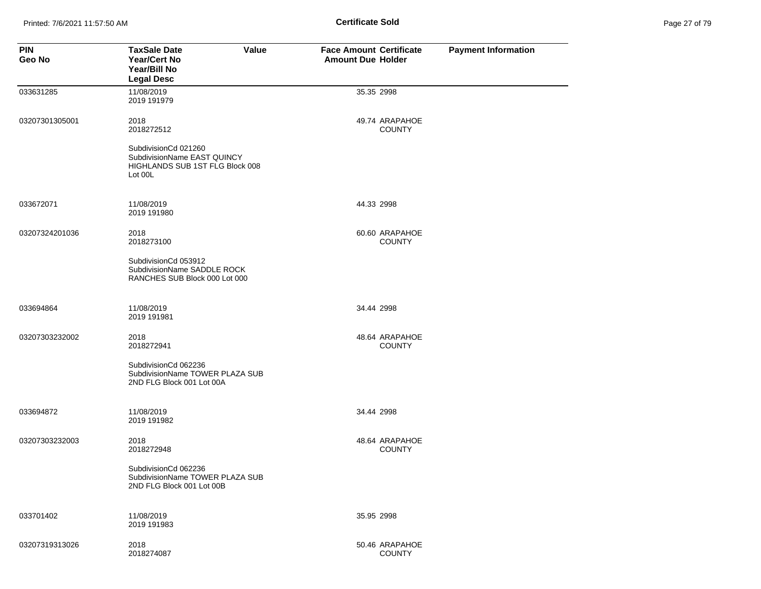Printed: 7/6/2021 11:57:50 AM **Page 27 of 79 of 79 of 79 of 79 of 79 of 79 of 79 of 79 of 79 of 79 of 79 of 79 of 79 of 79 of 79 of 79 of 79 of 79 of 79 of 79 of 79 of 79 of 79 of 79 of 79 of 79 of 79 of 79 of 79 of 79 of** 

| Page 27 of 79 |  |  |  |
|---------------|--|--|--|
|---------------|--|--|--|

| <b>PIN</b><br>Geo No | <b>TaxSale Date</b><br>Value<br><b>Year/Cert No</b><br>Year/Bill No<br><b>Legal Desc</b>          | <b>Face Amount Certificate</b><br><b>Amount Due Holder</b> | <b>Payment Information</b> |
|----------------------|---------------------------------------------------------------------------------------------------|------------------------------------------------------------|----------------------------|
| 033631285            | 11/08/2019<br>2019 191979                                                                         | 35.35 2998                                                 |                            |
| 03207301305001       | 2018<br>2018272512                                                                                | 49.74 ARAPAHOE<br><b>COUNTY</b>                            |                            |
|                      | SubdivisionCd 021260<br>SubdivisionName EAST QUINCY<br>HIGHLANDS SUB 1ST FLG Block 008<br>Lot 00L |                                                            |                            |
| 033672071            | 11/08/2019<br>2019 191980                                                                         | 44.33 2998                                                 |                            |
| 03207324201036       | 2018<br>2018273100                                                                                | 60.60 ARAPAHOE<br><b>COUNTY</b>                            |                            |
|                      | SubdivisionCd 053912<br>SubdivisionName SADDLE ROCK<br>RANCHES SUB Block 000 Lot 000              |                                                            |                            |
| 033694864            | 11/08/2019<br>2019 191981                                                                         | 34.44 2998                                                 |                            |
| 03207303232002       | 2018<br>2018272941                                                                                | 48.64 ARAPAHOE<br><b>COUNTY</b>                            |                            |
|                      | SubdivisionCd 062236<br>SubdivisionName TOWER PLAZA SUB<br>2ND FLG Block 001 Lot 00A              |                                                            |                            |
| 033694872            | 11/08/2019<br>2019 191982                                                                         | 34.44 2998                                                 |                            |
| 03207303232003       | 2018<br>2018272948                                                                                | 48.64 ARAPAHOE<br><b>COUNTY</b>                            |                            |
|                      | SubdivisionCd 062236<br>SubdivisionName TOWER PLAZA SUB<br>2ND FLG Block 001 Lot 00B              |                                                            |                            |
| 033701402            | 11/08/2019<br>2019 191983                                                                         | 35.95 2998                                                 |                            |
| 03207319313026       | 2018<br>2018274087                                                                                | 50.46 ARAPAHOE<br><b>COUNTY</b>                            |                            |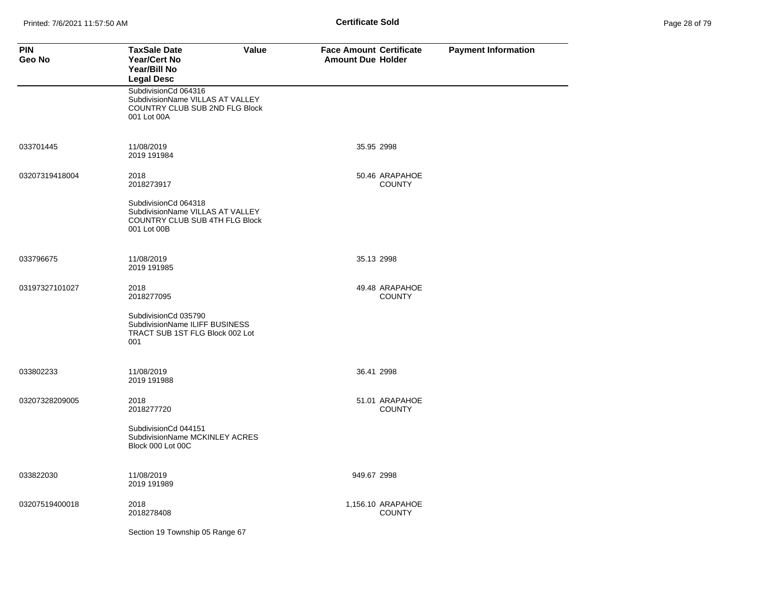| Page 28 of 79 |  |  |  |
|---------------|--|--|--|
|---------------|--|--|--|

| <b>PIN</b><br>Geo No | <b>TaxSale Date</b><br><b>Value</b><br>Year/Cert No<br>Year/Bill No<br><b>Legal Desc</b>                  | <b>Face Amount Certificate</b><br><b>Amount Due Holder</b> | <b>Payment Information</b> |
|----------------------|-----------------------------------------------------------------------------------------------------------|------------------------------------------------------------|----------------------------|
|                      | SubdivisionCd 064316<br>SubdivisionName VILLAS AT VALLEY<br>COUNTRY CLUB SUB 2ND FLG Block<br>001 Lot 00A |                                                            |                            |
| 033701445            | 11/08/2019<br>2019 191984                                                                                 | 35.95 2998                                                 |                            |
| 03207319418004       | 2018<br>2018273917                                                                                        | 50.46 ARAPAHOE<br><b>COUNTY</b>                            |                            |
|                      | SubdivisionCd 064318<br>SubdivisionName VILLAS AT VALLEY<br>COUNTRY CLUB SUB 4TH FLG Block<br>001 Lot 00B |                                                            |                            |
| 033796675            | 11/08/2019<br>2019 191985                                                                                 | 35.13 2998                                                 |                            |
| 03197327101027       | 2018<br>2018277095                                                                                        | 49.48 ARAPAHOE<br><b>COUNTY</b>                            |                            |
|                      | SubdivisionCd 035790<br>SubdivisionName ILIFF BUSINESS<br>TRACT SUB 1ST FLG Block 002 Lot<br>001          |                                                            |                            |
| 033802233            | 11/08/2019<br>2019 191988                                                                                 | 36.41 2998                                                 |                            |
| 03207328209005       | 2018<br>2018277720                                                                                        | 51.01 ARAPAHOE<br><b>COUNTY</b>                            |                            |
|                      | SubdivisionCd 044151<br>SubdivisionName MCKINLEY ACRES<br>Block 000 Lot 00C                               |                                                            |                            |
| 033822030            | 11/08/2019<br>2019 191989                                                                                 | 949.67 2998                                                |                            |
| 03207519400018       | 2018<br>2018278408                                                                                        | 1,156.10 ARAPAHOE<br><b>COUNTY</b>                         |                            |
|                      | Section 19 Township 05 Range 67                                                                           |                                                            |                            |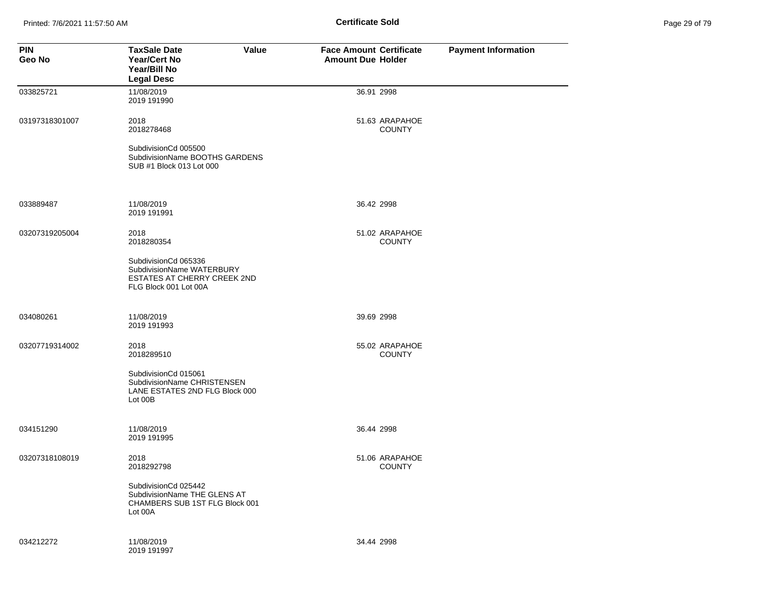Printed: 7/6/2021 11:57:50 AM **Page 2018 Certificate Sold Certificate Sold** 

| Page 29 of 79 |  |  |
|---------------|--|--|
|               |  |  |

| <b>PIN</b><br>Geo No | <b>TaxSale Date</b><br>Value<br><b>Year/Cert No</b><br>Year/Bill No<br><b>Legal Desc</b>                         | <b>Face Amount Certificate</b><br><b>Amount Due Holder</b> | <b>Payment Information</b> |
|----------------------|------------------------------------------------------------------------------------------------------------------|------------------------------------------------------------|----------------------------|
| 033825721            | 11/08/2019<br>2019 191990                                                                                        | 36.91 2998                                                 |                            |
| 03197318301007       | 2018<br>2018278468                                                                                               | 51.63 ARAPAHOE<br><b>COUNTY</b>                            |                            |
|                      | SubdivisionCd 005500<br>SubdivisionName BOOTHS GARDENS<br>SUB #1 Block 013 Lot 000                               |                                                            |                            |
| 033889487            | 11/08/2019<br>2019 191991                                                                                        | 36.42 2998                                                 |                            |
| 03207319205004       | 2018<br>2018280354                                                                                               | 51.02 ARAPAHOE<br><b>COUNTY</b>                            |                            |
|                      | SubdivisionCd 065336<br>SubdivisionName WATERBURY<br><b>ESTATES AT CHERRY CREEK 2ND</b><br>FLG Block 001 Lot 00A |                                                            |                            |
| 034080261            | 11/08/2019<br>2019 191993                                                                                        | 39.69 2998                                                 |                            |
| 03207719314002       | 2018<br>2018289510                                                                                               | 55.02 ARAPAHOE<br><b>COUNTY</b>                            |                            |
|                      | SubdivisionCd 015061<br>SubdivisionName CHRISTENSEN<br>LANE ESTATES 2ND FLG Block 000<br>Lot 00B                 |                                                            |                            |
| 034151290            | 11/08/2019<br>2019 191995                                                                                        | 36.44 2998                                                 |                            |
| 03207318108019       | 2018<br>2018292798                                                                                               | 51.06 ARAPAHOE<br><b>COUNTY</b>                            |                            |
|                      | SubdivisionCd 025442<br>SubdivisionName THE GLENS AT<br>CHAMBERS SUB 1ST FLG Block 001<br>Lot 00A                |                                                            |                            |
| 034212272            | 11/08/2019<br>2019 191997                                                                                        | 34.44 2998                                                 |                            |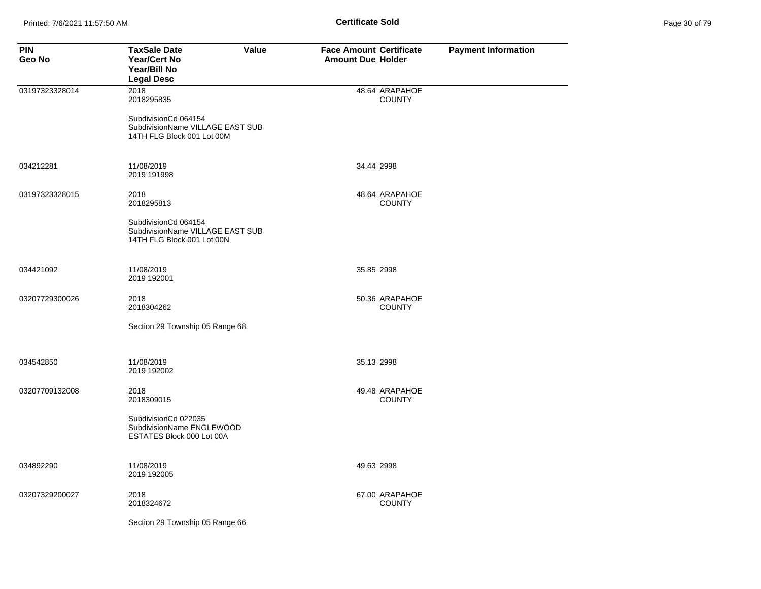| Page 30 of 79 |
|---------------|
|---------------|

| <b>PIN</b><br>Geo No | <b>TaxSale Date</b><br>Value<br>Year/Cert No<br>Year/Bill No<br><b>Legal Desc</b>      | <b>Face Amount Certificate</b><br><b>Amount Due Holder</b> | <b>Payment Information</b> |
|----------------------|----------------------------------------------------------------------------------------|------------------------------------------------------------|----------------------------|
| 03197323328014       | 2018<br>2018295835                                                                     | 48.64 ARAPAHOE<br><b>COUNTY</b>                            |                            |
|                      | SubdivisionCd 064154<br>SubdivisionName VILLAGE EAST SUB<br>14TH FLG Block 001 Lot 00M |                                                            |                            |
| 034212281            | 11/08/2019<br>2019 191998                                                              | 34.44 2998                                                 |                            |
| 03197323328015       | 2018<br>2018295813                                                                     | 48.64 ARAPAHOE<br><b>COUNTY</b>                            |                            |
|                      | SubdivisionCd 064154<br>SubdivisionName VILLAGE EAST SUB<br>14TH FLG Block 001 Lot 00N |                                                            |                            |
| 034421092            | 11/08/2019<br>2019 192001                                                              | 35.85 2998                                                 |                            |
| 03207729300026       | 2018<br>2018304262                                                                     | 50.36 ARAPAHOE<br><b>COUNTY</b>                            |                            |
|                      | Section 29 Township 05 Range 68                                                        |                                                            |                            |
| 034542850            | 11/08/2019<br>2019 192002                                                              | 35.13 2998                                                 |                            |
| 03207709132008       | 2018<br>2018309015                                                                     | 49.48 ARAPAHOE<br><b>COUNTY</b>                            |                            |
|                      | SubdivisionCd 022035<br>SubdivisionName ENGLEWOOD<br>ESTATES Block 000 Lot 00A         |                                                            |                            |
| 034892290            | 11/08/2019<br>2019 192005                                                              | 49.63 2998                                                 |                            |
| 03207329200027       | 2018<br>2018324672                                                                     | 67.00 ARAPAHOE<br><b>COUNTY</b>                            |                            |
|                      | Section 29 Township 05 Range 66                                                        |                                                            |                            |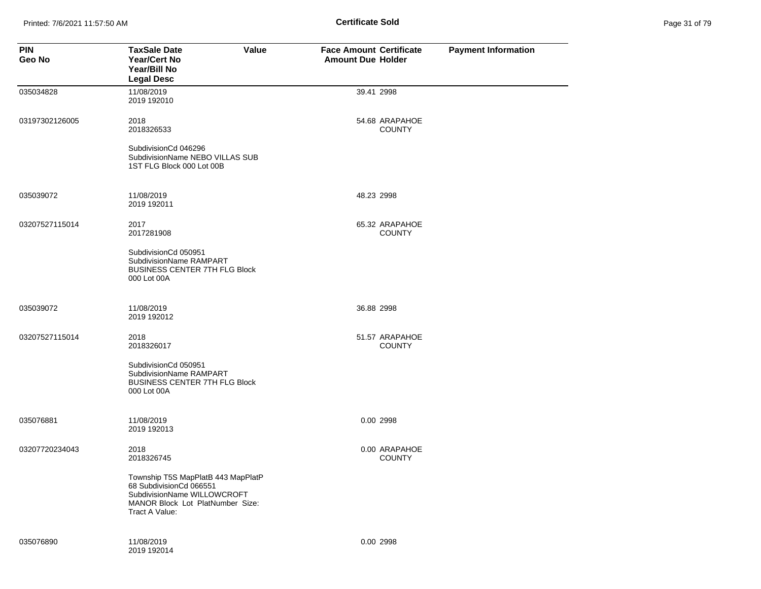Printed: 7/6/2021 11:57:50 AM **Page 31 Of 79 of 79 of 79 of 79 of 79 of 71 of 79 of 79 of 79 of 79 of 79 of 79 of 79 of 79 of 79 of 79 of 79 of 79 of 79 of 79 of 79 of 79 of 79 of 79 of 79 of 79 of 79 of 79 of 79 of 79 of** 

| Page 31 of 79 |  |
|---------------|--|
|---------------|--|

| <b>PIN</b><br>Geo No | <b>TaxSale Date</b><br>Value<br><b>Year/Cert No</b><br>Year/Bill No<br><b>Legal Desc</b>                                                           | <b>Face Amount Certificate</b><br><b>Amount Due Holder</b> | <b>Payment Information</b> |
|----------------------|----------------------------------------------------------------------------------------------------------------------------------------------------|------------------------------------------------------------|----------------------------|
| 035034828            | 11/08/2019<br>2019 192010                                                                                                                          | 39.41 2998                                                 |                            |
| 03197302126005       | 2018<br>2018326533                                                                                                                                 | 54.68 ARAPAHOE<br><b>COUNTY</b>                            |                            |
|                      | SubdivisionCd 046296<br>SubdivisionName NEBO VILLAS SUB<br>1ST FLG Block 000 Lot 00B                                                               |                                                            |                            |
| 035039072            | 11/08/2019<br>2019 192011                                                                                                                          | 48.23 2998                                                 |                            |
| 03207527115014       | 2017<br>2017281908                                                                                                                                 | 65.32 ARAPAHOE<br><b>COUNTY</b>                            |                            |
|                      | SubdivisionCd 050951<br>SubdivisionName RAMPART<br><b>BUSINESS CENTER 7TH FLG Block</b><br>000 Lot 00A                                             |                                                            |                            |
| 035039072            | 11/08/2019<br>2019 192012                                                                                                                          | 36.88 2998                                                 |                            |
| 03207527115014       | 2018<br>2018326017                                                                                                                                 | 51.57 ARAPAHOE<br><b>COUNTY</b>                            |                            |
|                      | SubdivisionCd 050951<br>SubdivisionName RAMPART<br>BUSINESS CENTER 7TH FLG Block<br>000 Lot 00A                                                    |                                                            |                            |
| 035076881            | 11/08/2019<br>2019 192013                                                                                                                          | 0.00 2998                                                  |                            |
| 03207720234043       | 2018<br>2018326745                                                                                                                                 | 0.00 ARAPAHOE<br><b>COUNTY</b>                             |                            |
|                      | Township T5S MapPlatB 443 MapPlatP<br>68 SubdivisionCd 066551<br>SubdivisionName WILLOWCROFT<br>MANOR Block Lot PlatNumber Size:<br>Tract A Value: |                                                            |                            |
| 035076890            | 11/08/2019<br>2019 192014                                                                                                                          | 0.00 2998                                                  |                            |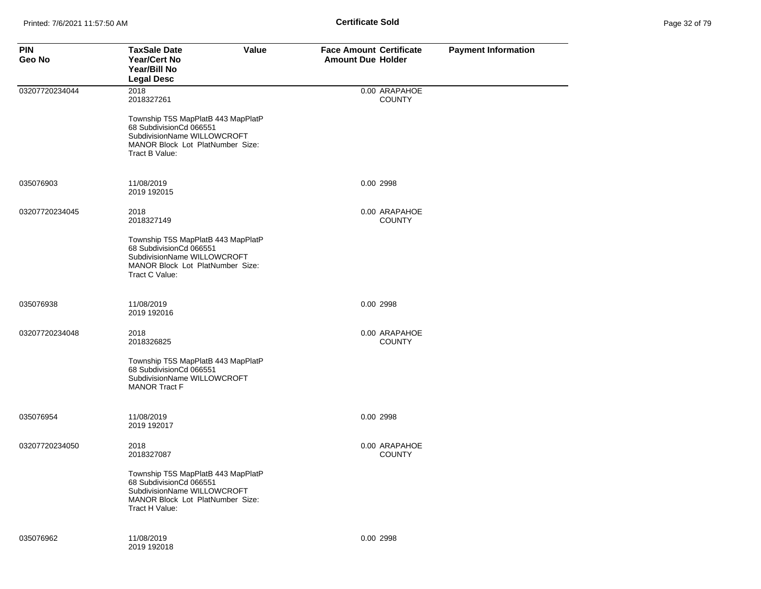| <b>PIN</b><br>Geo No | <b>TaxSale Date</b><br>Value<br><b>Year/Cert No</b><br>Year/Bill No<br><b>Legal Desc</b>                                                           | <b>Face Amount Certificate</b><br><b>Amount Due Holder</b> | <b>Payment Information</b> |
|----------------------|----------------------------------------------------------------------------------------------------------------------------------------------------|------------------------------------------------------------|----------------------------|
| 03207720234044       | 2018<br>2018327261                                                                                                                                 | 0.00 ARAPAHOE<br><b>COUNTY</b>                             |                            |
|                      | Township T5S MapPlatB 443 MapPlatP<br>68 SubdivisionCd 066551<br>SubdivisionName WILLOWCROFT<br>MANOR Block Lot PlatNumber Size:<br>Tract B Value: |                                                            |                            |
| 035076903            | 11/08/2019<br>2019 192015                                                                                                                          | 0.00 2998                                                  |                            |
| 03207720234045       | 2018<br>2018327149                                                                                                                                 | 0.00 ARAPAHOE<br><b>COUNTY</b>                             |                            |
|                      | Township T5S MapPlatB 443 MapPlatP<br>68 SubdivisionCd 066551<br>SubdivisionName WILLOWCROFT<br>MANOR Block Lot PlatNumber Size:<br>Tract C Value: |                                                            |                            |
| 035076938            | 11/08/2019<br>2019 192016                                                                                                                          | 0.00 2998                                                  |                            |
| 03207720234048       | 2018<br>2018326825                                                                                                                                 | 0.00 ARAPAHOE<br><b>COUNTY</b>                             |                            |
|                      | Township T5S MapPlatB 443 MapPlatP<br>68 SubdivisionCd 066551<br>SubdivisionName WILLOWCROFT<br><b>MANOR Tract F</b>                               |                                                            |                            |
| 035076954            | 11/08/2019<br>2019 192017                                                                                                                          | 0.00 2998                                                  |                            |
| 03207720234050       | 2018<br>2018327087                                                                                                                                 | 0.00 ARAPAHOE<br><b>COUNTY</b>                             |                            |
|                      | Township T5S MapPlatB 443 MapPlatP<br>68 SubdivisionCd 066551<br>SubdivisionName WILLOWCROFT<br>MANOR Block Lot PlatNumber Size:<br>Tract H Value: |                                                            |                            |
| 035076962            | 11/08/2019<br>2019 192018                                                                                                                          | 0.00 2998                                                  |                            |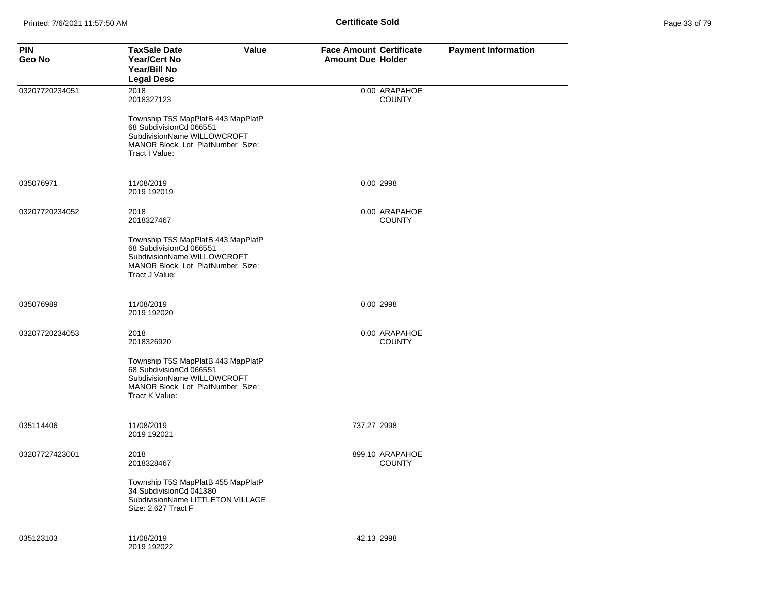| <b>PIN</b><br>Geo No | <b>TaxSale Date</b><br>Value<br><b>Year/Cert No</b><br>Year/Bill No<br><b>Legal Desc</b>                                                           | <b>Face Amount Certificate</b><br><b>Amount Due Holder</b> | <b>Payment Information</b> |
|----------------------|----------------------------------------------------------------------------------------------------------------------------------------------------|------------------------------------------------------------|----------------------------|
| 03207720234051       | 2018<br>2018327123                                                                                                                                 | 0.00 ARAPAHOE<br><b>COUNTY</b>                             |                            |
|                      | Township T5S MapPlatB 443 MapPlatP<br>68 SubdivisionCd 066551<br>SubdivisionName WILLOWCROFT<br>MANOR Block Lot PlatNumber Size:<br>Tract I Value: |                                                            |                            |
| 035076971            | 11/08/2019<br>2019 192019                                                                                                                          | 0.00 2998                                                  |                            |
| 03207720234052       | 2018<br>2018327467                                                                                                                                 | 0.00 ARAPAHOE<br><b>COUNTY</b>                             |                            |
|                      | Township T5S MapPlatB 443 MapPlatP<br>68 SubdivisionCd 066551<br>SubdivisionName WILLOWCROFT<br>MANOR Block Lot PlatNumber Size:<br>Tract J Value: |                                                            |                            |
| 035076989            | 11/08/2019<br>2019 192020                                                                                                                          | 0.00 2998                                                  |                            |
| 03207720234053       | 2018<br>2018326920                                                                                                                                 | 0.00 ARAPAHOE<br><b>COUNTY</b>                             |                            |
|                      | Township T5S MapPlatB 443 MapPlatP<br>68 SubdivisionCd 066551<br>SubdivisionName WILLOWCROFT<br>MANOR Block Lot PlatNumber Size:<br>Tract K Value: |                                                            |                            |
| 035114406            | 11/08/2019<br>2019 192021                                                                                                                          | 737.27 2998                                                |                            |
| 03207727423001       | 2018<br>2018328467                                                                                                                                 | 899.10 ARAPAHOE<br><b>COUNTY</b>                           |                            |
|                      | Township T5S MapPlatB 455 MapPlatP<br>34 SubdivisionCd 041380<br>SubdivisionName LITTLETON VILLAGE<br>Size: 2.627 Tract F                          |                                                            |                            |
| 035123103            | 11/08/2019<br>2019 192022                                                                                                                          | 42.13 2998                                                 |                            |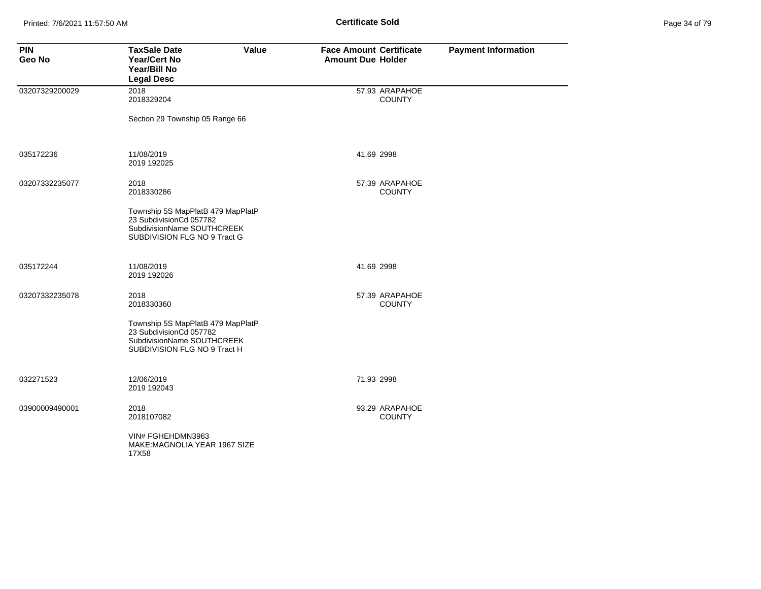| Page 34 of 79 |  |  |
|---------------|--|--|
|---------------|--|--|

| <b>PIN</b><br><b>Geo No</b> | <b>TaxSale Date</b><br>Value<br><b>Year/Cert No</b><br>Year/Bill No<br><b>Legal Desc</b>                                   | <b>Face Amount Certificate</b><br><b>Amount Due Holder</b> | <b>Payment Information</b> |
|-----------------------------|----------------------------------------------------------------------------------------------------------------------------|------------------------------------------------------------|----------------------------|
| 03207329200029              | 2018<br>2018329204                                                                                                         | 57.93 ARAPAHOE<br><b>COUNTY</b>                            |                            |
|                             | Section 29 Township 05 Range 66                                                                                            |                                                            |                            |
| 035172236                   | 11/08/2019<br>2019 192025                                                                                                  | 41.69 2998                                                 |                            |
| 03207332235077              | 2018<br>2018330286                                                                                                         | 57.39 ARAPAHOE<br><b>COUNTY</b>                            |                            |
|                             | Township 5S MapPlatB 479 MapPlatP<br>23 SubdivisionCd 057782<br>SubdivisionName SOUTHCREEK<br>SUBDIVISION FLG NO 9 Tract G |                                                            |                            |
| 035172244                   | 11/08/2019<br>2019 192026                                                                                                  | 41.69 2998                                                 |                            |
| 03207332235078              | 2018<br>2018330360                                                                                                         | 57.39 ARAPAHOE<br><b>COUNTY</b>                            |                            |
|                             | Township 5S MapPlatB 479 MapPlatP<br>23 SubdivisionCd 057782<br>SubdivisionName SOUTHCREEK<br>SUBDIVISION FLG NO 9 Tract H |                                                            |                            |
| 032271523                   | 12/06/2019<br>2019 192043                                                                                                  | 71.93 2998                                                 |                            |
| 03900009490001              | 2018<br>2018107082                                                                                                         | 93.29 ARAPAHOE<br><b>COUNTY</b>                            |                            |
|                             | VIN# FGHEHDMN3963<br>MAKE: MAGNOLIA YEAR 1967 SIZE<br>17X58                                                                |                                                            |                            |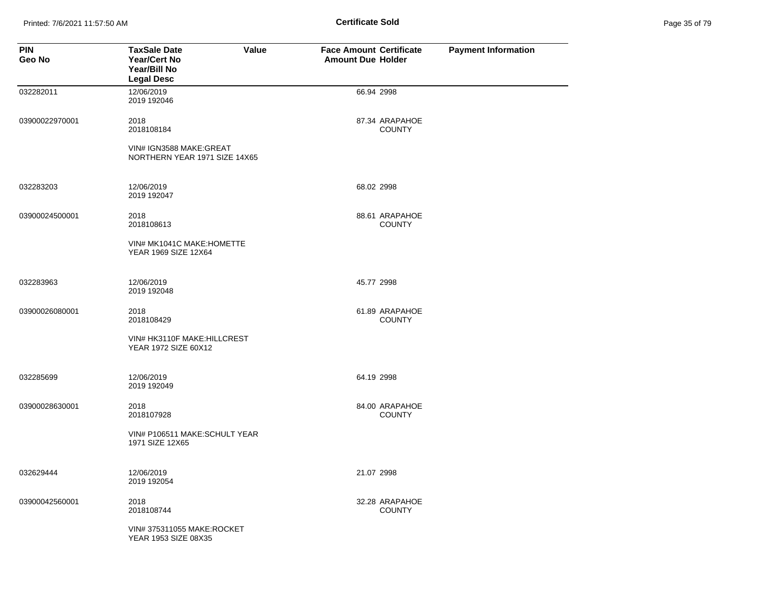Printed: 7/6/2021 11:57:50 AM **Page 35 of 79 of 79 of 79 of 79 of 79 of 79 of 79 of 79 of 79 of 79 of 79 of 79 of 79 of 79 of 79 of 79 of 79 of 79 of 79 of 79 of 79 of 79 of 79 of 79 of 79 of 79 of 79 of 79 of 79 of 79 of** 

| Page 35 of 79 |  |  |  |
|---------------|--|--|--|
|---------------|--|--|--|

| <b>PIN</b><br>Geo No | <b>TaxSale Date</b><br><b>Value</b><br><b>Year/Cert No</b><br>Year/Bill No<br><b>Legal Desc</b> | <b>Face Amount Certificate</b><br><b>Amount Due Holder</b> |                                 | <b>Payment Information</b> |
|----------------------|-------------------------------------------------------------------------------------------------|------------------------------------------------------------|---------------------------------|----------------------------|
| 032282011            | 12/06/2019<br>2019 192046                                                                       | 66.94 2998                                                 |                                 |                            |
| 03900022970001       | 2018<br>2018108184                                                                              |                                                            | 87.34 ARAPAHOE<br><b>COUNTY</b> |                            |
|                      | VIN# IGN3588 MAKE: GREAT<br>NORTHERN YEAR 1971 SIZE 14X65                                       |                                                            |                                 |                            |
| 032283203            | 12/06/2019<br>2019 192047                                                                       | 68.02 2998                                                 |                                 |                            |
| 03900024500001       | 2018<br>2018108613                                                                              |                                                            | 88.61 ARAPAHOE<br><b>COUNTY</b> |                            |
|                      | VIN# MK1041C MAKE: HOMETTE<br>YEAR 1969 SIZE 12X64                                              |                                                            |                                 |                            |
| 032283963            | 12/06/2019<br>2019 192048                                                                       | 45.77 2998                                                 |                                 |                            |
| 03900026080001       | 2018<br>2018108429                                                                              |                                                            | 61.89 ARAPAHOE<br><b>COUNTY</b> |                            |
|                      | VIN# HK3110F MAKE: HILLCREST<br>YEAR 1972 SIZE 60X12                                            |                                                            |                                 |                            |
| 032285699            | 12/06/2019<br>2019 192049                                                                       | 64.19 2998                                                 |                                 |                            |
| 03900028630001       | 2018<br>2018107928                                                                              |                                                            | 84.00 ARAPAHOE<br><b>COUNTY</b> |                            |
|                      | VIN# P106511 MAKE:SCHULT YEAR<br>1971 SIZE 12X65                                                |                                                            |                                 |                            |
| 032629444            | 12/06/2019<br>2019 192054                                                                       | 21.07 2998                                                 |                                 |                            |
| 03900042560001       | 2018<br>2018108744                                                                              |                                                            | 32.28 ARAPAHOE<br><b>COUNTY</b> |                            |
|                      | VIN# 375311055 MAKE:ROCKET<br>YEAR 1953 SIZE 08X35                                              |                                                            |                                 |                            |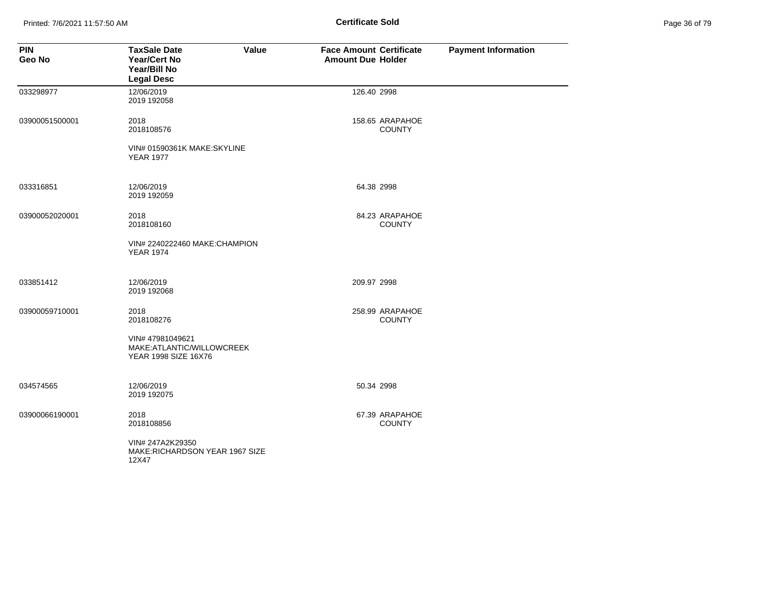Printed: 7/6/2021 11:57:50 AM **Page 36 of 79 of 79 of 79 of 79 of 79 of 79 of 79 of 79 of 79 of 79 of 79 of 79 of 79 of 79 of 79 of 79 of 79 of 79 of 79 of 79 of 79 of 79 of 79 of 79 of 79 of 79 of 79 of 79 of 79 of 79 of** 

| Page 36 of 79 |  |  |  |
|---------------|--|--|--|
|---------------|--|--|--|

| <b>PIN</b><br>Geo No | <b>TaxSale Date</b><br>Value<br><b>Year/Cert No</b><br>Year/Bill No<br><b>Legal Desc</b> | <b>Face Amount Certificate</b><br><b>Amount Due Holder</b> | <b>Payment Information</b> |
|----------------------|------------------------------------------------------------------------------------------|------------------------------------------------------------|----------------------------|
| 033298977            | 12/06/2019<br>2019 192058                                                                | 126.40 2998                                                |                            |
| 03900051500001       | 2018<br>2018108576                                                                       | 158.65 ARAPAHOE<br><b>COUNTY</b>                           |                            |
|                      | VIN# 01590361K MAKE:SKYLINE<br><b>YEAR 1977</b>                                          |                                                            |                            |
| 033316851            | 12/06/2019<br>2019 192059                                                                | 64.38 2998                                                 |                            |
| 03900052020001       | 2018<br>2018108160                                                                       | 84.23 ARAPAHOE<br><b>COUNTY</b>                            |                            |
|                      | VIN# 2240222460 MAKE:CHAMPION<br><b>YEAR 1974</b>                                        |                                                            |                            |
| 033851412            | 12/06/2019<br>2019 192068                                                                | 209.97 2998                                                |                            |
| 03900059710001       | 2018<br>2018108276                                                                       | 258.99 ARAPAHOE<br><b>COUNTY</b>                           |                            |
|                      | VIN# 47981049621<br>MAKE:ATLANTIC/WILLOWCREEK<br>YEAR 1998 SIZE 16X76                    |                                                            |                            |
| 034574565            | 12/06/2019<br>2019 192075                                                                | 50.34 2998                                                 |                            |
| 03900066190001       | 2018<br>2018108856                                                                       | 67.39 ARAPAHOE<br><b>COUNTY</b>                            |                            |
|                      | VIN# 247A2K29350<br>MAKE:RICHARDSON YEAR 1967 SIZE<br>12X47                              |                                                            |                            |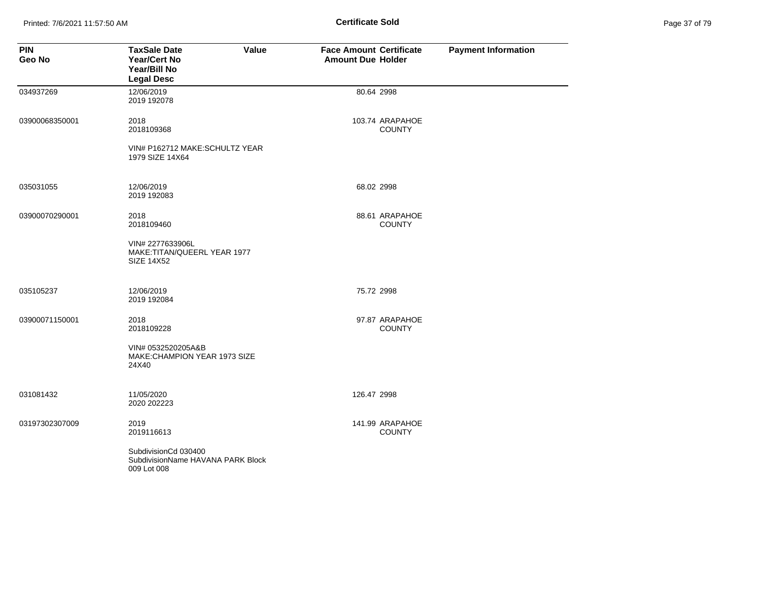Printed: 7/6/2021 11:57:50 AM **Page 37 of 79 of 79 of 79 of 79 of 79 of 79 of 79 of 79 of 79 of 79 of 79 of 79 of 79 of 79 of 79 of 79 of 79 of 79 of 79 of 79 of 79 of 79 of 79 of 79 of 79 of 79 of 79 of 79 of 79 of 79 of** 

| Page 37 of 79 |  |  |  |
|---------------|--|--|--|
|---------------|--|--|--|

| <b>PIN</b><br>Geo No | <b>TaxSale Date</b><br>Value<br>Year/Cert No<br>Year/Bill No<br><b>Legal Desc</b> | <b>Face Amount Certificate</b><br><b>Amount Due Holder</b> | <b>Payment Information</b> |
|----------------------|-----------------------------------------------------------------------------------|------------------------------------------------------------|----------------------------|
| 034937269            | 12/06/2019<br>2019 192078                                                         | 80.64 2998                                                 |                            |
| 03900068350001       | 2018<br>2018109368                                                                | 103.74 ARAPAHOE<br><b>COUNTY</b>                           |                            |
|                      | VIN# P162712 MAKE:SCHULTZ YEAR<br>1979 SIZE 14X64                                 |                                                            |                            |
| 035031055            | 12/06/2019<br>2019 192083                                                         | 68.02 2998                                                 |                            |
| 03900070290001       | 2018<br>2018109460                                                                | 88.61 ARAPAHOE<br><b>COUNTY</b>                            |                            |
|                      | VIN# 2277633906L<br>MAKE:TITAN/QUEERL YEAR 1977<br><b>SIZE 14X52</b>              |                                                            |                            |
| 035105237            | 12/06/2019<br>2019 192084                                                         | 75.72 2998                                                 |                            |
| 03900071150001       | 2018<br>2018109228                                                                | 97.87 ARAPAHOE<br><b>COUNTY</b>                            |                            |
|                      | VIN# 0532520205A&B<br>MAKE:CHAMPION YEAR 1973 SIZE<br>24X40                       |                                                            |                            |
| 031081432            | 11/05/2020<br>2020 202223                                                         | 126.47 2998                                                |                            |
| 03197302307009       | 2019<br>2019116613                                                                | 141.99 ARAPAHOE<br><b>COUNTY</b>                           |                            |
|                      | SubdivisionCd 030400<br>SubdivisionName HAVANA PARK Block<br>009 Lot 008          |                                                            |                            |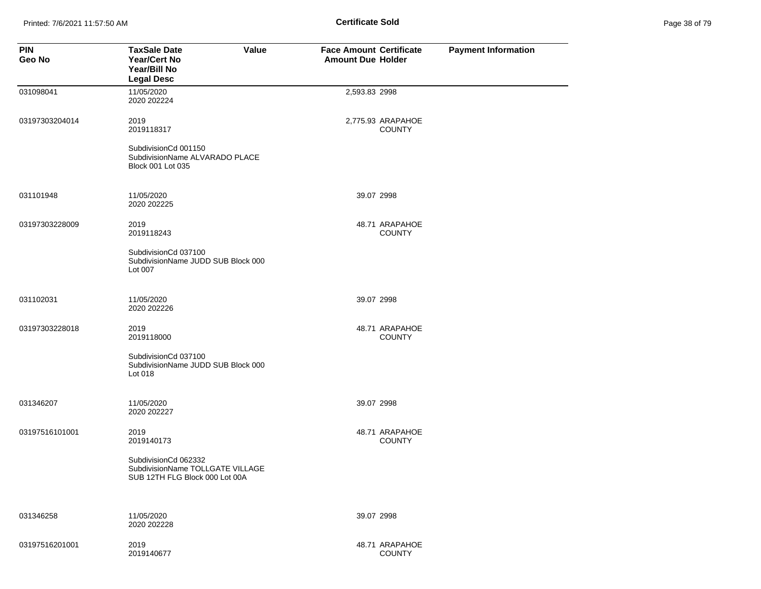Printed: 7/6/2021 11:57:50 AM **Page 38 of 79 of 79 of 79 of 79 of 79 of 79 of 79 of 79 of 79 of 79 of 79 of 79 of 79 of 79 of 79 of 79 of 79 of 79 of 79 of 79 of 79 of 79 of 79 of 79 of 79 of 79 of 79 of 79 of 79 of 79 of** 

| Page 38 of 79 |  |  |  |
|---------------|--|--|--|
|---------------|--|--|--|

| <b>PIN</b><br>Geo No | <b>TaxSale Date</b><br>Value<br><b>Year/Cert No</b><br>Year/Bill No<br><b>Legal Desc</b>   | <b>Face Amount Certificate</b><br><b>Amount Due Holder</b> | <b>Payment Information</b> |
|----------------------|--------------------------------------------------------------------------------------------|------------------------------------------------------------|----------------------------|
| 031098041            | 11/05/2020<br>2020 202224                                                                  | 2,593.83 2998                                              |                            |
| 03197303204014       | 2019<br>2019118317<br>SubdivisionCd 001150                                                 | 2,775.93 ARAPAHOE<br><b>COUNTY</b>                         |                            |
|                      | SubdivisionName ALVARADO PLACE<br>Block 001 Lot 035                                        |                                                            |                            |
| 031101948            | 11/05/2020<br>2020 202225                                                                  | 39.07 2998                                                 |                            |
| 03197303228009       | 2019<br>2019118243                                                                         | 48.71 ARAPAHOE<br><b>COUNTY</b>                            |                            |
|                      | SubdivisionCd 037100<br>SubdivisionName JUDD SUB Block 000<br>Lot 007                      |                                                            |                            |
| 031102031            | 11/05/2020<br>2020 202226                                                                  | 39.07 2998                                                 |                            |
| 03197303228018       | 2019<br>2019118000                                                                         | 48.71 ARAPAHOE<br><b>COUNTY</b>                            |                            |
|                      | SubdivisionCd 037100<br>SubdivisionName JUDD SUB Block 000<br>Lot 018                      |                                                            |                            |
| 031346207            | 11/05/2020<br>2020 202227                                                                  | 39.07 2998                                                 |                            |
| 03197516101001       | 2019<br>2019140173                                                                         | 48.71 ARAPAHOE<br><b>COUNTY</b>                            |                            |
|                      | SubdivisionCd 062332<br>SubdivisionName TOLLGATE VILLAGE<br>SUB 12TH FLG Block 000 Lot 00A |                                                            |                            |
| 031346258            | 11/05/2020<br>2020 202228                                                                  | 39.07 2998                                                 |                            |
| 03197516201001       | 2019<br>2019140677                                                                         | 48.71 ARAPAHOE<br><b>COUNTY</b>                            |                            |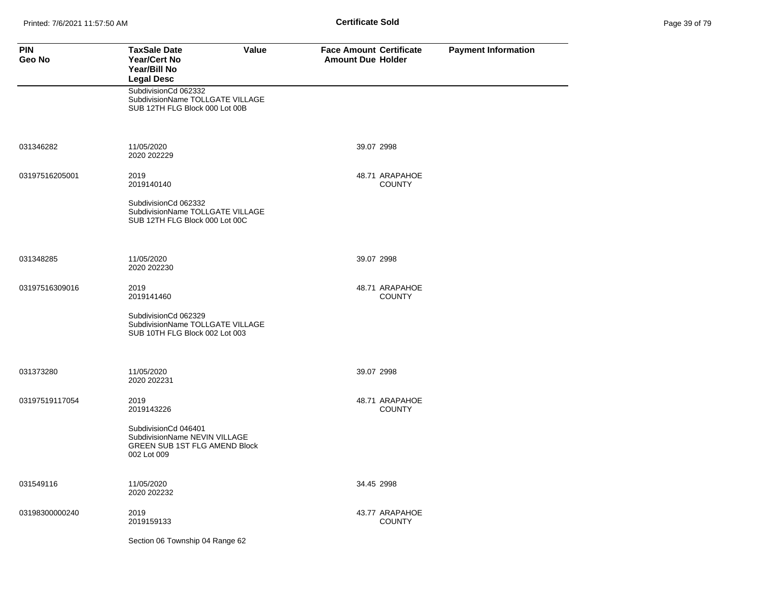| Page 39 of 79 |  |  |
|---------------|--|--|
|               |  |  |

| <b>PIN</b><br>Geo No | <b>TaxSale Date</b><br>Value<br><b>Year/Cert No</b><br>Year/Bill No<br><b>Legal Desc</b>                     | <b>Face Amount Certificate</b><br><b>Amount Due Holder</b> | <b>Payment Information</b> |
|----------------------|--------------------------------------------------------------------------------------------------------------|------------------------------------------------------------|----------------------------|
|                      | SubdivisionCd 062332<br>SubdivisionName TOLLGATE VILLAGE<br>SUB 12TH FLG Block 000 Lot 00B                   |                                                            |                            |
| 031346282            | 11/05/2020<br>2020 202229                                                                                    | 39.07 2998                                                 |                            |
| 03197516205001       | 2019<br>2019140140                                                                                           | 48.71 ARAPAHOE<br><b>COUNTY</b>                            |                            |
|                      | SubdivisionCd 062332<br>SubdivisionName TOLLGATE VILLAGE<br>SUB 12TH FLG Block 000 Lot 00C                   |                                                            |                            |
| 031348285            | 11/05/2020<br>2020 202230                                                                                    | 39.07 2998                                                 |                            |
| 03197516309016       | 2019<br>2019141460                                                                                           | 48.71 ARAPAHOE<br><b>COUNTY</b>                            |                            |
|                      | SubdivisionCd 062329<br>SubdivisionName TOLLGATE VILLAGE<br>SUB 10TH FLG Block 002 Lot 003                   |                                                            |                            |
| 031373280            | 11/05/2020<br>2020 202231                                                                                    | 39.07 2998                                                 |                            |
| 03197519117054       | 2019<br>2019143226                                                                                           | 48.71 ARAPAHOE<br><b>COUNTY</b>                            |                            |
|                      | SubdivisionCd 046401<br>SubdivisionName NEVIN VILLAGE<br><b>GREEN SUB 1ST FLG AMEND Block</b><br>002 Lot 009 |                                                            |                            |
| 031549116            | 11/05/2020<br>2020 202232                                                                                    | 34.45 2998                                                 |                            |
| 03198300000240       | 2019<br>2019159133                                                                                           | 43.77 ARAPAHOE<br><b>COUNTY</b>                            |                            |
|                      | Section 06 Township 04 Range 62                                                                              |                                                            |                            |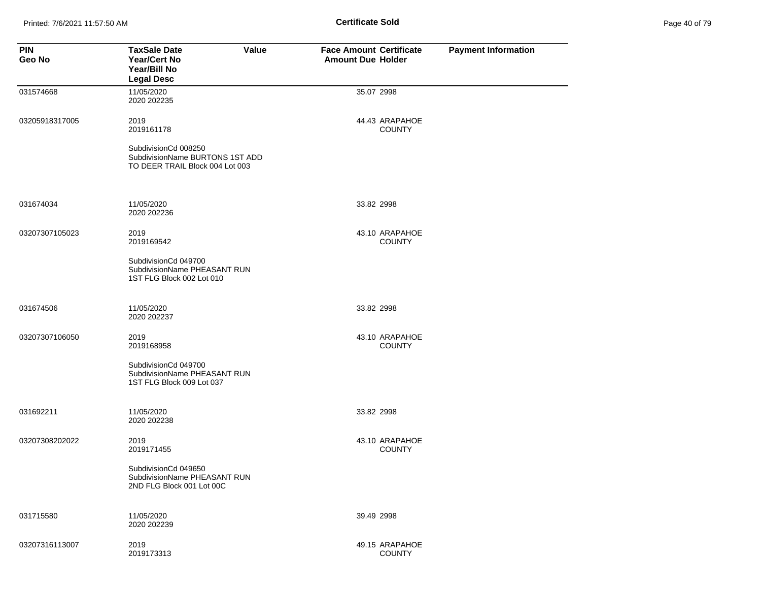Printed: 7/6/2021 11:57:50 AM **Page 40 of 79 of 79 of 79 of 79 of 79 of 79 of 79 of 79 of 79 of 79 of 79 of 79 of 79 of 79 of 79 of 79 of 79 of 79 of 79 of 79 of 79 of 79 of 79 of 79 of 79 of 79 of 79 of 79 of 79 of 79 of** 

| Page 40 of 79 |  |  |  |
|---------------|--|--|--|
|---------------|--|--|--|

| <b>PIN</b><br>Geo No | <b>TaxSale Date</b><br><b>Year/Cert No</b><br>Year/Bill No<br><b>Legal Desc</b>   | Value | <b>Face Amount Certificate</b><br><b>Amount Due Holder</b> | <b>Payment Information</b> |
|----------------------|-----------------------------------------------------------------------------------|-------|------------------------------------------------------------|----------------------------|
| 031574668            | 11/05/2020<br>2020 202235                                                         |       | 35.07 2998                                                 |                            |
| 03205918317005       | 2019<br>2019161178<br>SubdivisionCd 008250<br>SubdivisionName BURTONS 1ST ADD     |       | 44.43 ARAPAHOE<br><b>COUNTY</b>                            |                            |
|                      | TO DEER TRAIL Block 004 Lot 003                                                   |       |                                                            |                            |
| 031674034            | 11/05/2020<br>2020 202236                                                         |       | 33.82 2998                                                 |                            |
| 03207307105023       | 2019<br>2019169542                                                                |       | 43.10 ARAPAHOE<br><b>COUNTY</b>                            |                            |
|                      | SubdivisionCd 049700<br>SubdivisionName PHEASANT RUN<br>1ST FLG Block 002 Lot 010 |       |                                                            |                            |
| 031674506            | 11/05/2020<br>2020 202237                                                         |       | 33.82 2998                                                 |                            |
| 03207307106050       | 2019<br>2019168958                                                                |       | 43.10 ARAPAHOE<br><b>COUNTY</b>                            |                            |
|                      | SubdivisionCd 049700<br>SubdivisionName PHEASANT RUN<br>1ST FLG Block 009 Lot 037 |       |                                                            |                            |
| 031692211            | 11/05/2020<br>2020 202238                                                         |       | 33.82 2998                                                 |                            |
| 03207308202022       | 2019<br>2019171455                                                                |       | 43.10 ARAPAHOE<br><b>COUNTY</b>                            |                            |
|                      | SubdivisionCd 049650<br>SubdivisionName PHEASANT RUN<br>2ND FLG Block 001 Lot 00C |       |                                                            |                            |
| 031715580            | 11/05/2020<br>2020 202239                                                         |       | 39.49 2998                                                 |                            |
| 03207316113007       | 2019<br>2019173313                                                                |       | 49.15 ARAPAHOE<br><b>COUNTY</b>                            |                            |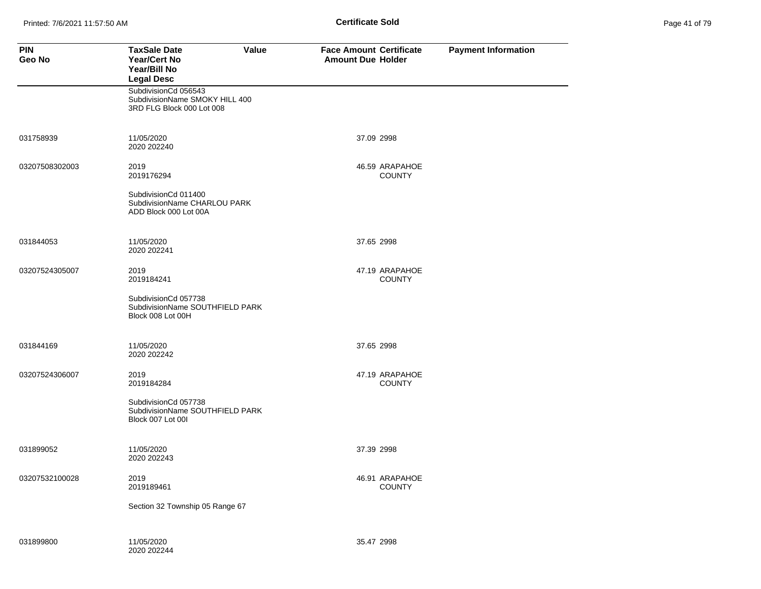| Page 41 of 79 |  |  |  |
|---------------|--|--|--|
|---------------|--|--|--|

| <b>PIN</b><br>Geo No | <b>TaxSale Date</b><br>Value<br><b>Year/Cert No</b><br>Year/Bill No<br><b>Legal Desc</b> | <b>Face Amount Certificate</b><br><b>Amount Due Holder</b> | <b>Payment Information</b> |
|----------------------|------------------------------------------------------------------------------------------|------------------------------------------------------------|----------------------------|
|                      | SubdivisionCd 056543<br>SubdivisionName SMOKY HILL 400<br>3RD FLG Block 000 Lot 008      |                                                            |                            |
| 031758939            | 11/05/2020<br>2020 202240                                                                | 37.09 2998                                                 |                            |
| 03207508302003       | 2019<br>2019176294                                                                       | 46.59 ARAPAHOE<br><b>COUNTY</b>                            |                            |
|                      | SubdivisionCd 011400<br>SubdivisionName CHARLOU PARK<br>ADD Block 000 Lot 00A            |                                                            |                            |
| 031844053            | 11/05/2020<br>2020 202241                                                                | 37.65 2998                                                 |                            |
| 03207524305007       | 2019<br>2019184241                                                                       | 47.19 ARAPAHOE<br><b>COUNTY</b>                            |                            |
|                      | SubdivisionCd 057738<br>SubdivisionName SOUTHFIELD PARK<br>Block 008 Lot 00H             |                                                            |                            |
| 031844169            | 11/05/2020<br>2020 202242                                                                | 37.65 2998                                                 |                            |
| 03207524306007       | 2019<br>2019184284                                                                       | 47.19 ARAPAHOE<br><b>COUNTY</b>                            |                            |
|                      | SubdivisionCd 057738<br>SubdivisionName SOUTHFIELD PARK<br>Block 007 Lot 001             |                                                            |                            |
| 031899052            | 11/05/2020<br>2020 202243                                                                | 37.39 2998                                                 |                            |
| 03207532100028       | 2019<br>2019189461                                                                       | 46.91 ARAPAHOE<br><b>COUNTY</b>                            |                            |
|                      | Section 32 Township 05 Range 67                                                          |                                                            |                            |
| 031899800            | 11/05/2020<br>2020 202244                                                                | 35.47 2998                                                 |                            |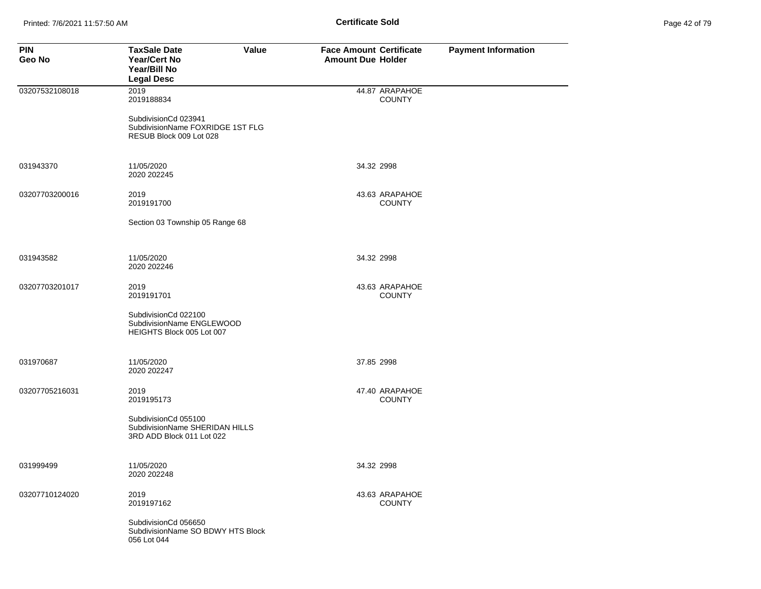| Page 42 of 79 |  |  |
|---------------|--|--|
|---------------|--|--|

| <b>PIN</b><br>Geo No | <b>TaxSale Date</b><br>Value<br><b>Year/Cert No</b><br>Year/Bill No<br><b>Legal Desc</b> | <b>Face Amount Certificate</b><br><b>Amount Due Holder</b> | <b>Payment Information</b> |
|----------------------|------------------------------------------------------------------------------------------|------------------------------------------------------------|----------------------------|
| 03207532108018       | 2019<br>2019188834                                                                       | 44.87 ARAPAHOE<br><b>COUNTY</b>                            |                            |
|                      | SubdivisionCd 023941<br>SubdivisionName FOXRIDGE 1ST FLG<br>RESUB Block 009 Lot 028      |                                                            |                            |
| 031943370            | 11/05/2020<br>2020 202245                                                                | 34.32 2998                                                 |                            |
| 03207703200016       | 2019<br>2019191700                                                                       | 43.63 ARAPAHOE<br><b>COUNTY</b>                            |                            |
|                      | Section 03 Township 05 Range 68                                                          |                                                            |                            |
| 031943582            | 11/05/2020<br>2020 202246                                                                | 34.32 2998                                                 |                            |
| 03207703201017       | 2019<br>2019191701                                                                       | 43.63 ARAPAHOE<br><b>COUNTY</b>                            |                            |
|                      | SubdivisionCd 022100<br>SubdivisionName ENGLEWOOD<br>HEIGHTS Block 005 Lot 007           |                                                            |                            |
| 031970687            | 11/05/2020<br>2020 202247                                                                | 37.85 2998                                                 |                            |
| 03207705216031       | 2019<br>2019195173                                                                       | 47.40 ARAPAHOE<br><b>COUNTY</b>                            |                            |
|                      | SubdivisionCd 055100<br>SubdivisionName SHERIDAN HILLS<br>3RD ADD Block 011 Lot 022      |                                                            |                            |
| 031999499            | 11/05/2020<br>2020 202248                                                                | 34.32 2998                                                 |                            |
| 03207710124020       | 2019<br>2019197162                                                                       | 43.63 ARAPAHOE<br><b>COUNTY</b>                            |                            |
|                      | SubdivisionCd 056650<br>SubdivisionName SO BDWY HTS Block<br>056 Lot 044                 |                                                            |                            |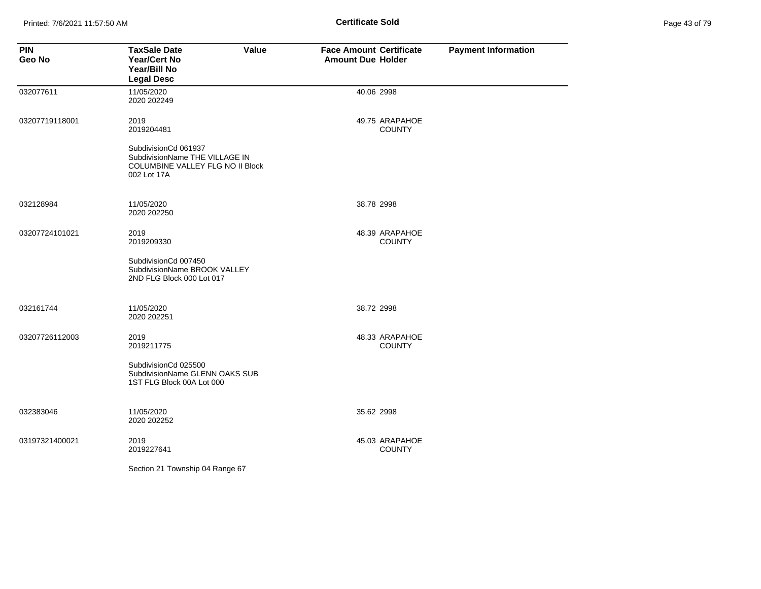Printed: 7/6/2021 11:57:50 AM **Page 43 of 79 of 79 of 79 of 79 of 79 of 79 of 79 of 79 of 79 of 79 of 79 of 79 of 79 of 79 of 79 of 79 of 79 of 79 of 79 of 79 of 79 of 79 of 79 of 79 of 79 of 79 of 79 of 79 of 79 of 79 of** 

| Page 43 of 79 |  |  |  |
|---------------|--|--|--|
|---------------|--|--|--|

| <b>PIN</b><br>Geo No | <b>TaxSale Date</b><br>Value<br><b>Year/Cert No</b><br>Year/Bill No<br><b>Legal Desc</b>                  | <b>Face Amount Certificate</b><br><b>Amount Due Holder</b> | <b>Payment Information</b> |
|----------------------|-----------------------------------------------------------------------------------------------------------|------------------------------------------------------------|----------------------------|
| 032077611            | 11/05/2020<br>2020 202249                                                                                 | 40.06 2998                                                 |                            |
| 03207719118001       | 2019<br>2019204481                                                                                        | 49.75 ARAPAHOE<br><b>COUNTY</b>                            |                            |
|                      | SubdivisionCd 061937<br>SubdivisionName THE VILLAGE IN<br>COLUMBINE VALLEY FLG NO II Block<br>002 Lot 17A |                                                            |                            |
| 032128984            | 11/05/2020<br>2020 202250                                                                                 | 38.78 2998                                                 |                            |
| 03207724101021       | 2019<br>2019209330                                                                                        | 48.39 ARAPAHOE<br><b>COUNTY</b>                            |                            |
|                      | SubdivisionCd 007450<br>SubdivisionName BROOK VALLEY<br>2ND FLG Block 000 Lot 017                         |                                                            |                            |
| 032161744            | 11/05/2020<br>2020 202251                                                                                 | 38.72 2998                                                 |                            |
| 03207726112003       | 2019<br>2019211775                                                                                        | 48.33 ARAPAHOE<br><b>COUNTY</b>                            |                            |
|                      | SubdivisionCd 025500<br>SubdivisionName GLENN OAKS SUB<br>1ST FLG Block 00A Lot 000                       |                                                            |                            |
| 032383046            | 11/05/2020<br>2020 202252                                                                                 | 35.62 2998                                                 |                            |
| 03197321400021       | 2019<br>2019227641                                                                                        | 45.03 ARAPAHOE<br><b>COUNTY</b>                            |                            |
|                      | Section 21 Township 04 Range 67                                                                           |                                                            |                            |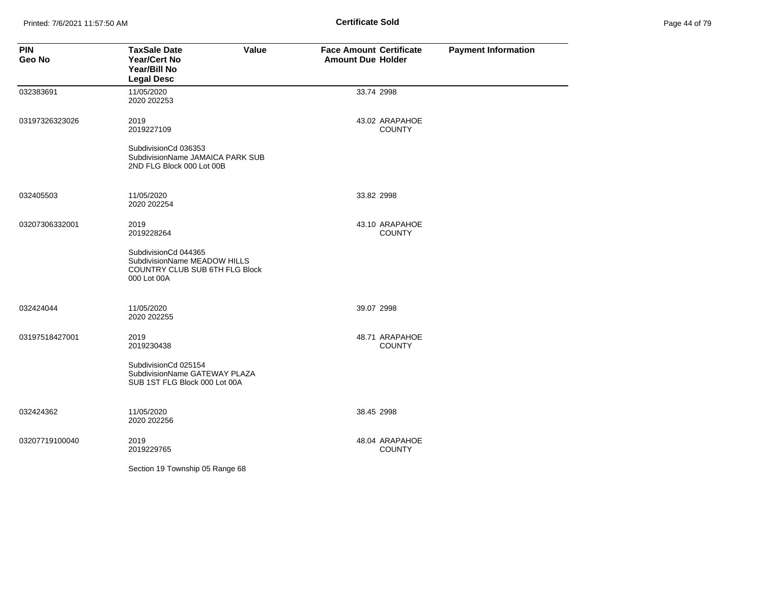Printed: 7/6/2021 11:57:50 AM **Page 44 of 71 of 79 of 71 of 71 of 71 of 71 of 71 of 71 of 74 of 74 of 74 of 74 of 74 of 74 of 74 of 74 of 74 of 74 of 74 of 74 of 74 of 74 of 74 of 74 of 74 of 74 of 74 of 74 of 74 of 74 of** 

| Page 44 of 79 |  |  |  |
|---------------|--|--|--|
|---------------|--|--|--|

| <b>PIN</b><br>Geo No | <b>TaxSale Date</b><br>Value<br><b>Year/Cert No</b><br>Year/Bill No<br><b>Legal Desc</b>              | <b>Face Amount Certificate</b><br><b>Amount Due Holder</b> | <b>Payment Information</b> |
|----------------------|-------------------------------------------------------------------------------------------------------|------------------------------------------------------------|----------------------------|
| 032383691            | 11/05/2020<br>2020 202253                                                                             | 33.74 2998                                                 |                            |
| 03197326323026       | 2019<br>2019227109                                                                                    | 43.02 ARAPAHOE<br><b>COUNTY</b>                            |                            |
|                      | SubdivisionCd 036353<br>SubdivisionName JAMAICA PARK SUB<br>2ND FLG Block 000 Lot 00B                 |                                                            |                            |
| 032405503            | 11/05/2020<br>2020 202254                                                                             | 33.82 2998                                                 |                            |
| 03207306332001       | 2019<br>2019228264                                                                                    | 43.10 ARAPAHOE<br><b>COUNTY</b>                            |                            |
|                      | SubdivisionCd 044365<br>SubdivisionName MEADOW HILLS<br>COUNTRY CLUB SUB 6TH FLG Block<br>000 Lot 00A |                                                            |                            |
| 032424044            | 11/05/2020<br>2020 202255                                                                             | 39.07 2998                                                 |                            |
| 03197518427001       | 2019<br>2019230438                                                                                    | 48.71 ARAPAHOE<br><b>COUNTY</b>                            |                            |
|                      | SubdivisionCd 025154<br>SubdivisionName GATEWAY PLAZA<br>SUB 1ST FLG Block 000 Lot 00A                |                                                            |                            |
| 032424362            | 11/05/2020<br>2020 202256                                                                             | 38.45 2998                                                 |                            |
| 03207719100040       | 2019<br>2019229765                                                                                    | 48.04 ARAPAHOE<br><b>COUNTY</b>                            |                            |
|                      | Section 19 Township 05 Range 68                                                                       |                                                            |                            |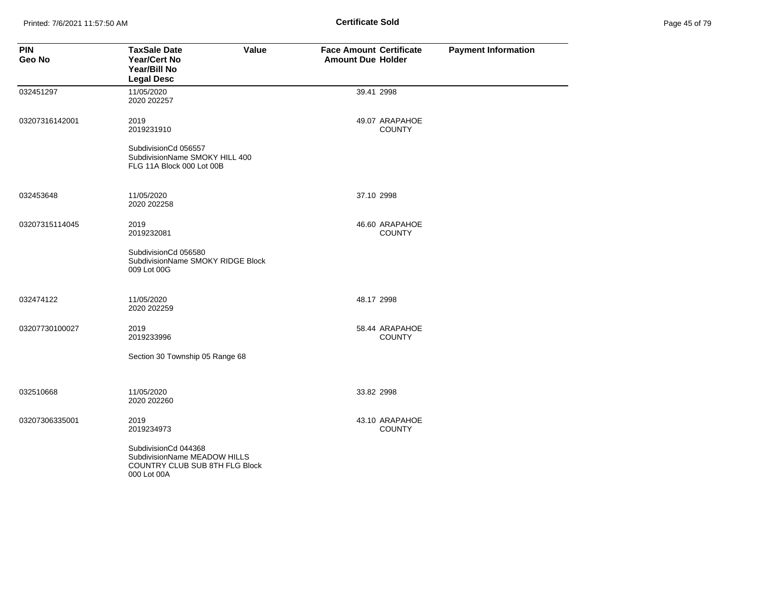Printed: 7/6/2021 11:57:50 AM **Page 45 of 79 of 79 of 79 of 79 of 79 of 79 of 79 of 79 of 79 of 79 of 79 of 79 of 79 of 79 of 79 of 79 of 79 of 79 of 79 of 79 of 79 of 79 of 79 of 79 of 79 of 79 of 79 of 79 of 79 of 79 of** 

| Page 45 of 79 |  |  |  |
|---------------|--|--|--|
|---------------|--|--|--|

| <b>PIN</b><br>Geo No | <b>TaxSale Date</b><br><b>Year/Cert No</b><br>Year/Bill No<br><b>Legal Desc</b>                       | Value | <b>Face Amount Certificate</b><br><b>Amount Due Holder</b> |                                 | <b>Payment Information</b> |
|----------------------|-------------------------------------------------------------------------------------------------------|-------|------------------------------------------------------------|---------------------------------|----------------------------|
| 032451297            | 11/05/2020<br>2020 202257                                                                             |       | 39.41 2998                                                 |                                 |                            |
| 03207316142001       | 2019<br>2019231910                                                                                    |       |                                                            | 49.07 ARAPAHOE<br><b>COUNTY</b> |                            |
|                      | SubdivisionCd 056557<br>SubdivisionName SMOKY HILL 400<br>FLG 11A Block 000 Lot 00B                   |       |                                                            |                                 |                            |
| 032453648            | 11/05/2020<br>2020 202258                                                                             |       | 37.10 2998                                                 |                                 |                            |
| 03207315114045       | 2019<br>2019232081                                                                                    |       |                                                            | 46.60 ARAPAHOE<br><b>COUNTY</b> |                            |
|                      | SubdivisionCd 056580<br>SubdivisionName SMOKY RIDGE Block<br>009 Lot 00G                              |       |                                                            |                                 |                            |
| 032474122            | 11/05/2020<br>2020 202259                                                                             |       | 48.17 2998                                                 |                                 |                            |
| 03207730100027       | 2019<br>2019233996                                                                                    |       |                                                            | 58.44 ARAPAHOE<br><b>COUNTY</b> |                            |
|                      | Section 30 Township 05 Range 68                                                                       |       |                                                            |                                 |                            |
| 032510668            | 11/05/2020<br>2020 202260                                                                             |       | 33.82 2998                                                 |                                 |                            |
| 03207306335001       | 2019<br>2019234973                                                                                    |       |                                                            | 43.10 ARAPAHOE<br><b>COUNTY</b> |                            |
|                      | SubdivisionCd 044368<br>SubdivisionName MEADOW HILLS<br>COUNTRY CLUB SUB 8TH FLG Block<br>000 Lot 00A |       |                                                            |                                 |                            |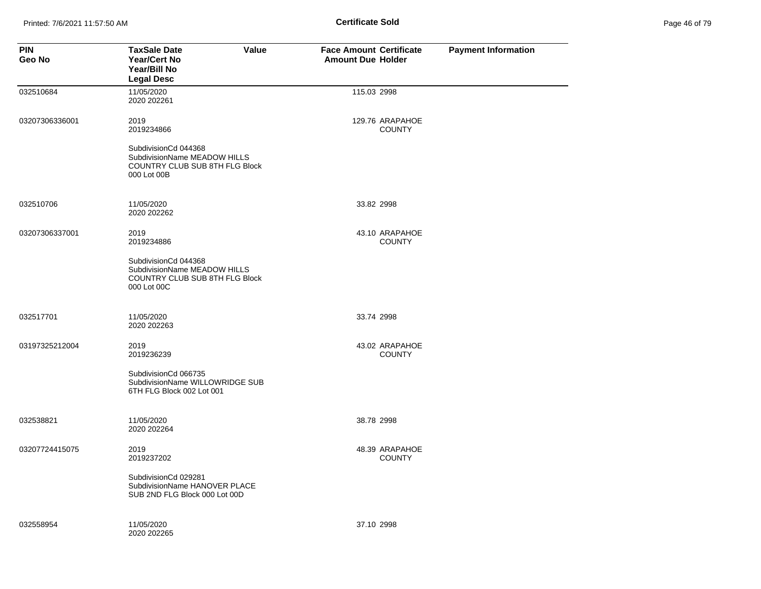Printed: 7/6/2021 11:57:50 AM **Page 46 of 79 of 79 of 79 of 70 of 70 of 71 of 79 of 79 of 79 of 79 of 79 of 79 of 79 of 79 of 79 of 79 of 79 of 79 of 79 of 79 of 79 of 79 of 79 of 79 of 79 of 79 of 79 of 79 of 79 of 79 of** 

| Page 46 of 79 |  |  |  |
|---------------|--|--|--|
|---------------|--|--|--|

| <b>PIN</b><br>Geo No | <b>TaxSale Date</b><br><b>Value</b><br><b>Year/Cert No</b><br>Year/Bill No<br><b>Legal Desc</b>       | <b>Face Amount Certificate</b><br><b>Amount Due Holder</b> | <b>Payment Information</b> |
|----------------------|-------------------------------------------------------------------------------------------------------|------------------------------------------------------------|----------------------------|
| 032510684            | 11/05/2020<br>2020 202261                                                                             | 115.03 2998                                                |                            |
| 03207306336001       | 2019<br>2019234866                                                                                    | 129.76 ARAPAHOE<br><b>COUNTY</b>                           |                            |
|                      | SubdivisionCd 044368<br>SubdivisionName MEADOW HILLS<br>COUNTRY CLUB SUB 8TH FLG Block<br>000 Lot 00B |                                                            |                            |
| 032510706            | 11/05/2020<br>2020 202262                                                                             | 33.82 2998                                                 |                            |
| 03207306337001       | 2019<br>2019234886                                                                                    | 43.10 ARAPAHOE<br><b>COUNTY</b>                            |                            |
|                      | SubdivisionCd 044368<br>SubdivisionName MEADOW HILLS<br>COUNTRY CLUB SUB 8TH FLG Block<br>000 Lot 00C |                                                            |                            |
| 032517701            | 11/05/2020<br>2020 202263                                                                             | 33.74 2998                                                 |                            |
| 03197325212004       | 2019<br>2019236239                                                                                    | 43.02 ARAPAHOE<br><b>COUNTY</b>                            |                            |
|                      | SubdivisionCd 066735<br>SubdivisionName WILLOWRIDGE SUB<br>6TH FLG Block 002 Lot 001                  |                                                            |                            |
| 032538821            | 11/05/2020<br>2020 202264                                                                             | 38.78 2998                                                 |                            |
| 03207724415075       | 2019<br>2019237202                                                                                    | 48.39 ARAPAHOE<br><b>COUNTY</b>                            |                            |
|                      | SubdivisionCd 029281<br>SubdivisionName HANOVER PLACE<br>SUB 2ND FLG Block 000 Lot 00D                |                                                            |                            |
| 032558954            | 11/05/2020<br>2020 202265                                                                             | 37.10 2998                                                 |                            |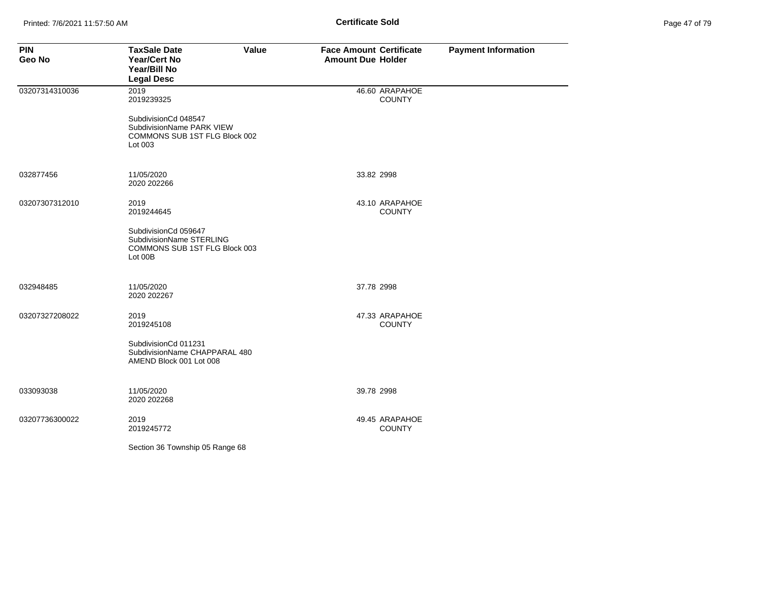| Page 47 of 79 |  |
|---------------|--|
|---------------|--|

| <b>PIN</b><br>Geo No | Value<br><b>TaxSale Date</b><br><b>Year/Cert No</b><br>Year/Bill No<br><b>Legal Desc</b>      | <b>Face Amount Certificate</b><br><b>Amount Due Holder</b> | <b>Payment Information</b> |
|----------------------|-----------------------------------------------------------------------------------------------|------------------------------------------------------------|----------------------------|
| 03207314310036       | 2019<br>2019239325                                                                            | 46.60 ARAPAHOE<br><b>COUNTY</b>                            |                            |
|                      | SubdivisionCd 048547<br>SubdivisionName PARK VIEW<br>COMMONS SUB 1ST FLG Block 002<br>Lot 003 |                                                            |                            |
| 032877456            | 11/05/2020<br>2020 202266                                                                     | 33.82 2998                                                 |                            |
| 03207307312010       | 2019<br>2019244645                                                                            | 43.10 ARAPAHOE<br><b>COUNTY</b>                            |                            |
|                      | SubdivisionCd 059647<br>SubdivisionName STERLING<br>COMMONS SUB 1ST FLG Block 003<br>Lot 00B  |                                                            |                            |
| 032948485            | 11/05/2020<br>2020 202267                                                                     | 37.78 2998                                                 |                            |
| 03207327208022       | 2019<br>2019245108                                                                            | 47.33 ARAPAHOE<br><b>COUNTY</b>                            |                            |
|                      | SubdivisionCd 011231<br>SubdivisionName CHAPPARAL 480<br>AMEND Block 001 Lot 008              |                                                            |                            |
| 033093038            | 11/05/2020<br>2020 202268                                                                     | 39.78 2998                                                 |                            |
| 03207736300022       | 2019<br>2019245772                                                                            | 49.45 ARAPAHOE<br><b>COUNTY</b>                            |                            |
|                      | Section 36 Township 05 Range 68                                                               |                                                            |                            |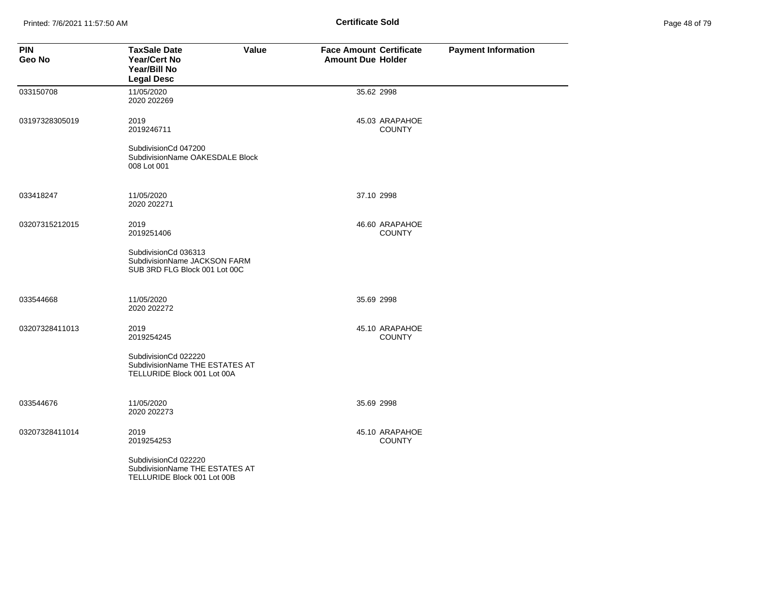Printed: 7/6/2021 11:57:50 AM **Page 48 of 79 of 79 of 79 of 79 of 79 of 79 of 79 of 79 of 79 of 79 of 79 of 79 of 79 of 79 of 79 of 79 of 79 of 79 of 79 of 79 of 79 of 79 of 79 of 79 of 79 of 79 of 79 of 79 of 79 of 79 of** 

| Page 48 of 79 |  |  |  |
|---------------|--|--|--|
|---------------|--|--|--|

| <b>PIN</b><br>Geo No | <b>TaxSale Date</b><br>Value<br><b>Year/Cert No</b><br>Year/Bill No<br><b>Legal Desc</b> | <b>Face Amount Certificate</b><br><b>Amount Due Holder</b> | <b>Payment Information</b> |
|----------------------|------------------------------------------------------------------------------------------|------------------------------------------------------------|----------------------------|
| 033150708            | 11/05/2020<br>2020 202269                                                                | 35.62 2998                                                 |                            |
| 03197328305019       | 2019<br>2019246711                                                                       | 45.03 ARAPAHOE<br><b>COUNTY</b>                            |                            |
|                      | SubdivisionCd 047200<br>SubdivisionName OAKESDALE Block<br>008 Lot 001                   |                                                            |                            |
| 033418247            | 11/05/2020<br>2020 202271                                                                | 37.10 2998                                                 |                            |
| 03207315212015       | 2019<br>2019251406                                                                       | 46.60 ARAPAHOE<br><b>COUNTY</b>                            |                            |
|                      | SubdivisionCd 036313<br>SubdivisionName JACKSON FARM<br>SUB 3RD FLG Block 001 Lot 00C    |                                                            |                            |
| 033544668            | 11/05/2020<br>2020 202272                                                                | 35.69 2998                                                 |                            |
| 03207328411013       | 2019<br>2019254245                                                                       | 45.10 ARAPAHOE<br><b>COUNTY</b>                            |                            |
|                      | SubdivisionCd 022220<br>SubdivisionName THE ESTATES AT<br>TELLURIDE Block 001 Lot 00A    |                                                            |                            |
| 033544676            | 11/05/2020<br>2020 202273                                                                | 35.69 2998                                                 |                            |
| 03207328411014       | 2019<br>2019254253                                                                       | 45.10 ARAPAHOE<br><b>COUNTY</b>                            |                            |
|                      | SubdivisionCd 022220<br>SubdivisionName THE ESTATES AT<br>TELLURIDE Block 001 Lot 00B    |                                                            |                            |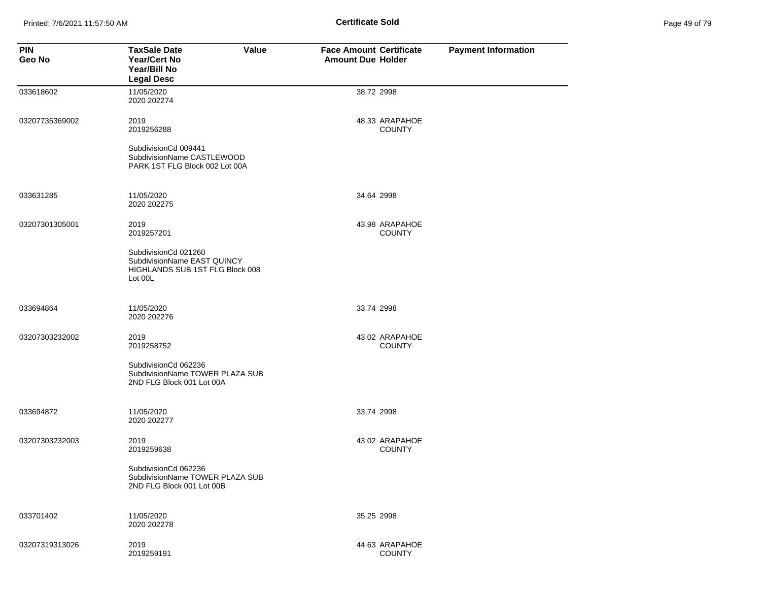Printed: 7/6/2021 11:57:50 AM **Page 49 of 79 of 79 of 79 of 79 of 79 of 79 of 79 of 79 of 79 of 79 of 79 of 79 of 79 of 79 of 79 of 79 of 79 of 79 of 79 of 79 of 79 of 79 of 79 of 79 of 79 of 79 of 79 of 79 of 79 of 79 of** 

| Page 49 of 79 |  |  |  |
|---------------|--|--|--|
|---------------|--|--|--|

| <b>PIN</b><br>Geo No | <b>TaxSale Date</b><br>Value<br><b>Year/Cert No</b><br>Year/Bill No<br><b>Legal Desc</b>                   | <b>Face Amount Certificate</b><br><b>Amount Due Holder</b> | <b>Payment Information</b> |
|----------------------|------------------------------------------------------------------------------------------------------------|------------------------------------------------------------|----------------------------|
| 033618602            | 11/05/2020<br>2020 202274                                                                                  | 38.72 2998                                                 |                            |
| 03207735369002       | 2019<br>2019256288<br>SubdivisionCd 009441<br>SubdivisionName CASTLEWOOD<br>PARK 1ST FLG Block 002 Lot 00A | 48.33 ARAPAHOE<br><b>COUNTY</b>                            |                            |
|                      |                                                                                                            |                                                            |                            |
| 033631285            | 11/05/2020<br>2020 202275                                                                                  | 34.64 2998                                                 |                            |
| 03207301305001       | 2019<br>2019257201                                                                                         | 43.98 ARAPAHOE<br><b>COUNTY</b>                            |                            |
|                      | SubdivisionCd 021260<br>SubdivisionName EAST QUINCY<br>HIGHLANDS SUB 1ST FLG Block 008<br>Lot 00L          |                                                            |                            |
| 033694864            | 11/05/2020<br>2020 202276                                                                                  | 33.74 2998                                                 |                            |
| 03207303232002       | 2019<br>2019258752                                                                                         | 43.02 ARAPAHOE<br><b>COUNTY</b>                            |                            |
|                      | SubdivisionCd 062236<br>SubdivisionName TOWER PLAZA SUB<br>2ND FLG Block 001 Lot 00A                       |                                                            |                            |
| 033694872            | 11/05/2020<br>2020 202277                                                                                  | 33.74 2998                                                 |                            |
| 03207303232003       | 2019<br>2019259638                                                                                         | 43.02 ARAPAHOE<br><b>COUNTY</b>                            |                            |
|                      | SubdivisionCd 062236<br>SubdivisionName TOWER PLAZA SUB<br>2ND FLG Block 001 Lot 00B                       |                                                            |                            |
| 033701402            | 11/05/2020<br>2020 202278                                                                                  | 35.25 2998                                                 |                            |
| 03207319313026       | 2019<br>2019259191                                                                                         | 44.63 ARAPAHOE<br><b>COUNTY</b>                            |                            |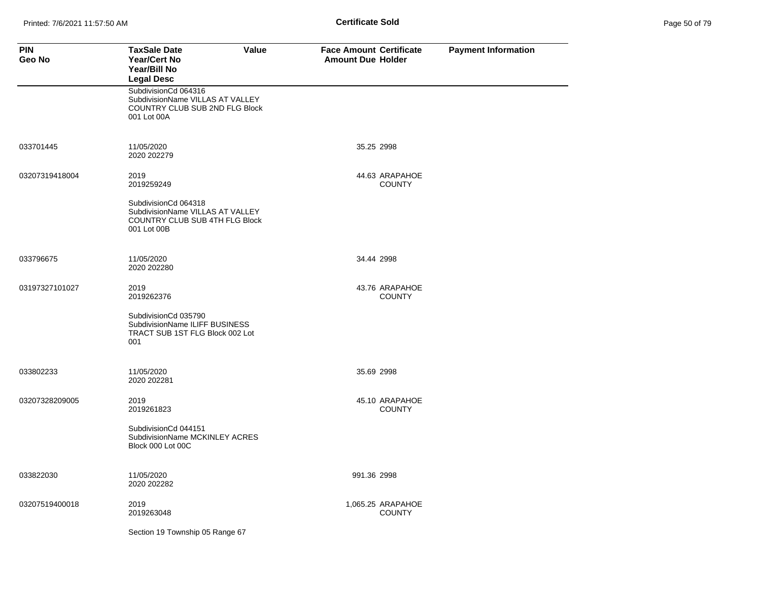| <b>PIN</b><br>Geo No | <b>TaxSale Date</b><br>Value<br><b>Year/Cert No</b><br>Year/Bill No<br><b>Legal Desc</b>                  | <b>Face Amount Certificate</b><br><b>Amount Due Holder</b> | <b>Payment Information</b> |
|----------------------|-----------------------------------------------------------------------------------------------------------|------------------------------------------------------------|----------------------------|
|                      | SubdivisionCd 064316<br>SubdivisionName VILLAS AT VALLEY<br>COUNTRY CLUB SUB 2ND FLG Block<br>001 Lot 00A |                                                            |                            |
| 033701445            | 11/05/2020<br>2020 202279                                                                                 | 35.25 2998                                                 |                            |
| 03207319418004       | 2019<br>2019259249                                                                                        | 44.63 ARAPAHOE<br><b>COUNTY</b>                            |                            |
|                      | SubdivisionCd 064318<br>SubdivisionName VILLAS AT VALLEY<br>COUNTRY CLUB SUB 4TH FLG Block<br>001 Lot 00B |                                                            |                            |
| 033796675            | 11/05/2020<br>2020 202280                                                                                 | 34.44 2998                                                 |                            |
| 03197327101027       | 2019<br>2019262376                                                                                        | 43.76 ARAPAHOE<br><b>COUNTY</b>                            |                            |
|                      | SubdivisionCd 035790<br>SubdivisionName ILIFF BUSINESS<br>TRACT SUB 1ST FLG Block 002 Lot<br>001          |                                                            |                            |
| 033802233            | 11/05/2020<br>2020 202281                                                                                 | 35.69 2998                                                 |                            |
| 03207328209005       | 2019<br>2019261823                                                                                        | 45.10 ARAPAHOE<br><b>COUNTY</b>                            |                            |
|                      | SubdivisionCd 044151<br>SubdivisionName MCKINLEY ACRES<br>Block 000 Lot 00C                               |                                                            |                            |
| 033822030            | 11/05/2020<br>2020 202282                                                                                 | 991.36 2998                                                |                            |
| 03207519400018       | 2019<br>2019263048                                                                                        | 1,065.25 ARAPAHOE<br><b>COUNTY</b>                         |                            |
|                      | Section 19 Township 05 Range 67                                                                           |                                                            |                            |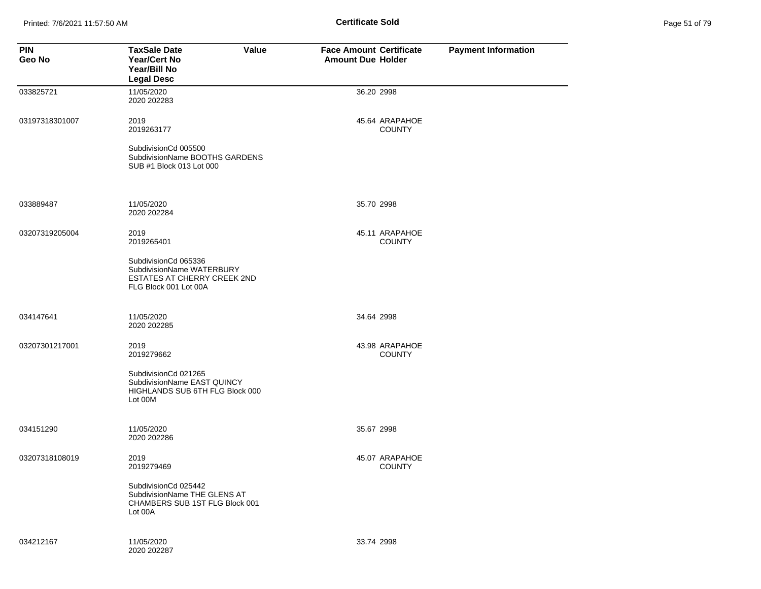Printed: 7/6/2021 11:57:50 AM **Page 11:57:50 AM** Page 51 of 79 of 79 of 79 of 79 of 79 of 79 of 79 of 79 of 79 of 79 of 79 of 79 of 79 of 79 of 79 of 79 of 79 of 79 of 79 of 79 of 79 of 79 of 79 of 79 of 79 of 79 of 79 of

| Page 51 of 79 |  |  |  |
|---------------|--|--|--|
|---------------|--|--|--|

| <b>PIN</b><br>Geo No | <b>TaxSale Date</b><br>Value<br><b>Year/Cert No</b><br>Year/Bill No<br><b>Legal Desc</b>                  | <b>Face Amount Certificate</b><br><b>Amount Due Holder</b> | <b>Payment Information</b> |
|----------------------|-----------------------------------------------------------------------------------------------------------|------------------------------------------------------------|----------------------------|
| 033825721            | 11/05/2020<br>2020 202283                                                                                 | 36.20 2998                                                 |                            |
| 03197318301007       | 2019<br>2019263177                                                                                        | 45.64 ARAPAHOE<br><b>COUNTY</b>                            |                            |
|                      | SubdivisionCd 005500<br>SubdivisionName BOOTHS GARDENS<br>SUB #1 Block 013 Lot 000                        |                                                            |                            |
| 033889487            | 11/05/2020<br>2020 202284                                                                                 | 35.70 2998                                                 |                            |
| 03207319205004       | 2019<br>2019265401                                                                                        | 45.11 ARAPAHOE<br><b>COUNTY</b>                            |                            |
|                      | SubdivisionCd 065336<br>SubdivisionName WATERBURY<br>ESTATES AT CHERRY CREEK 2ND<br>FLG Block 001 Lot 00A |                                                            |                            |
| 034147641            | 11/05/2020<br>2020 202285                                                                                 | 34.64 2998                                                 |                            |
| 03207301217001       | 2019<br>2019279662                                                                                        | 43.98 ARAPAHOE<br><b>COUNTY</b>                            |                            |
|                      | SubdivisionCd 021265<br>SubdivisionName EAST QUINCY<br>HIGHLANDS SUB 6TH FLG Block 000<br>Lot 00M         |                                                            |                            |
| 034151290            | 11/05/2020<br>2020 202286                                                                                 | 35.67 2998                                                 |                            |
| 03207318108019       | 2019<br>2019279469                                                                                        | 45.07 ARAPAHOE<br><b>COUNTY</b>                            |                            |
|                      | SubdivisionCd 025442<br>SubdivisionName THE GLENS AT<br>CHAMBERS SUB 1ST FLG Block 001<br>Lot 00A         |                                                            |                            |
| 034212167            | 11/05/2020<br>2020 202287                                                                                 | 33.74 2998                                                 |                            |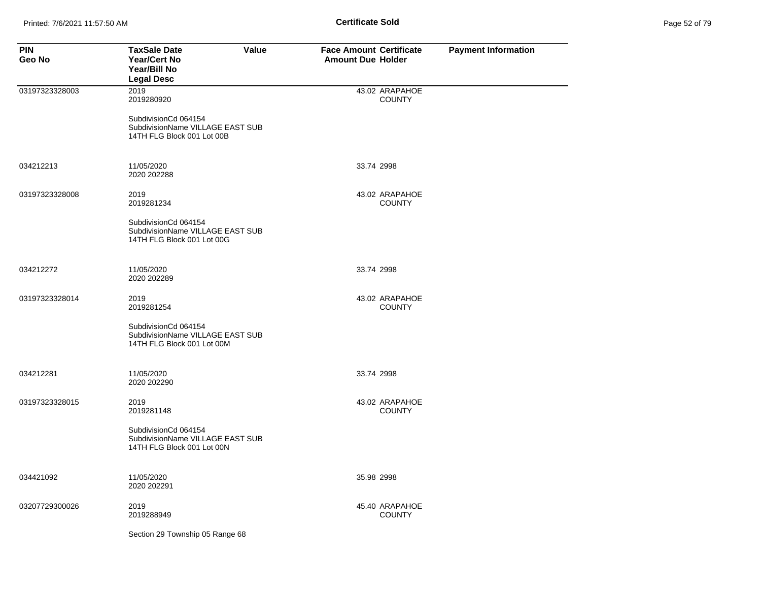| <b>PIN</b><br>Geo No | <b>TaxSale Date</b><br>Value<br><b>Year/Cert No</b><br>Year/Bill No<br><b>Legal Desc</b> | <b>Face Amount Certificate</b><br><b>Amount Due Holder</b> | <b>Payment Information</b> |
|----------------------|------------------------------------------------------------------------------------------|------------------------------------------------------------|----------------------------|
| 03197323328003       | 2019<br>2019280920                                                                       | 43.02 ARAPAHOE<br><b>COUNTY</b>                            |                            |
|                      | SubdivisionCd 064154<br>SubdivisionName VILLAGE EAST SUB<br>14TH FLG Block 001 Lot 00B   |                                                            |                            |
| 034212213            | 11/05/2020<br>2020 202288                                                                | 33.74 2998                                                 |                            |
| 03197323328008       | 2019<br>2019281234                                                                       | 43.02 ARAPAHOE<br><b>COUNTY</b>                            |                            |
|                      | SubdivisionCd 064154<br>SubdivisionName VILLAGE EAST SUB<br>14TH FLG Block 001 Lot 00G   |                                                            |                            |
| 034212272            | 11/05/2020<br>2020 202289                                                                | 33.74 2998                                                 |                            |
| 03197323328014       | 2019<br>2019281254                                                                       | 43.02 ARAPAHOE<br><b>COUNTY</b>                            |                            |
|                      | SubdivisionCd 064154<br>SubdivisionName VILLAGE EAST SUB<br>14TH FLG Block 001 Lot 00M   |                                                            |                            |
| 034212281            | 11/05/2020<br>2020 202290                                                                | 33.74 2998                                                 |                            |
| 03197323328015       | 2019<br>2019281148                                                                       | 43.02 ARAPAHOE<br><b>COUNTY</b>                            |                            |
|                      | SubdivisionCd 064154<br>SubdivisionName VILLAGE EAST SUB<br>14TH FLG Block 001 Lot 00N   |                                                            |                            |
| 034421092            | 11/05/2020<br>2020 202291                                                                | 35.98 2998                                                 |                            |
| 03207729300026       | 2019<br>2019288949                                                                       | 45.40 ARAPAHOE<br><b>COUNTY</b>                            |                            |
|                      | Section 29 Township 05 Range 68                                                          |                                                            |                            |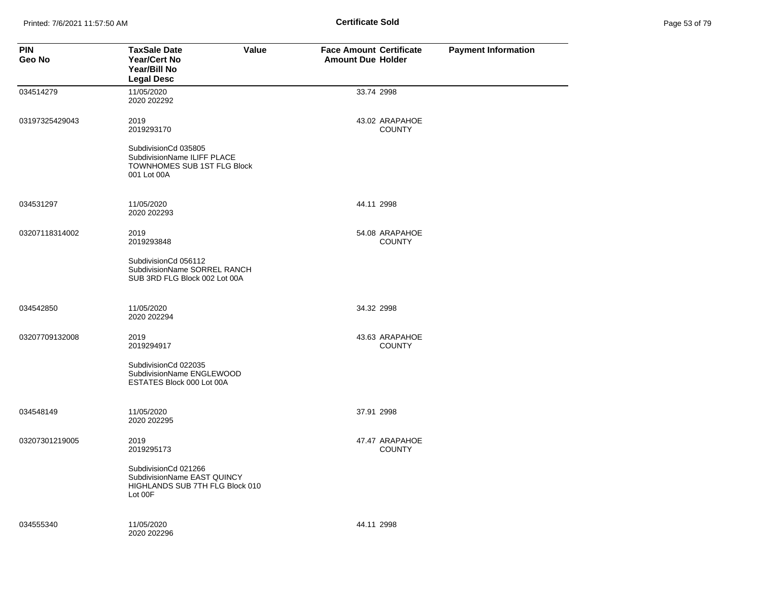Printed: 7/6/2021 11:57:50 AM **Page 12.1 of 79.91 Certificate Sold Certificate Sold** 

| Page 53 of 79 |  |  |  |
|---------------|--|--|--|
|---------------|--|--|--|

| <b>PIN</b><br>Geo No | <b>TaxSale Date</b><br><b>Value</b><br><b>Year/Cert No</b><br>Year/Bill No<br><b>Legal Desc</b>   | <b>Face Amount Certificate</b><br><b>Amount Due Holder</b> | <b>Payment Information</b> |
|----------------------|---------------------------------------------------------------------------------------------------|------------------------------------------------------------|----------------------------|
| 034514279            | 11/05/2020<br>2020 202292                                                                         | 33.74 2998                                                 |                            |
| 03197325429043       | 2019<br>2019293170                                                                                | 43.02 ARAPAHOE<br><b>COUNTY</b>                            |                            |
|                      | SubdivisionCd 035805<br>SubdivisionName ILIFF PLACE<br>TOWNHOMES SUB 1ST FLG Block<br>001 Lot 00A |                                                            |                            |
| 034531297            | 11/05/2020<br>2020 202293                                                                         | 44.11 2998                                                 |                            |
| 03207118314002       | 2019<br>2019293848                                                                                | 54.08 ARAPAHOE<br><b>COUNTY</b>                            |                            |
|                      | SubdivisionCd 056112<br>SubdivisionName SORREL RANCH<br>SUB 3RD FLG Block 002 Lot 00A             |                                                            |                            |
| 034542850            | 11/05/2020<br>2020 202294                                                                         | 34.32 2998                                                 |                            |
| 03207709132008       | 2019<br>2019294917                                                                                | 43.63 ARAPAHOE<br><b>COUNTY</b>                            |                            |
|                      | SubdivisionCd 022035<br>SubdivisionName ENGLEWOOD<br>ESTATES Block 000 Lot 00A                    |                                                            |                            |
| 034548149            | 11/05/2020<br>2020 202295                                                                         | 37.91 2998                                                 |                            |
| 03207301219005       | 2019<br>2019295173                                                                                | 47.47 ARAPAHOE<br><b>COUNTY</b>                            |                            |
|                      | SubdivisionCd 021266<br>SubdivisionName EAST QUINCY<br>HIGHLANDS SUB 7TH FLG Block 010<br>Lot 00F |                                                            |                            |
| 034555340            | 11/05/2020<br>2020 202296                                                                         | 44.11 2998                                                 |                            |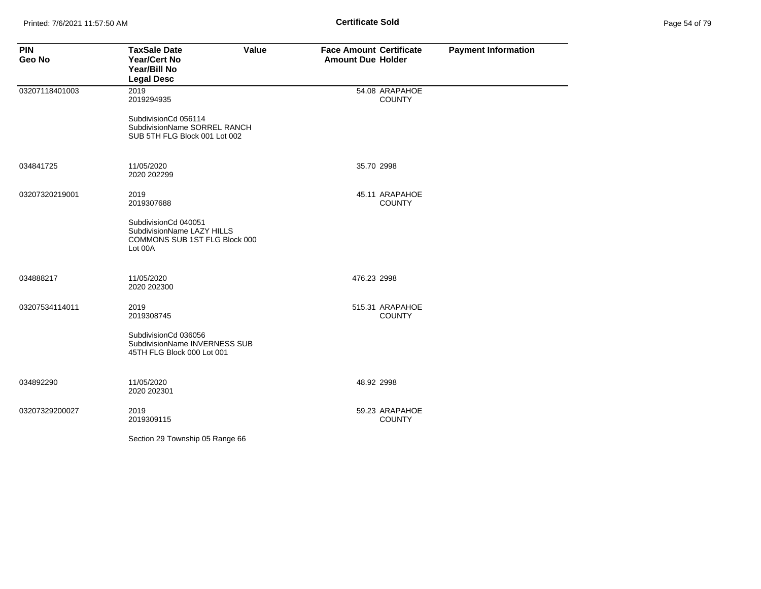| Page 54 of 79 |  |  |
|---------------|--|--|
|---------------|--|--|

| <b>PIN</b><br>Geo No | <b>TaxSale Date</b><br>Year/Cert No<br>Year/Bill No<br><b>Legal Desc</b>                       | Value | <b>Face Amount Certificate</b><br><b>Amount Due Holder</b> |                                  | <b>Payment Information</b> |
|----------------------|------------------------------------------------------------------------------------------------|-------|------------------------------------------------------------|----------------------------------|----------------------------|
| 03207118401003       | 2019<br>2019294935                                                                             |       |                                                            | 54.08 ARAPAHOE<br><b>COUNTY</b>  |                            |
|                      | SubdivisionCd 056114<br>SubdivisionName SORREL RANCH<br>SUB 5TH FLG Block 001 Lot 002          |       |                                                            |                                  |                            |
| 034841725            | 11/05/2020<br>2020 202299                                                                      |       | 35.70 2998                                                 |                                  |                            |
| 03207320219001       | 2019<br>2019307688                                                                             |       |                                                            | 45.11 ARAPAHOE<br><b>COUNTY</b>  |                            |
|                      | SubdivisionCd 040051<br>SubdivisionName LAZY HILLS<br>COMMONS SUB 1ST FLG Block 000<br>Lot 00A |       |                                                            |                                  |                            |
| 034888217            | 11/05/2020<br>2020 202300                                                                      |       | 476.23 2998                                                |                                  |                            |
| 03207534114011       | 2019<br>2019308745                                                                             |       |                                                            | 515.31 ARAPAHOE<br><b>COUNTY</b> |                            |
|                      | SubdivisionCd 036056<br>SubdivisionName INVERNESS SUB<br>45TH FLG Block 000 Lot 001            |       |                                                            |                                  |                            |
| 034892290            | 11/05/2020<br>2020 202301                                                                      |       | 48.92 2998                                                 |                                  |                            |
| 03207329200027       | 2019<br>2019309115                                                                             |       |                                                            | 59.23 ARAPAHOE<br><b>COUNTY</b>  |                            |
|                      | Section 29 Township 05 Range 66                                                                |       |                                                            |                                  |                            |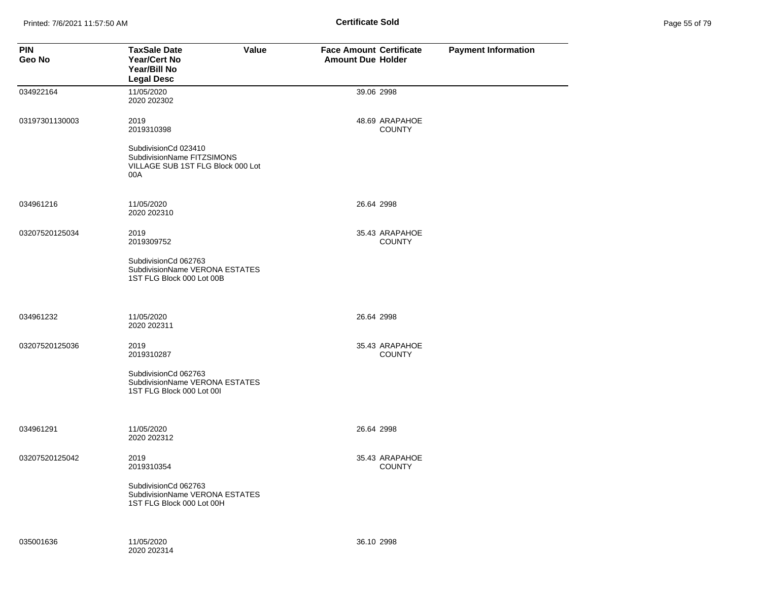Printed: 7/6/2021 11:57:50 AM **Page 11:57:50 AM** Page 55 of 79 of 79 of 79 of 79 of 79 of 79 of 79 of 79 of 79 of 79 of 79 of 79 of 79 of 79 of 79 of 79 of 79 of 79 of 79 of 79 of 79 of 79 of 79 of 79 of 79 of 79 of 79 of

| Page 55 of 79 |  |  |  |
|---------------|--|--|--|
|---------------|--|--|--|

| <b>PIN</b><br>Geo No | <b>TaxSale Date</b><br>Value<br><b>Year/Cert No</b><br>Year/Bill No<br><b>Legal Desc</b>       | <b>Face Amount Certificate</b><br><b>Amount Due Holder</b> | <b>Payment Information</b> |
|----------------------|------------------------------------------------------------------------------------------------|------------------------------------------------------------|----------------------------|
| 034922164            | 11/05/2020<br>2020 202302                                                                      | 39.06 2998                                                 |                            |
| 03197301130003       | 2019<br>2019310398                                                                             | 48.69 ARAPAHOE<br><b>COUNTY</b>                            |                            |
|                      | SubdivisionCd 023410<br>SubdivisionName FITZSIMONS<br>VILLAGE SUB 1ST FLG Block 000 Lot<br>00A |                                                            |                            |
| 034961216            | 11/05/2020<br>2020 202310                                                                      | 26.64 2998                                                 |                            |
| 03207520125034       | 2019<br>2019309752                                                                             | 35.43 ARAPAHOE<br><b>COUNTY</b>                            |                            |
|                      | SubdivisionCd 062763<br>SubdivisionName VERONA ESTATES<br>1ST FLG Block 000 Lot 00B            |                                                            |                            |
| 034961232            | 11/05/2020<br>2020 202311                                                                      | 26.64 2998                                                 |                            |
| 03207520125036       | 2019<br>2019310287                                                                             | 35.43 ARAPAHOE<br><b>COUNTY</b>                            |                            |
|                      | SubdivisionCd 062763<br>SubdivisionName VERONA ESTATES<br>1ST FLG Block 000 Lot 00I            |                                                            |                            |
| 034961291            | 11/05/2020<br>2020 202312                                                                      | 26.64 2998                                                 |                            |
| 03207520125042       | 2019<br>2019310354                                                                             | 35.43 ARAPAHOE<br><b>COUNTY</b>                            |                            |
|                      | SubdivisionCd 062763<br>SubdivisionName VERONA ESTATES<br>1ST FLG Block 000 Lot 00H            |                                                            |                            |
| 035001636            | 11/05/2020<br>2020 202314                                                                      | 36.10 2998                                                 |                            |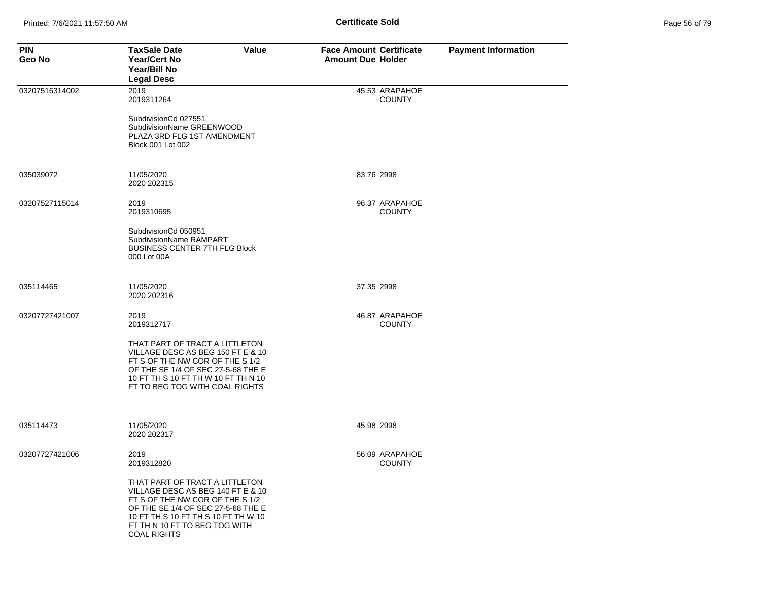| Page 56 of 79 |  |  |  |
|---------------|--|--|--|
|---------------|--|--|--|

| <b>PIN</b><br>Geo No | <b>TaxSale Date</b><br>Value<br><b>Year/Cert No</b><br>Year/Bill No<br><b>Legal Desc</b>                                                                                                                                                   | <b>Face Amount Certificate</b><br><b>Amount Due Holder</b> | <b>Payment Information</b> |
|----------------------|--------------------------------------------------------------------------------------------------------------------------------------------------------------------------------------------------------------------------------------------|------------------------------------------------------------|----------------------------|
| 03207516314002       | 2019<br>2019311264                                                                                                                                                                                                                         | 45.53 ARAPAHOE<br><b>COUNTY</b>                            |                            |
|                      | SubdivisionCd 027551<br>SubdivisionName GREENWOOD<br>PLAZA 3RD FLG 1ST AMENDMENT<br>Block 001 Lot 002                                                                                                                                      |                                                            |                            |
| 035039072            | 11/05/2020<br>2020 202315                                                                                                                                                                                                                  | 83.76 2998                                                 |                            |
| 03207527115014       | 2019<br>2019310695                                                                                                                                                                                                                         | 96.37 ARAPAHOE<br><b>COUNTY</b>                            |                            |
|                      | SubdivisionCd 050951<br>SubdivisionName RAMPART<br><b>BUSINESS CENTER 7TH FLG Block</b><br>000 Lot 00A                                                                                                                                     |                                                            |                            |
| 035114465            | 11/05/2020<br>2020 202316                                                                                                                                                                                                                  | 37.35 2998                                                 |                            |
| 03207727421007       | 2019<br>2019312717                                                                                                                                                                                                                         | 46.87 ARAPAHOE<br><b>COUNTY</b>                            |                            |
|                      | THAT PART OF TRACT A LITTLETON<br>VILLAGE DESC AS BEG 150 FT E & 10<br>FT S OF THE NW COR OF THE S 1/2<br>OF THE SE 1/4 OF SEC 27-5-68 THE E<br>10 FT TH S 10 FT TH W 10 FT TH N 10<br>FT TO BEG TOG WITH COAL RIGHTS                      |                                                            |                            |
| 035114473            | 11/05/2020<br>2020 202317                                                                                                                                                                                                                  | 45.98 2998                                                 |                            |
| 03207727421006       | 2019<br>2019312820                                                                                                                                                                                                                         | 56.09 ARAPAHOE<br><b>COUNTY</b>                            |                            |
|                      | THAT PART OF TRACT A LITTLETON<br>VILLAGE DESC AS BEG 140 FT E & 10<br>FT S OF THE NW COR OF THE S 1/2<br>OF THE SE 1/4 OF SEC 27-5-68 THE E<br>10 FT TH S 10 FT TH S 10 FT TH W 10<br>FT TH N 10 FT TO BEG TOG WITH<br><b>COAL RIGHTS</b> |                                                            |                            |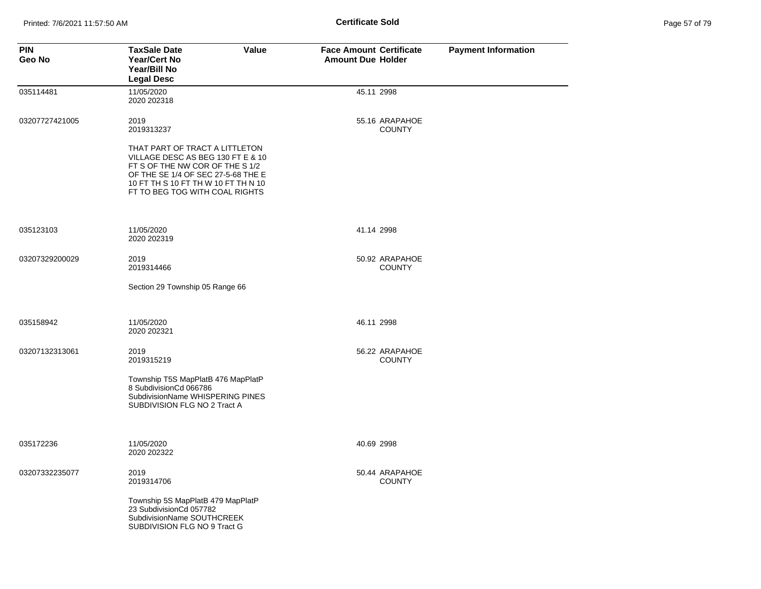| Page 57 of 79 |  |  |  |
|---------------|--|--|--|
|---------------|--|--|--|

| <b>PIN</b><br>Geo No | <b>TaxSale Date</b><br>Value<br><b>Year/Cert No</b><br>Year/Bill No<br><b>Legal Desc</b>                                                                                                                              | <b>Face Amount Certificate</b><br><b>Amount Due Holder</b> | <b>Payment Information</b> |
|----------------------|-----------------------------------------------------------------------------------------------------------------------------------------------------------------------------------------------------------------------|------------------------------------------------------------|----------------------------|
| 035114481            | 11/05/2020<br>2020 202318                                                                                                                                                                                             | 45.11 2998                                                 |                            |
| 03207727421005       | 2019<br>2019313237                                                                                                                                                                                                    | 55.16 ARAPAHOE<br><b>COUNTY</b>                            |                            |
|                      | THAT PART OF TRACT A LITTLETON<br>VILLAGE DESC AS BEG 130 FT E & 10<br>FT S OF THE NW COR OF THE S 1/2<br>OF THE SE 1/4 OF SEC 27-5-68 THE E<br>10 FT TH S 10 FT TH W 10 FT TH N 10<br>FT TO BEG TOG WITH COAL RIGHTS |                                                            |                            |
| 035123103            | 11/05/2020<br>2020 202319                                                                                                                                                                                             | 41.14 2998                                                 |                            |
| 03207329200029       | 2019<br>2019314466                                                                                                                                                                                                    | 50.92 ARAPAHOE<br><b>COUNTY</b>                            |                            |
|                      | Section 29 Township 05 Range 66                                                                                                                                                                                       |                                                            |                            |
| 035158942            | 11/05/2020<br>2020 202321                                                                                                                                                                                             | 46.11 2998                                                 |                            |
| 03207132313061       | 2019<br>2019315219                                                                                                                                                                                                    | 56.22 ARAPAHOE<br><b>COUNTY</b>                            |                            |
|                      | Township T5S MapPlatB 476 MapPlatP<br>8 SubdivisionCd 066786<br>SubdivisionName WHISPERING PINES<br>SUBDIVISION FLG NO 2 Tract A                                                                                      |                                                            |                            |
| 035172236            | 11/05/2020<br>2020 202322                                                                                                                                                                                             | 40.69 2998                                                 |                            |
| 03207332235077       | 2019<br>2019314706                                                                                                                                                                                                    | 50.44 ARAPAHOE<br><b>COUNTY</b>                            |                            |
|                      | Township 5S MapPlatB 479 MapPlatP<br>23 SubdivisionCd 057782<br>SubdivisionName SOUTHCREEK<br>SUBDIVISION FLG NO 9 Tract G                                                                                            |                                                            |                            |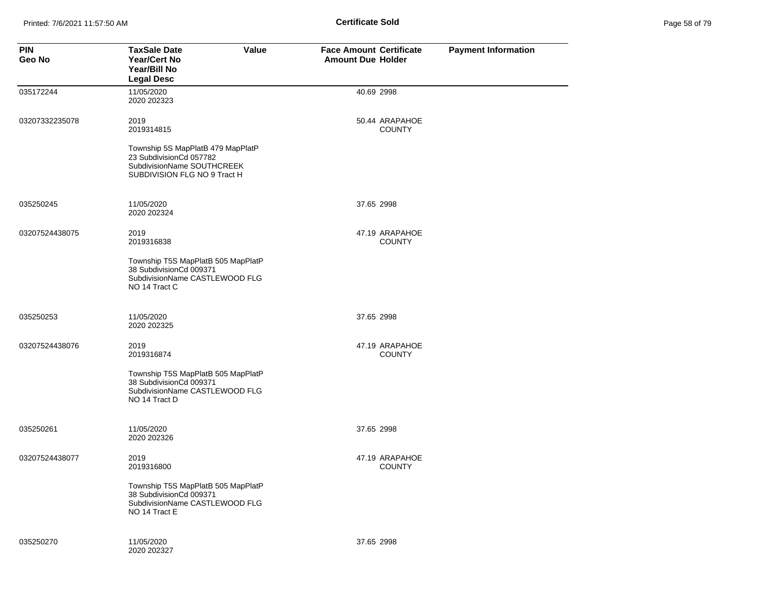Printed: 7/6/2021 11:57:50 AM **Page 11:57:50 AM** Page 58 of 79 of 79 of 79 of 79 of 79 of 79 of 79 of 79 of 79 of 79 of 79 of 79 of 79 of 79 of 79 of 79 of 79 of 79 of 79 of 79 of 79 of 79 of 79 of 79 of 79 of 79 of 79 of

| Page 58 of 79 |  |  |  |
|---------------|--|--|--|
|---------------|--|--|--|

| <b>PIN</b><br>Geo No | Value<br><b>TaxSale Date</b><br><b>Year/Cert No</b><br>Year/Bill No<br><b>Legal Desc</b>                                   | <b>Face Amount Certificate</b><br><b>Amount Due Holder</b> | <b>Payment Information</b> |
|----------------------|----------------------------------------------------------------------------------------------------------------------------|------------------------------------------------------------|----------------------------|
| 035172244            | 11/05/2020<br>2020 202323                                                                                                  | 40.69 2998                                                 |                            |
| 03207332235078       | 2019<br>2019314815                                                                                                         | 50.44 ARAPAHOE<br><b>COUNTY</b>                            |                            |
|                      | Township 5S MapPlatB 479 MapPlatP<br>23 SubdivisionCd 057782<br>SubdivisionName SOUTHCREEK<br>SUBDIVISION FLG NO 9 Tract H |                                                            |                            |
| 035250245            | 11/05/2020<br>2020 202324                                                                                                  | 37.65 2998                                                 |                            |
| 03207524438075       | 2019<br>2019316838                                                                                                         | 47.19 ARAPAHOE<br><b>COUNTY</b>                            |                            |
|                      | Township T5S MapPlatB 505 MapPlatP<br>38 SubdivisionCd 009371<br>SubdivisionName CASTLEWOOD FLG<br>NO 14 Tract C           |                                                            |                            |
| 035250253            | 11/05/2020<br>2020 202325                                                                                                  | 37.65 2998                                                 |                            |
| 03207524438076       | 2019<br>2019316874                                                                                                         | 47.19 ARAPAHOE<br><b>COUNTY</b>                            |                            |
|                      | Township T5S MapPlatB 505 MapPlatP<br>38 SubdivisionCd 009371<br>SubdivisionName CASTLEWOOD FLG<br>NO 14 Tract D           |                                                            |                            |
| 035250261            | 11/05/2020<br>2020 202326                                                                                                  | 37.65 2998                                                 |                            |
| 03207524438077       | 2019<br>2019316800                                                                                                         | 47.19 ARAPAHOE<br><b>COUNTY</b>                            |                            |
|                      | Township T5S MapPlatB 505 MapPlatP<br>38 SubdivisionCd 009371<br>SubdivisionName CASTLEWOOD FLG<br>NO 14 Tract E           |                                                            |                            |
| 035250270            | 11/05/2020<br>2020 202327                                                                                                  | 37.65 2998                                                 |                            |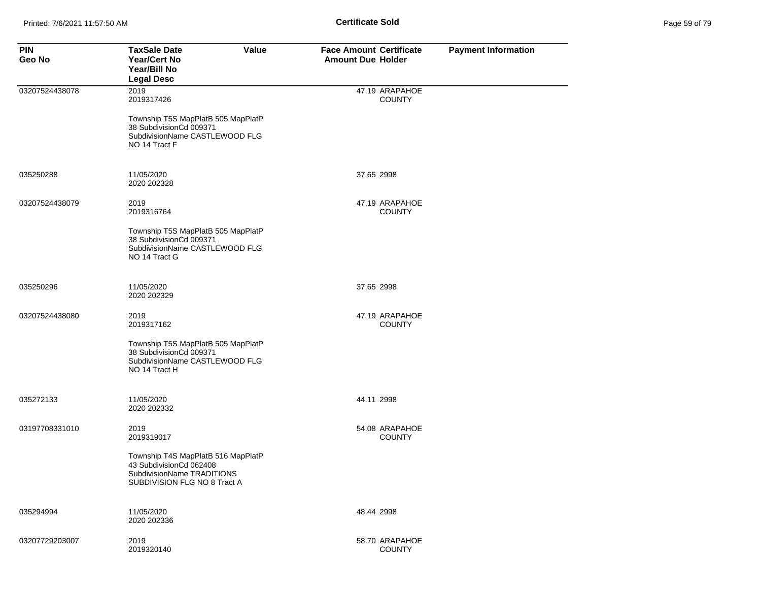| Page 59 of 79 |  |  |
|---------------|--|--|
|---------------|--|--|

| <b>PIN</b><br>Geo No | <b>TaxSale Date</b><br>Value<br><b>Year/Cert No</b><br>Year/Bill No<br><b>Legal Desc</b>                                    | <b>Face Amount Certificate</b><br><b>Amount Due Holder</b> | <b>Payment Information</b> |
|----------------------|-----------------------------------------------------------------------------------------------------------------------------|------------------------------------------------------------|----------------------------|
| 03207524438078       | 2019<br>2019317426                                                                                                          | 47.19 ARAPAHOE<br><b>COUNTY</b>                            |                            |
|                      | Township T5S MapPlatB 505 MapPlatP<br>38 SubdivisionCd 009371<br>SubdivisionName CASTLEWOOD FLG<br>NO 14 Tract F            |                                                            |                            |
| 035250288            | 11/05/2020<br>2020 202328                                                                                                   | 37.65 2998                                                 |                            |
| 03207524438079       | 2019<br>2019316764                                                                                                          | 47.19 ARAPAHOE<br><b>COUNTY</b>                            |                            |
|                      | Township T5S MapPlatB 505 MapPlatP<br>38 SubdivisionCd 009371<br>SubdivisionName CASTLEWOOD FLG<br>NO 14 Tract G            |                                                            |                            |
| 035250296            | 11/05/2020<br>2020 202329                                                                                                   | 37.65 2998                                                 |                            |
| 03207524438080       | 2019<br>2019317162                                                                                                          | 47.19 ARAPAHOE<br><b>COUNTY</b>                            |                            |
|                      | Township T5S MapPlatB 505 MapPlatP<br>38 SubdivisionCd 009371<br>SubdivisionName CASTLEWOOD FLG<br>NO 14 Tract H            |                                                            |                            |
| 035272133            | 11/05/2020<br>2020 202332                                                                                                   | 44.11 2998                                                 |                            |
| 03197708331010       | 2019<br>2019319017                                                                                                          | 54.08 ARAPAHOE<br><b>COUNTY</b>                            |                            |
|                      | Township T4S MapPlatB 516 MapPlatP<br>43 SubdivisionCd 062408<br>SubdivisionName TRADITIONS<br>SUBDIVISION FLG NO 8 Tract A |                                                            |                            |
| 035294994            | 11/05/2020<br>2020 202336                                                                                                   | 48.44 2998                                                 |                            |
| 03207729203007       | 2019<br>2019320140                                                                                                          | 58.70 ARAPAHOE<br><b>COUNTY</b>                            |                            |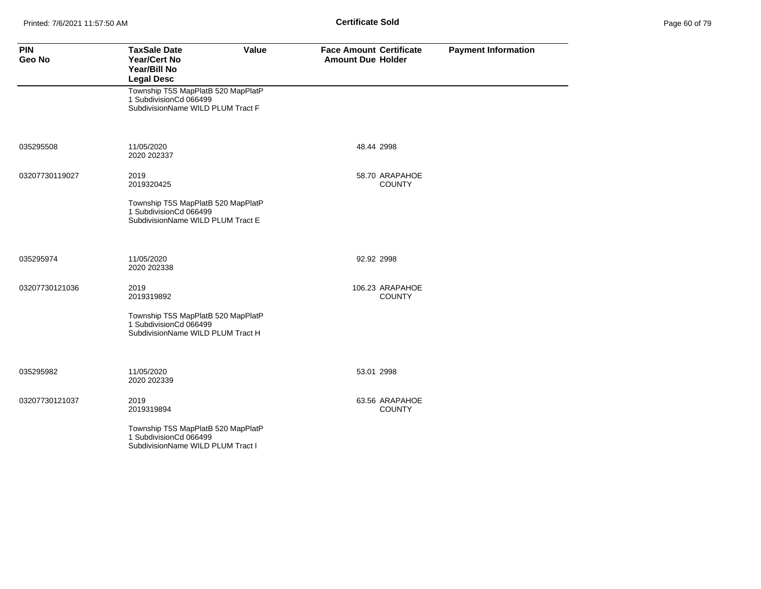| <b>PIN</b><br>Geo No | <b>TaxSale Date</b><br><b>Value</b><br><b>Year/Cert No</b><br>Year/Bill No<br><b>Legal Desc</b>   | <b>Face Amount Certificate</b><br><b>Amount Due Holder</b> | <b>Payment Information</b> |
|----------------------|---------------------------------------------------------------------------------------------------|------------------------------------------------------------|----------------------------|
|                      | Township T5S MapPlatB 520 MapPlatP<br>1 SubdivisionCd 066499<br>SubdivisionName WILD PLUM Tract F |                                                            |                            |
| 035295508            | 11/05/2020<br>2020 202337                                                                         | 48.44 2998                                                 |                            |
| 03207730119027       | 2019<br>2019320425                                                                                | 58.70 ARAPAHOE<br><b>COUNTY</b>                            |                            |
|                      | Township T5S MapPlatB 520 MapPlatP<br>1 SubdivisionCd 066499<br>SubdivisionName WILD PLUM Tract E |                                                            |                            |
| 035295974            | 11/05/2020<br>2020 202338                                                                         | 92.92 2998                                                 |                            |
| 03207730121036       | 2019<br>2019319892                                                                                | 106.23 ARAPAHOE<br><b>COUNTY</b>                           |                            |
|                      | Township T5S MapPlatB 520 MapPlatP<br>1 SubdivisionCd 066499<br>SubdivisionName WILD PLUM Tract H |                                                            |                            |
| 035295982            | 11/05/2020<br>2020 202339                                                                         | 53.01 2998                                                 |                            |
| 03207730121037       | 2019<br>2019319894                                                                                | 63.56 ARAPAHOE<br><b>COUNTY</b>                            |                            |
|                      | Township T5S MapPlatB 520 MapPlatP<br>1 SubdivisionCd 066499<br>SubdivisionName WILD PLUM Tract I |                                                            |                            |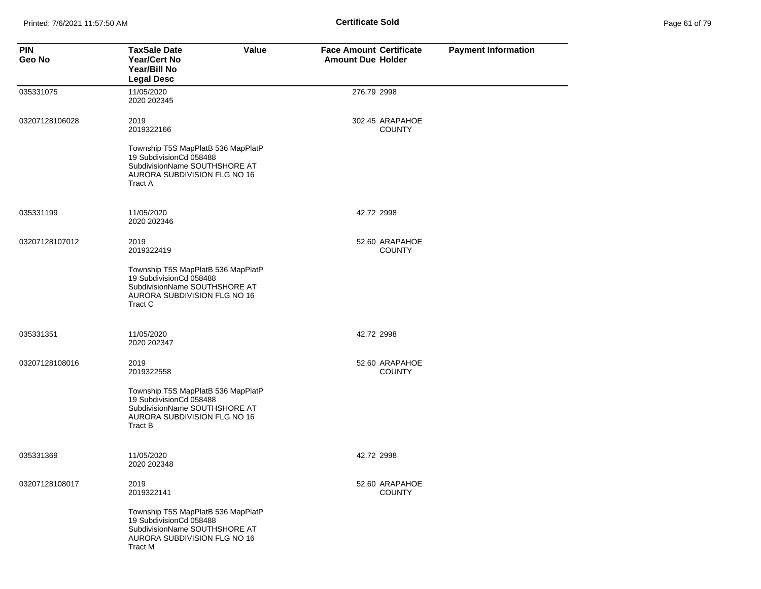| Page 61 of 79 |  |  |  |
|---------------|--|--|--|
|---------------|--|--|--|

| <b>PIN</b><br>Geo No | <b>TaxSale Date</b><br>Value<br><b>Year/Cert No</b><br>Year/Bill No<br><b>Legal Desc</b>                                                  | <b>Face Amount Certificate</b><br><b>Amount Due Holder</b> | <b>Payment Information</b> |
|----------------------|-------------------------------------------------------------------------------------------------------------------------------------------|------------------------------------------------------------|----------------------------|
| 035331075            | 11/05/2020<br>2020 202345                                                                                                                 | 276.79 2998                                                |                            |
| 03207128106028       | 2019<br>2019322166                                                                                                                        | 302.45 ARAPAHOE<br><b>COUNTY</b>                           |                            |
|                      | Township T5S MapPlatB 536 MapPlatP<br>19 SubdivisionCd 058488<br>SubdivisionName SOUTHSHORE AT<br>AURORA SUBDIVISION FLG NO 16<br>Tract A |                                                            |                            |
| 035331199            | 11/05/2020<br>2020 202346                                                                                                                 | 42.72 2998                                                 |                            |
| 03207128107012       | 2019<br>2019322419                                                                                                                        | 52.60 ARAPAHOE<br><b>COUNTY</b>                            |                            |
|                      | Township T5S MapPlatB 536 MapPlatP<br>19 SubdivisionCd 058488<br>SubdivisionName SOUTHSHORE AT<br>AURORA SUBDIVISION FLG NO 16<br>Tract C |                                                            |                            |
| 035331351            | 11/05/2020<br>2020 202347                                                                                                                 | 42.72 2998                                                 |                            |
| 03207128108016       | 2019<br>2019322558                                                                                                                        | 52.60 ARAPAHOE<br><b>COUNTY</b>                            |                            |
|                      | Township T5S MapPlatB 536 MapPlatP<br>19 SubdivisionCd 058488<br>SubdivisionName SOUTHSHORE AT<br>AURORA SUBDIVISION FLG NO 16<br>Tract B |                                                            |                            |
| 035331369            | 11/05/2020<br>2020 202348                                                                                                                 | 42.72 2998                                                 |                            |
| 03207128108017       | 2019<br>2019322141                                                                                                                        | 52.60 ARAPAHOE<br><b>COUNTY</b>                            |                            |
|                      | Township T5S MapPlatB 536 MapPlatP<br>19 SubdivisionCd 058488<br>SubdivisionName SOUTHSHORE AT<br>AURORA SUBDIVISION FLG NO 16<br>Tract M |                                                            |                            |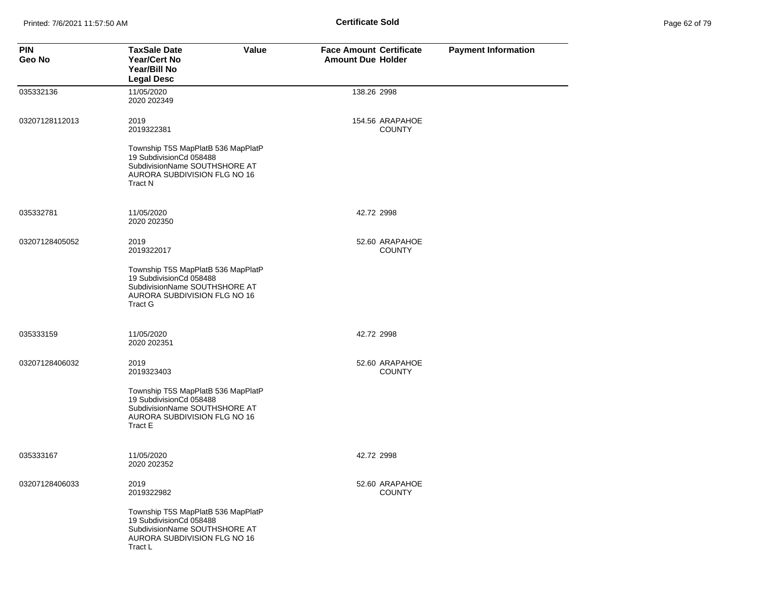| Page 62 of 79 |  |  |  |
|---------------|--|--|--|
|---------------|--|--|--|

| <b>PIN</b><br>Geo No | Value<br><b>TaxSale Date</b><br><b>Year/Cert No</b><br>Year/Bill No<br><b>Legal Desc</b>                                                         | <b>Face Amount Certificate</b><br><b>Amount Due Holder</b> | <b>Payment Information</b> |
|----------------------|--------------------------------------------------------------------------------------------------------------------------------------------------|------------------------------------------------------------|----------------------------|
| 035332136            | 11/05/2020<br>2020 202349                                                                                                                        | 138.26 2998                                                |                            |
| 03207128112013       | 2019<br>2019322381                                                                                                                               | 154.56 ARAPAHOE<br><b>COUNTY</b>                           |                            |
|                      | Township T5S MapPlatB 536 MapPlatP<br>19 SubdivisionCd 058488<br>SubdivisionName SOUTHSHORE AT<br>AURORA SUBDIVISION FLG NO 16<br><b>Tract N</b> |                                                            |                            |
| 035332781            | 11/05/2020<br>2020 202350                                                                                                                        | 42.72 2998                                                 |                            |
| 03207128405052       | 2019<br>2019322017                                                                                                                               | 52.60 ARAPAHOE<br><b>COUNTY</b>                            |                            |
|                      | Township T5S MapPlatB 536 MapPlatP<br>19 SubdivisionCd 058488<br>SubdivisionName SOUTHSHORE AT<br>AURORA SUBDIVISION FLG NO 16<br><b>Tract G</b> |                                                            |                            |
| 035333159            | 11/05/2020<br>2020 202351                                                                                                                        | 42.72 2998                                                 |                            |
| 03207128406032       | 2019<br>2019323403                                                                                                                               | 52.60 ARAPAHOE<br><b>COUNTY</b>                            |                            |
|                      | Township T5S MapPlatB 536 MapPlatP<br>19 SubdivisionCd 058488<br>SubdivisionName SOUTHSHORE AT<br>AURORA SUBDIVISION FLG NO 16<br>Tract E        |                                                            |                            |
| 035333167            | 11/05/2020<br>2020 202352                                                                                                                        | 42.72 2998                                                 |                            |
| 03207128406033       | 2019<br>2019322982                                                                                                                               | 52.60 ARAPAHOE<br><b>COUNTY</b>                            |                            |
|                      | Township T5S MapPlatB 536 MapPlatP<br>19 SubdivisionCd 058488<br>SubdivisionName SOUTHSHORE AT<br>AURORA SUBDIVISION FLG NO 16<br>Tract L        |                                                            |                            |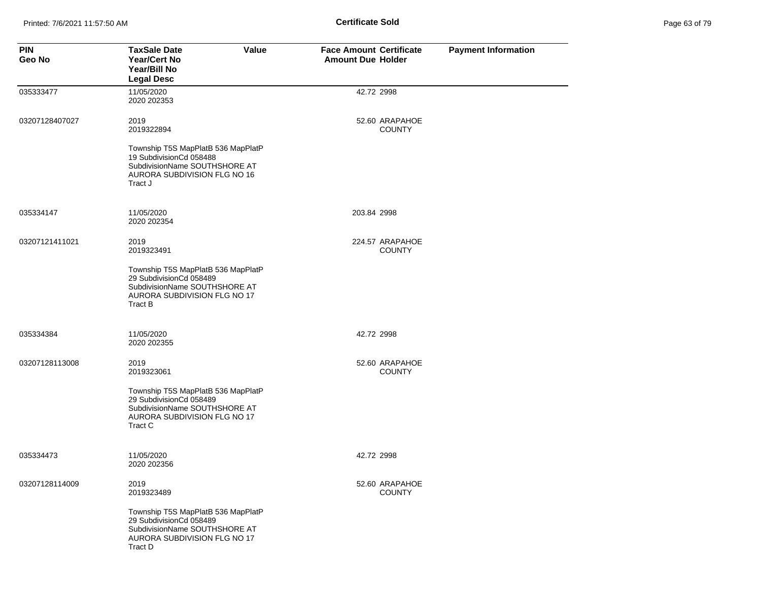| Page 63 of 79 |  |  |  |
|---------------|--|--|--|
|---------------|--|--|--|

| <b>PIN</b><br>Geo No | <b>TaxSale Date</b><br>Value<br>Year/Cert No<br>Year/Bill No<br><b>Legal Desc</b>                                                         | <b>Face Amount Certificate</b><br><b>Amount Due Holder</b> | <b>Payment Information</b> |
|----------------------|-------------------------------------------------------------------------------------------------------------------------------------------|------------------------------------------------------------|----------------------------|
| 035333477            | 11/05/2020<br>2020 202353                                                                                                                 | 42.72 2998                                                 |                            |
| 03207128407027       | 2019<br>2019322894                                                                                                                        | 52.60 ARAPAHOE<br><b>COUNTY</b>                            |                            |
|                      | Township T5S MapPlatB 536 MapPlatP<br>19 SubdivisionCd 058488<br>SubdivisionName SOUTHSHORE AT<br>AURORA SUBDIVISION FLG NO 16<br>Tract J |                                                            |                            |
| 035334147            | 11/05/2020<br>2020 202354                                                                                                                 | 203.84 2998                                                |                            |
| 03207121411021       | 2019<br>2019323491                                                                                                                        | 224.57 ARAPAHOE<br><b>COUNTY</b>                           |                            |
|                      | Township T5S MapPlatB 536 MapPlatP<br>29 SubdivisionCd 058489<br>SubdivisionName SOUTHSHORE AT<br>AURORA SUBDIVISION FLG NO 17<br>Tract B |                                                            |                            |
| 035334384            | 11/05/2020<br>2020 202355                                                                                                                 | 42.72 2998                                                 |                            |
| 03207128113008       | 2019<br>2019323061                                                                                                                        | 52.60 ARAPAHOE<br><b>COUNTY</b>                            |                            |
|                      | Township T5S MapPlatB 536 MapPlatP<br>29 SubdivisionCd 058489<br>SubdivisionName SOUTHSHORE AT<br>AURORA SUBDIVISION FLG NO 17<br>Tract C |                                                            |                            |
| 035334473            | 11/05/2020<br>2020 202356                                                                                                                 | 42.72 2998                                                 |                            |
| 03207128114009       | 2019<br>2019323489                                                                                                                        | 52.60 ARAPAHOE<br><b>COUNTY</b>                            |                            |
|                      | Township T5S MapPlatB 536 MapPlatP<br>29 SubdivisionCd 058489<br>SubdivisionName SOUTHSHORE AT<br>AURORA SUBDIVISION FLG NO 17<br>Tract D |                                                            |                            |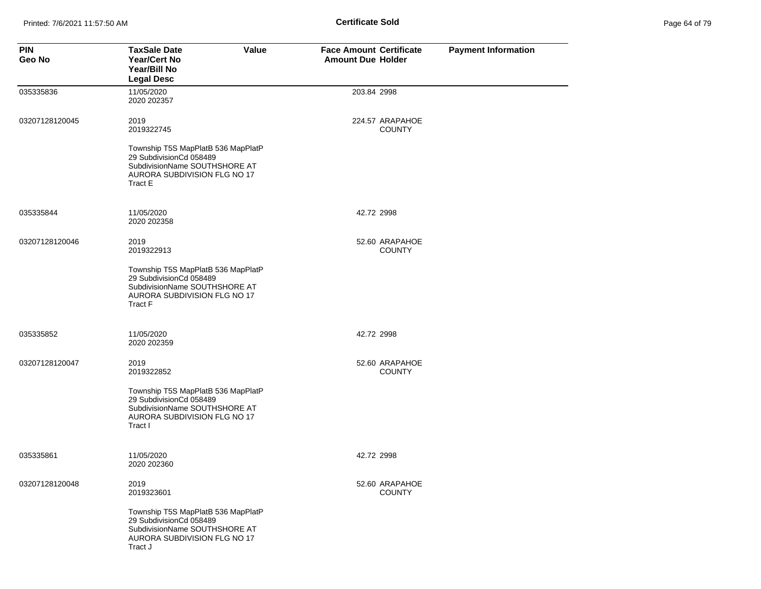| Page 64 of 79 |  |  |  |
|---------------|--|--|--|
|---------------|--|--|--|

| <b>PIN</b><br>Geo No | <b>TaxSale Date</b><br><b>Value</b><br>Year/Cert No<br>Year/Bill No<br><b>Legal Desc</b>                                                  | <b>Face Amount Certificate</b><br><b>Amount Due Holder</b> | <b>Payment Information</b> |
|----------------------|-------------------------------------------------------------------------------------------------------------------------------------------|------------------------------------------------------------|----------------------------|
| 035335836            | 11/05/2020<br>2020 202357                                                                                                                 | 203.84 2998                                                |                            |
| 03207128120045       | 2019<br>2019322745                                                                                                                        | 224.57 ARAPAHOE<br><b>COUNTY</b>                           |                            |
|                      | Township T5S MapPlatB 536 MapPlatP<br>29 SubdivisionCd 058489<br>SubdivisionName SOUTHSHORE AT<br>AURORA SUBDIVISION FLG NO 17<br>Tract E |                                                            |                            |
| 035335844            | 11/05/2020<br>2020 202358                                                                                                                 | 42.72 2998                                                 |                            |
| 03207128120046       | 2019<br>2019322913                                                                                                                        | 52.60 ARAPAHOE<br><b>COUNTY</b>                            |                            |
|                      | Township T5S MapPlatB 536 MapPlatP<br>29 SubdivisionCd 058489<br>SubdivisionName SOUTHSHORE AT<br>AURORA SUBDIVISION FLG NO 17<br>Tract F |                                                            |                            |
| 035335852            | 11/05/2020<br>2020 202359                                                                                                                 | 42.72 2998                                                 |                            |
| 03207128120047       | 2019<br>2019322852                                                                                                                        | 52.60 ARAPAHOE<br><b>COUNTY</b>                            |                            |
|                      | Township T5S MapPlatB 536 MapPlatP<br>29 SubdivisionCd 058489<br>SubdivisionName SOUTHSHORE AT<br>AURORA SUBDIVISION FLG NO 17<br>Tract I |                                                            |                            |
| 035335861            | 11/05/2020<br>2020 202360                                                                                                                 | 42.72 2998                                                 |                            |
| 03207128120048       | 2019<br>2019323601                                                                                                                        | 52.60 ARAPAHOE<br><b>COUNTY</b>                            |                            |
|                      | Township T5S MapPlatB 536 MapPlatP<br>29 SubdivisionCd 058489<br>SubdivisionName SOUTHSHORE AT<br>AURORA SUBDIVISION FLG NO 17<br>Tract J |                                                            |                            |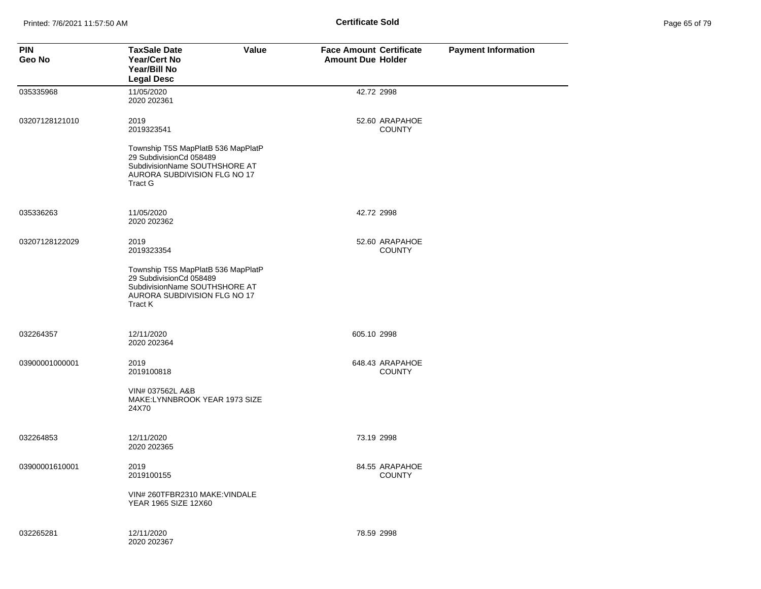| Page 65 of 79 |  |  |  |
|---------------|--|--|--|
|---------------|--|--|--|

| <b>PIN</b><br>Geo No | <b>TaxSale Date</b><br>Value<br><b>Year/Cert No</b><br>Year/Bill No<br><b>Legal Desc</b>                                                  | <b>Face Amount Certificate</b><br><b>Amount Due Holder</b> | <b>Payment Information</b> |
|----------------------|-------------------------------------------------------------------------------------------------------------------------------------------|------------------------------------------------------------|----------------------------|
| 035335968            | 11/05/2020<br>2020 202361                                                                                                                 | 42.72 2998                                                 |                            |
| 03207128121010       | 2019<br>2019323541                                                                                                                        | 52.60 ARAPAHOE<br><b>COUNTY</b>                            |                            |
|                      | Township T5S MapPlatB 536 MapPlatP<br>29 SubdivisionCd 058489<br>SubdivisionName SOUTHSHORE AT<br>AURORA SUBDIVISION FLG NO 17<br>Tract G |                                                            |                            |
| 035336263            | 11/05/2020<br>2020 202362                                                                                                                 | 42.72 2998                                                 |                            |
| 03207128122029       | 2019<br>2019323354                                                                                                                        | 52.60 ARAPAHOE<br><b>COUNTY</b>                            |                            |
|                      | Township T5S MapPlatB 536 MapPlatP<br>29 SubdivisionCd 058489<br>SubdivisionName SOUTHSHORE AT<br>AURORA SUBDIVISION FLG NO 17<br>Tract K |                                                            |                            |
| 032264357            | 12/11/2020<br>2020 202364                                                                                                                 | 605.10 2998                                                |                            |
| 03900001000001       | 2019<br>2019100818                                                                                                                        | 648.43 ARAPAHOE<br><b>COUNTY</b>                           |                            |
|                      | VIN# 037562L A&B<br>MAKE:LYNNBROOK YEAR 1973 SIZE<br>24X70                                                                                |                                                            |                            |
| 032264853            | 12/11/2020<br>2020 202365                                                                                                                 | 73.19 2998                                                 |                            |
| 03900001610001       | 2019<br>2019100155                                                                                                                        | 84.55 ARAPAHOE<br><b>COUNTY</b>                            |                            |
|                      | VIN# 260TFBR2310 MAKE: VINDALE<br>YEAR 1965 SIZE 12X60                                                                                    |                                                            |                            |
| 032265281            | 12/11/2020<br>2020 202367                                                                                                                 | 78.59 2998                                                 |                            |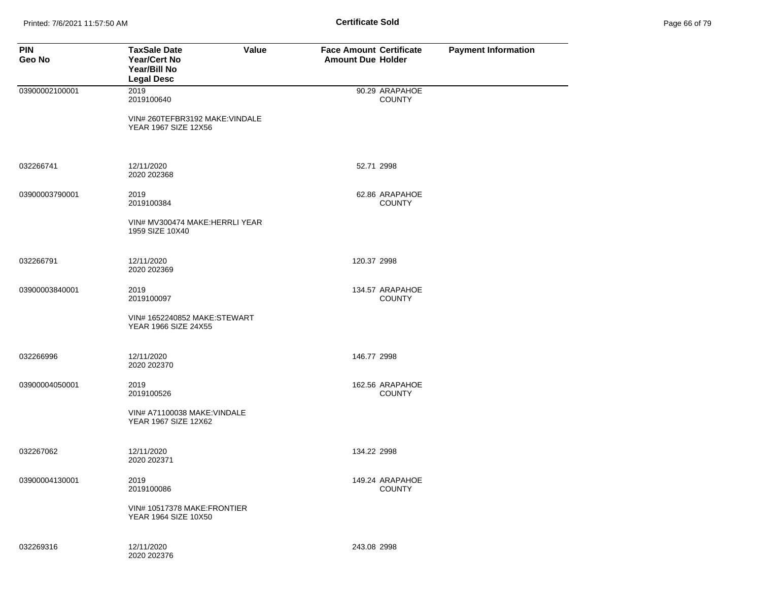| <b>PIN</b><br>Geo No | <b>TaxSale Date</b><br>Value<br><b>Year/Cert No</b><br>Year/Bill No<br><b>Legal Desc</b> | <b>Face Amount Certificate</b><br><b>Amount Due Holder</b> | <b>Payment Information</b> |
|----------------------|------------------------------------------------------------------------------------------|------------------------------------------------------------|----------------------------|
| 03900002100001       | 2019<br>2019100640                                                                       | 90.29 ARAPAHOE<br><b>COUNTY</b>                            |                            |
|                      | VIN# 260TEFBR3192 MAKE: VINDALE<br>YEAR 1967 SIZE 12X56                                  |                                                            |                            |
| 032266741            | 12/11/2020<br>2020 202368                                                                | 52.71 2998                                                 |                            |
| 03900003790001       | 2019<br>2019100384                                                                       | 62.86 ARAPAHOE<br><b>COUNTY</b>                            |                            |
|                      | VIN# MV300474 MAKE:HERRLI YEAR<br>1959 SIZE 10X40                                        |                                                            |                            |
| 032266791            | 12/11/2020<br>2020 202369                                                                | 120.37 2998                                                |                            |
| 03900003840001       | 2019<br>2019100097                                                                       | 134.57 ARAPAHOE<br><b>COUNTY</b>                           |                            |
|                      | VIN# 1652240852 MAKE:STEWART<br>YEAR 1966 SIZE 24X55                                     |                                                            |                            |
| 032266996            | 12/11/2020<br>2020 202370                                                                | 146.77 2998                                                |                            |
| 03900004050001       | 2019<br>2019100526                                                                       | 162.56 ARAPAHOE<br><b>COUNTY</b>                           |                            |
|                      | VIN# A71100038 MAKE: VINDALE<br>YEAR 1967 SIZE 12X62                                     |                                                            |                            |
| 032267062            | 12/11/2020<br>2020 202371                                                                | 134.22 2998                                                |                            |
| 03900004130001       | 2019<br>2019100086                                                                       | 149.24 ARAPAHOE<br><b>COUNTY</b>                           |                            |
|                      | VIN# 10517378 MAKE: FRONTIER<br><b>YEAR 1964 SIZE 10X50</b>                              |                                                            |                            |
| 032269316            | 12/11/2020<br>2020 202376                                                                | 243.08 2998                                                |                            |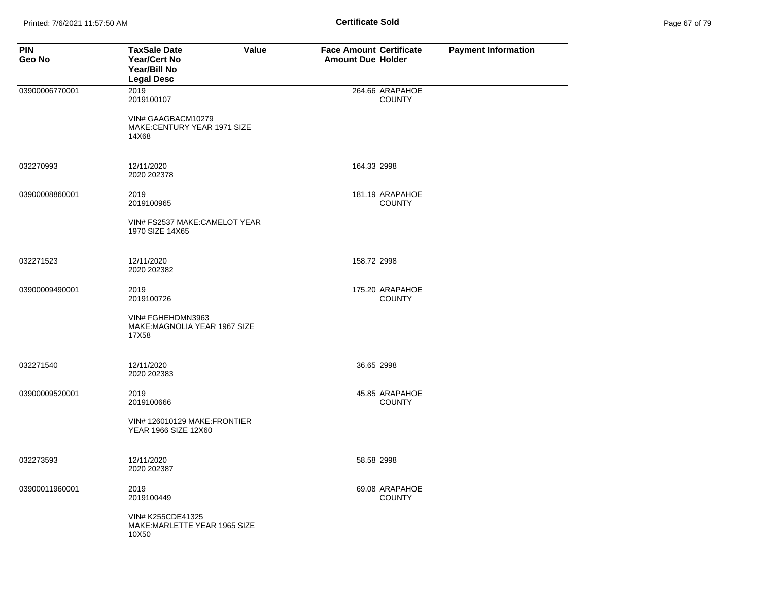| Page 67 of 79 |  |  |  |  |
|---------------|--|--|--|--|
|---------------|--|--|--|--|

| <b>PIN</b><br>Geo No | Value<br><b>TaxSale Date</b><br><b>Year/Cert No</b><br>Year/Bill No<br><b>Legal Desc</b> | <b>Face Amount Certificate</b><br><b>Amount Due Holder</b> | <b>Payment Information</b> |
|----------------------|------------------------------------------------------------------------------------------|------------------------------------------------------------|----------------------------|
| 03900006770001       | 2019<br>2019100107                                                                       | 264.66 ARAPAHOE<br><b>COUNTY</b>                           |                            |
|                      | VIN# GAAGBACM10279<br>MAKE:CENTURY YEAR 1971 SIZE<br>14X68                               |                                                            |                            |
| 032270993            | 12/11/2020<br>2020 202378                                                                | 164.33 2998                                                |                            |
| 03900008860001       | 2019<br>2019100965                                                                       | 181.19 ARAPAHOE<br><b>COUNTY</b>                           |                            |
|                      | VIN# FS2537 MAKE:CAMELOT YEAR<br>1970 SIZE 14X65                                         |                                                            |                            |
| 032271523            | 12/11/2020<br>2020 202382                                                                | 158.72 2998                                                |                            |
| 03900009490001       | 2019<br>2019100726                                                                       | 175.20 ARAPAHOE<br><b>COUNTY</b>                           |                            |
|                      | VIN# FGHEHDMN3963<br>MAKE: MAGNOLIA YEAR 1967 SIZE<br>17X58                              |                                                            |                            |
| 032271540            | 12/11/2020<br>2020 202383                                                                | 36.65 2998                                                 |                            |
| 03900009520001       | 2019<br>2019100666                                                                       | 45.85 ARAPAHOE<br><b>COUNTY</b>                            |                            |
|                      | VIN# 126010129 MAKE:FRONTIER<br>YEAR 1966 SIZE 12X60                                     |                                                            |                            |
| 032273593            | 12/11/2020<br>2020 202387                                                                | 58.58 2998                                                 |                            |
| 03900011960001       | 2019<br>2019100449                                                                       | 69.08 ARAPAHOE<br><b>COUNTY</b>                            |                            |
|                      | VIN# K255CDE41325<br>MAKE: MARLETTE YEAR 1965 SIZE<br>10X50                              |                                                            |                            |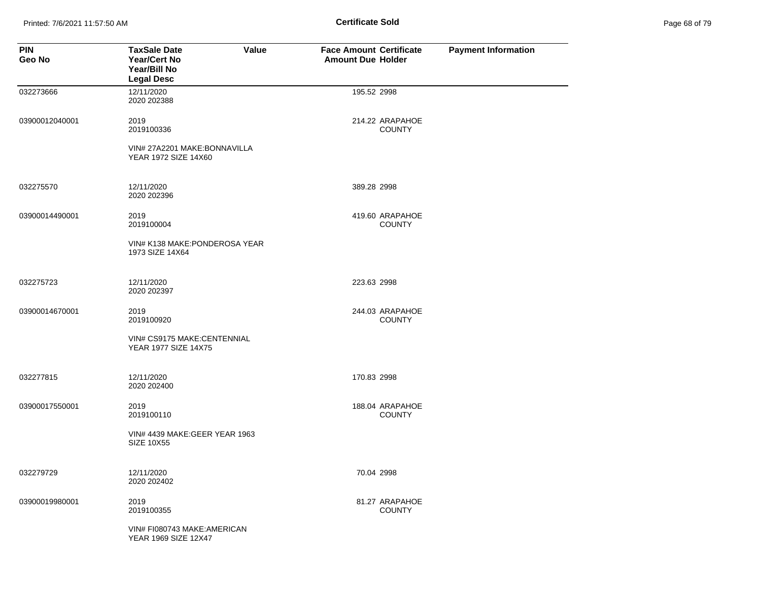Printed: 7/6/2021 11:57:50 AM **Page 11:57:50 AM** Page 68 of 2014 **Certificate Sold** 

| Page 68 of 79 |  |  |  |
|---------------|--|--|--|
|---------------|--|--|--|

| <b>PIN</b><br>Geo No | <b>TaxSale Date</b><br><b>Year/Cert No</b><br>Year/Bill No<br><b>Legal Desc</b> | Value | <b>Face Amount Certificate</b><br><b>Amount Due Holder</b> |                                  | <b>Payment Information</b> |
|----------------------|---------------------------------------------------------------------------------|-------|------------------------------------------------------------|----------------------------------|----------------------------|
| 032273666            | 12/11/2020<br>2020 202388                                                       |       | 195.52 2998                                                |                                  |                            |
| 03900012040001       | 2019<br>2019100336                                                              |       |                                                            | 214.22 ARAPAHOE<br><b>COUNTY</b> |                            |
|                      | VIN# 27A2201 MAKE:BONNAVILLA<br>YEAR 1972 SIZE 14X60                            |       |                                                            |                                  |                            |
| 032275570            | 12/11/2020<br>2020 202396                                                       |       | 389.28 2998                                                |                                  |                            |
| 03900014490001       | 2019<br>2019100004                                                              |       |                                                            | 419.60 ARAPAHOE<br><b>COUNTY</b> |                            |
|                      | VIN# K138 MAKE: PONDEROSA YEAR<br>1973 SIZE 14X64                               |       |                                                            |                                  |                            |
| 032275723            | 12/11/2020<br>2020 202397                                                       |       | 223.63 2998                                                |                                  |                            |
| 03900014670001       | 2019<br>2019100920                                                              |       |                                                            | 244.03 ARAPAHOE<br><b>COUNTY</b> |                            |
|                      | VIN# CS9175 MAKE:CENTENNIAL<br>YEAR 1977 SIZE 14X75                             |       |                                                            |                                  |                            |
| 032277815            | 12/11/2020<br>2020 202400                                                       |       | 170.83 2998                                                |                                  |                            |
| 03900017550001       | 2019<br>2019100110                                                              |       |                                                            | 188.04 ARAPAHOE<br><b>COUNTY</b> |                            |
|                      | VIN# 4439 MAKE: GEER YEAR 1963<br><b>SIZE 10X55</b>                             |       |                                                            |                                  |                            |
| 032279729            | 12/11/2020<br>2020 202402                                                       |       | 70.04 2998                                                 |                                  |                            |
| 03900019980001       | 2019<br>2019100355                                                              |       |                                                            | 81.27 ARAPAHOE<br><b>COUNTY</b>  |                            |
|                      | VIN# FI080743 MAKE: AMERICAN<br>YEAR 1969 SIZE 12X47                            |       |                                                            |                                  |                            |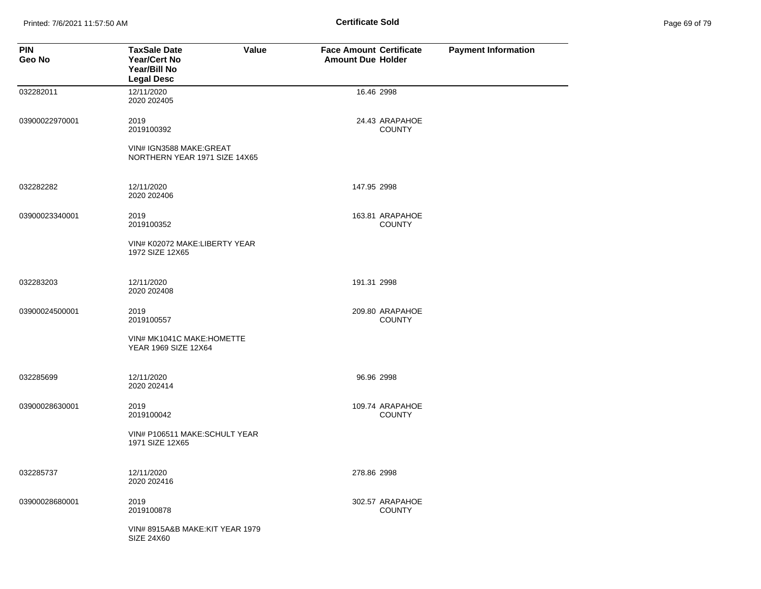Printed: 7/6/2021 11:57:50 AM **Page 11:57:50 AM** Page 69 of 79 of 79 of 79 of 79 of 79 of 79 of 79 of 79 of 79 of 79 of 79 of 79 of 79 of 79 of 79 of 79 of 79 of 79 of 79 of 79 of 79 of 79 of 79 of 79 of 79 of 79 of 79 of

| Page 69 of 79 |  |  |  |
|---------------|--|--|--|
|---------------|--|--|--|

| <b>PIN</b><br>Geo No | <b>Value</b><br><b>TaxSale Date</b><br><b>Year/Cert No</b><br>Year/Bill No<br><b>Legal Desc</b> | <b>Face Amount Certificate</b><br><b>Amount Due Holder</b> |                                  | <b>Payment Information</b> |
|----------------------|-------------------------------------------------------------------------------------------------|------------------------------------------------------------|----------------------------------|----------------------------|
| 032282011            | 12/11/2020<br>2020 202405                                                                       | 16.46 2998                                                 |                                  |                            |
| 03900022970001       | 2019<br>2019100392                                                                              |                                                            | 24.43 ARAPAHOE<br><b>COUNTY</b>  |                            |
|                      | VIN# IGN3588 MAKE: GREAT<br>NORTHERN YEAR 1971 SIZE 14X65                                       |                                                            |                                  |                            |
| 032282282            | 12/11/2020<br>2020 202406                                                                       | 147.95 2998                                                |                                  |                            |
| 03900023340001       | 2019<br>2019100352                                                                              |                                                            | 163.81 ARAPAHOE<br><b>COUNTY</b> |                            |
|                      | VIN# K02072 MAKE:LIBERTY YEAR<br>1972 SIZE 12X65                                                |                                                            |                                  |                            |
| 032283203            | 12/11/2020<br>2020 202408                                                                       | 191.31 2998                                                |                                  |                            |
| 03900024500001       | 2019<br>2019100557                                                                              |                                                            | 209.80 ARAPAHOE<br><b>COUNTY</b> |                            |
|                      | VIN# MK1041C MAKE: HOMETTE<br>YEAR 1969 SIZE 12X64                                              |                                                            |                                  |                            |
| 032285699            | 12/11/2020<br>2020 202414                                                                       | 96.96 2998                                                 |                                  |                            |
| 03900028630001       | 2019<br>2019100042                                                                              |                                                            | 109.74 ARAPAHOE<br><b>COUNTY</b> |                            |
|                      | VIN# P106511 MAKE:SCHULT YEAR<br>1971 SIZE 12X65                                                |                                                            |                                  |                            |
| 032285737            | 12/11/2020<br>2020 202416                                                                       | 278.86 2998                                                |                                  |                            |
| 03900028680001       | 2019<br>2019100878                                                                              |                                                            | 302.57 ARAPAHOE<br><b>COUNTY</b> |                            |
|                      | VIN# 8915A&B MAKE:KIT YEAR 1979<br>SIZE 24X60                                                   |                                                            |                                  |                            |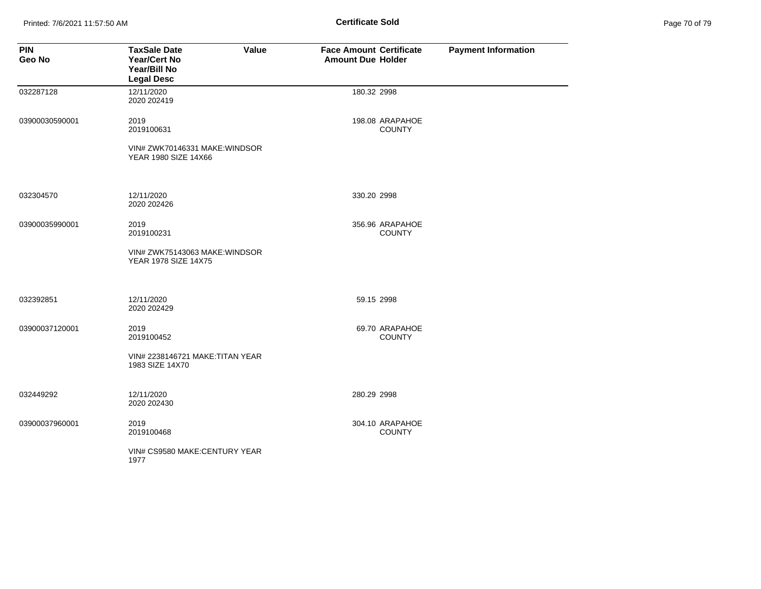Printed: 7/6/2021 11:57:50 AM **Page 11:57:50 AM** Page 71:57:50 AM

| Page 70 of 79 |  |
|---------------|--|
|---------------|--|

| <b>PIN</b><br>Geo No | <b>TaxSale Date</b><br>Value<br><b>Year/Cert No</b><br>Year/Bill No<br><b>Legal Desc</b> | <b>Face Amount Certificate</b><br><b>Amount Due Holder</b> |                                  | <b>Payment Information</b> |
|----------------------|------------------------------------------------------------------------------------------|------------------------------------------------------------|----------------------------------|----------------------------|
| 032287128            | 12/11/2020<br>2020 202419                                                                | 180.32 2998                                                |                                  |                            |
| 03900030590001       | 2019<br>2019100631                                                                       |                                                            | 198.08 ARAPAHOE<br><b>COUNTY</b> |                            |
|                      | VIN# ZWK70146331 MAKE: WINDSOR<br>YEAR 1980 SIZE 14X66                                   |                                                            |                                  |                            |
| 032304570            | 12/11/2020<br>2020 2024 26                                                               | 330.20 2998                                                |                                  |                            |
| 03900035990001       | 2019<br>2019100231                                                                       |                                                            | 356.96 ARAPAHOE<br><b>COUNTY</b> |                            |
|                      | VIN# ZWK75143063 MAKE: WINDSOR<br>YEAR 1978 SIZE 14X75                                   |                                                            |                                  |                            |
| 032392851            | 12/11/2020<br>2020 202429                                                                |                                                            | 59.15 2998                       |                            |
| 03900037120001       | 2019<br>2019100452                                                                       |                                                            | 69.70 ARAPAHOE<br><b>COUNTY</b>  |                            |
|                      | VIN# 2238146721 MAKE: TITAN YEAR<br>1983 SIZE 14X70                                      |                                                            |                                  |                            |
| 032449292            | 12/11/2020<br>2020 202430                                                                | 280.29 2998                                                |                                  |                            |
| 03900037960001       | 2019<br>2019100468                                                                       |                                                            | 304.10 ARAPAHOE<br><b>COUNTY</b> |                            |
|                      | VIN# CS9580 MAKE:CENTURY YEAR<br>1977                                                    |                                                            |                                  |                            |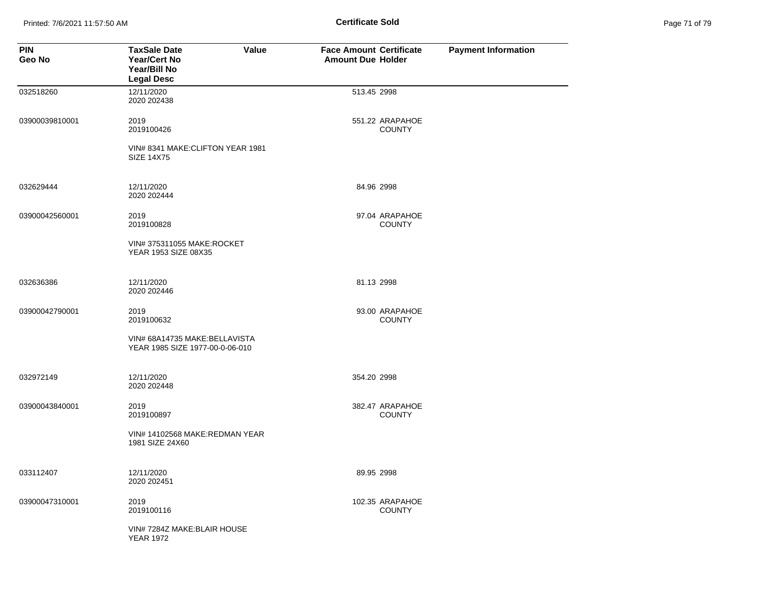Printed: 7/6/2021 11:57:50 AM **Page 11:57:50 AM** Page 71 of 71 of 71 of 79 of 71 of 79 of 79 of 79 of 79 of 79 of 7

| <b>PIN</b><br>Geo No | <b>TaxSale Date</b><br><b>Year/Cert No</b><br>Year/Bill No<br><b>Legal Desc</b> | Value | <b>Face Amount Certificate</b><br><b>Amount Due Holder</b> |                                  | <b>Payment Information</b> |
|----------------------|---------------------------------------------------------------------------------|-------|------------------------------------------------------------|----------------------------------|----------------------------|
| 032518260            | 12/11/2020<br>2020 202438                                                       |       | 513.45 2998                                                |                                  |                            |
| 03900039810001       | 2019<br>2019100426                                                              |       |                                                            | 551.22 ARAPAHOE<br><b>COUNTY</b> |                            |
|                      | VIN# 8341 MAKE: CLIFTON YEAR 1981<br><b>SIZE 14X75</b>                          |       |                                                            |                                  |                            |
| 032629444            | 12/11/2020<br>2020 202444                                                       |       | 84.96 2998                                                 |                                  |                            |
| 03900042560001       | 2019<br>2019100828                                                              |       |                                                            | 97.04 ARAPAHOE<br><b>COUNTY</b>  |                            |
|                      | VIN# 375311055 MAKE:ROCKET<br>YEAR 1953 SIZE 08X35                              |       |                                                            |                                  |                            |
| 032636386            | 12/11/2020<br>2020 202446                                                       |       | 81.13 2998                                                 |                                  |                            |
| 03900042790001       | 2019<br>2019100632                                                              |       |                                                            | 93.00 ARAPAHOE<br><b>COUNTY</b>  |                            |
|                      | VIN# 68A14735 MAKE: BELLAVISTA<br>YEAR 1985 SIZE 1977-00-0-06-010               |       |                                                            |                                  |                            |
| 032972149            | 12/11/2020<br>2020 202448                                                       |       | 354.20 2998                                                |                                  |                            |
| 03900043840001       | 2019<br>2019100897                                                              |       |                                                            | 382.47 ARAPAHOE<br><b>COUNTY</b> |                            |
|                      | VIN# 14102568 MAKE:REDMAN YEAR<br>1981 SIZE 24X60                               |       |                                                            |                                  |                            |
| 033112407            | 12/11/2020<br>2020 202451                                                       |       | 89.95 2998                                                 |                                  |                            |
| 03900047310001       | 2019<br>2019100116                                                              |       |                                                            | 102.35 ARAPAHOE<br><b>COUNTY</b> |                            |
|                      | VIN# 7284Z MAKE: BLAIR HOUSE<br><b>YEAR 1972</b>                                |       |                                                            |                                  |                            |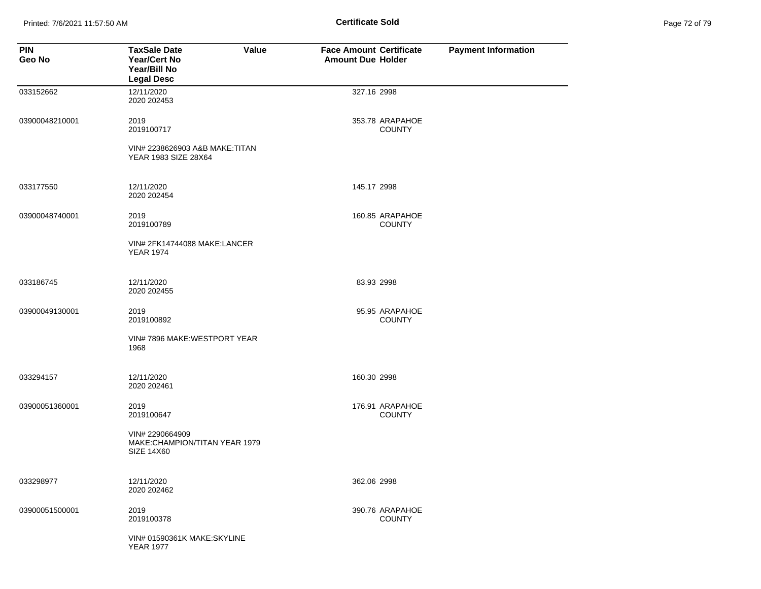Printed: 7/6/2021 11:57:50 AM **Page 12 of 79 of 79 of 79 of 79 of 79 of 79 of 79 of 79 of 79 of 79 of 79 of 79 of 79 of 79 of 79 of 79 of 79 of 79 of 79 of 79 of 79 of 79 of 79 of 79 of 79 of 79 of 79 of 79 of 79 of 79 of** 

| <b>PIN</b><br>Geo No | <b>TaxSale Date</b><br>Value<br><b>Year/Cert No</b><br>Year/Bill No<br><b>Legal Desc</b> | <b>Face Amount Certificate</b><br><b>Amount Due Holder</b> | <b>Payment Information</b> |
|----------------------|------------------------------------------------------------------------------------------|------------------------------------------------------------|----------------------------|
| 033152662            | 12/11/2020<br>2020 202453                                                                | 327.16 2998                                                |                            |
| 03900048210001       | 2019<br>2019100717                                                                       | 353.78 ARAPAHOE<br><b>COUNTY</b>                           |                            |
|                      | VIN# 2238626903 A&B MAKE: TITAN<br>YEAR 1983 SIZE 28X64                                  |                                                            |                            |
| 033177550            | 12/11/2020<br>2020 202454                                                                | 145.17 2998                                                |                            |
| 03900048740001       | 2019<br>2019100789                                                                       | 160.85 ARAPAHOE<br><b>COUNTY</b>                           |                            |
|                      | VIN# 2FK14744088 MAKE:LANCER<br><b>YEAR 1974</b>                                         |                                                            |                            |
| 033186745            | 12/11/2020<br>2020 202455                                                                | 83.93 2998                                                 |                            |
| 03900049130001       | 2019<br>2019100892                                                                       | 95.95 ARAPAHOE<br><b>COUNTY</b>                            |                            |
|                      | VIN# 7896 MAKE:WESTPORT YEAR<br>1968                                                     |                                                            |                            |
| 033294157            | 12/11/2020<br>2020 202461                                                                | 160.30 2998                                                |                            |
| 03900051360001       | 2019<br>2019100647                                                                       | 176.91 ARAPAHOE<br><b>COUNTY</b>                           |                            |
|                      | VIN# 2290664909<br>MAKE:CHAMPION/TITAN YEAR 1979<br><b>SIZE 14X60</b>                    |                                                            |                            |
| 033298977            | 12/11/2020<br>2020 202462                                                                | 362.06 2998                                                |                            |
| 03900051500001       | 2019<br>2019100378                                                                       | 390.76 ARAPAHOE<br><b>COUNTY</b>                           |                            |
|                      | VIN# 01590361K MAKE:SKYLINE<br><b>YEAR 1977</b>                                          |                                                            |                            |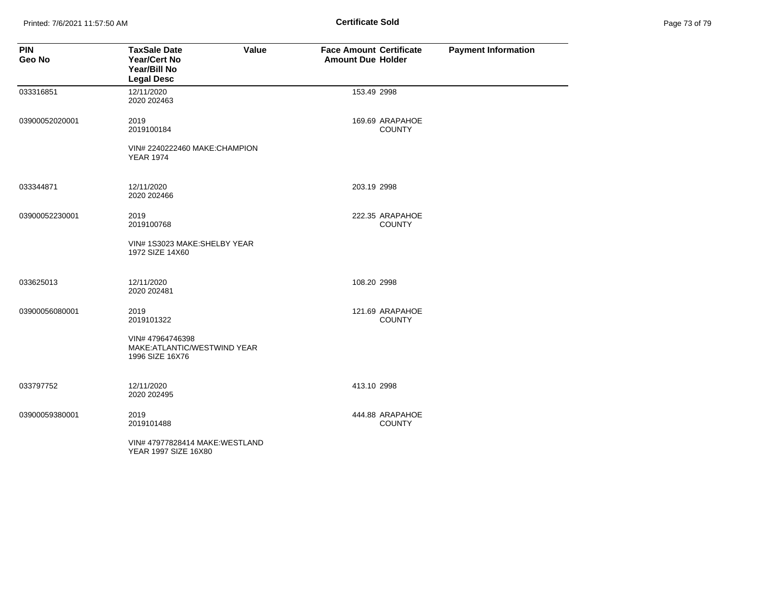Printed: 7/6/2021 11:57:50 AM **Page 12.1 of 79 of 79 of 79 of 79 of 79 of 79 of 79 of 79 of 79 of 79 of 79 of 79 of 79 of 79 of 79 of 79 of 79 of 79 of 79 of 79 of 79 of 79 of 79 of 79 of 79 of 79 of 79 of 79 of 79 of 79 o** 

| Page 73 of 79 |  |
|---------------|--|
|---------------|--|

| <b>PIN</b><br>Geo No | <b>TaxSale Date</b><br>Value<br>Year/Cert No<br>Year/Bill No<br><b>Legal Desc</b> | <b>Face Amount Certificate</b><br><b>Amount Due Holder</b> | <b>Payment Information</b> |
|----------------------|-----------------------------------------------------------------------------------|------------------------------------------------------------|----------------------------|
| 033316851            | 12/11/2020<br>2020 202463                                                         | 153.49 2998                                                |                            |
| 03900052020001       | 2019<br>2019100184                                                                | 169.69 ARAPAHOE<br><b>COUNTY</b>                           |                            |
|                      | VIN# 2240222460 MAKE:CHAMPION<br><b>YEAR 1974</b>                                 |                                                            |                            |
| 033344871            | 12/11/2020<br>2020 202466                                                         | 203.19 2998                                                |                            |
| 03900052230001       | 2019<br>2019100768                                                                | 222.35 ARAPAHOE<br><b>COUNTY</b>                           |                            |
|                      | VIN# 1S3023 MAKE:SHELBY YEAR<br>1972 SIZE 14X60                                   |                                                            |                            |
| 033625013            | 12/11/2020<br>2020 202481                                                         | 108.20 2998                                                |                            |
| 03900056080001       | 2019<br>2019101322                                                                | 121.69 ARAPAHOE<br><b>COUNTY</b>                           |                            |
|                      | VIN# 47964746398<br>MAKE:ATLANTIC/WESTWIND YEAR<br>1996 SIZE 16X76                |                                                            |                            |
| 033797752            | 12/11/2020<br>2020 202495                                                         | 413.10 2998                                                |                            |
| 03900059380001       | 2019<br>2019101488                                                                | 444.88 ARAPAHOE<br><b>COUNTY</b>                           |                            |
|                      | VIN# 47977828414 MAKE: WESTLAND<br>YEAR 1997 SIZE 16X80                           |                                                            |                            |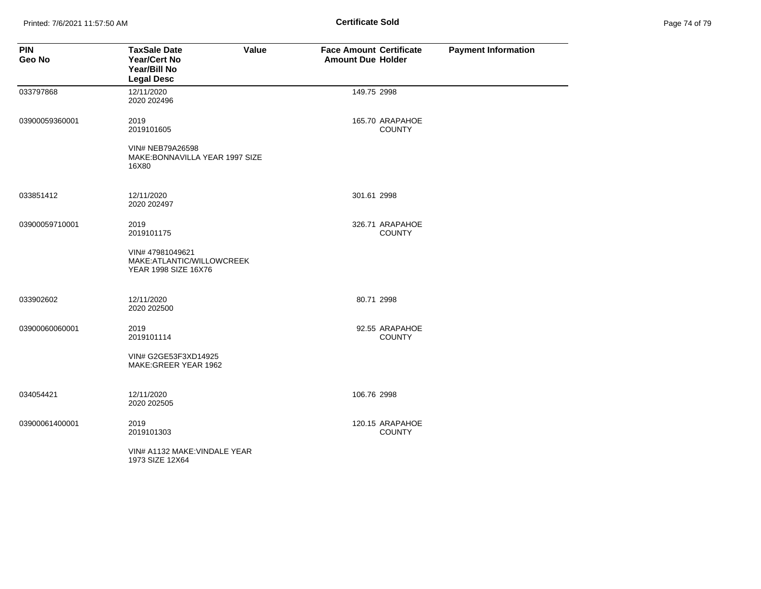Printed: 7/6/2021 11:57:50 AM **Page 11:57:50 AM** Page 74 of 79 of 79 of 79 of 79 of 79 of 79 of 79 of 79 of 79 of 79 of 79 of 79 of 79 of 79 of 79 of 79 of 79 of 79 of 79 of 79 of 79 of 79 of 79 of 79 of 79 of 79 of 79 of

| Page 74 of 79 |  |
|---------------|--|
|---------------|--|

| <b>PIN</b><br>Geo No | <b>TaxSale Date</b><br>Value<br><b>Year/Cert No</b><br>Year/Bill No<br><b>Legal Desc</b> | <b>Face Amount Certificate</b><br><b>Amount Due Holder</b> | <b>Payment Information</b> |
|----------------------|------------------------------------------------------------------------------------------|------------------------------------------------------------|----------------------------|
| 033797868            | 12/11/2020<br>2020 202496                                                                | 149.75 2998                                                |                            |
| 03900059360001       | 2019<br>2019101605                                                                       | 165.70 ARAPAHOE<br><b>COUNTY</b>                           |                            |
|                      | VIN# NEB79A26598<br>MAKE: BONNAVILLA YEAR 1997 SIZE<br>16X80                             |                                                            |                            |
| 033851412            | 12/11/2020<br>2020 202497                                                                | 301.61 2998                                                |                            |
| 03900059710001       | 2019<br>2019101175                                                                       | 326.71 ARAPAHOE<br><b>COUNTY</b>                           |                            |
|                      | VIN# 47981049621<br>MAKE:ATLANTIC/WILLOWCREEK<br>YEAR 1998 SIZE 16X76                    |                                                            |                            |
| 033902602            | 12/11/2020<br>2020 202500                                                                | 80.71 2998                                                 |                            |
| 03900060060001       | 2019<br>2019101114                                                                       | 92.55 ARAPAHOE<br><b>COUNTY</b>                            |                            |
|                      | VIN# G2GE53F3XD14925<br>MAKE: GREER YEAR 1962                                            |                                                            |                            |
| 034054421            | 12/11/2020<br>2020 202505                                                                | 106.76 2998                                                |                            |
| 03900061400001       | 2019<br>2019101303                                                                       | 120.15 ARAPAHOE<br><b>COUNTY</b>                           |                            |
|                      | VIN# A1132 MAKE: VINDALE YEAR<br>1973 SIZE 12X64                                         |                                                            |                            |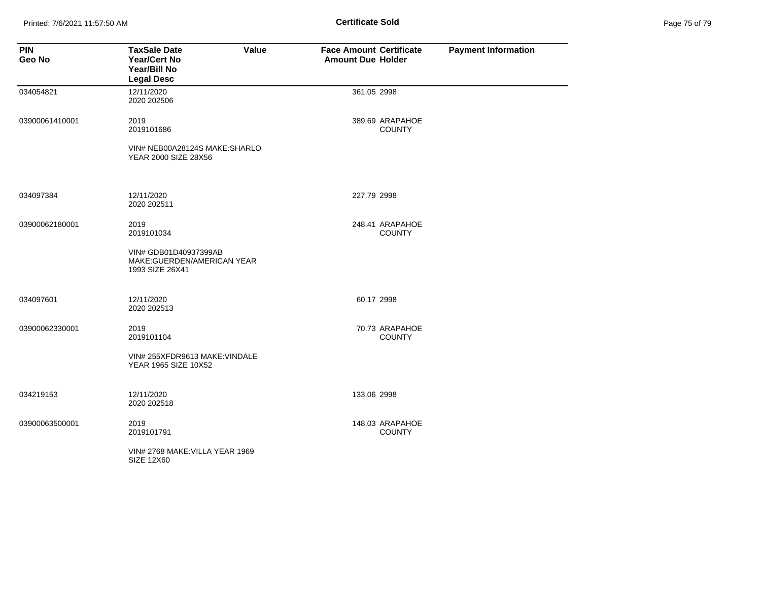Printed: 7/6/2021 11:57:50 AM **Page 11:57:50 AM** Page 75 of 79 of 79 of 79 of 79 of 79 of 79 of 79 of 79 of 79 of 79 of 79 of 79 of 79 of 79 of 79 of 79 of 79 of 79 of 79 of 79 of 79 of 79 of 79 of 79 of 79 of 79 of 79 of

| Page 75 of 79 |  |
|---------------|--|
|---------------|--|

| <b>PIN</b><br>Geo No | <b>TaxSale Date</b><br><b>Year/Cert No</b><br>Year/Bill No<br><b>Legal Desc</b> | Value | <b>Face Amount Certificate</b><br><b>Amount Due Holder</b> |                                  | <b>Payment Information</b> |
|----------------------|---------------------------------------------------------------------------------|-------|------------------------------------------------------------|----------------------------------|----------------------------|
| 034054821            | 12/11/2020<br>2020 202506                                                       |       | 361.05 2998                                                |                                  |                            |
| 03900061410001       | 2019<br>2019101686                                                              |       |                                                            | 389.69 ARAPAHOE<br><b>COUNTY</b> |                            |
|                      | VIN# NEB00A28124S MAKE:SHARLO<br>YEAR 2000 SIZE 28X56                           |       |                                                            |                                  |                            |
| 034097384            | 12/11/2020<br>2020 202511                                                       |       | 227.79 2998                                                |                                  |                            |
| 03900062180001       | 2019<br>2019101034                                                              |       |                                                            | 248.41 ARAPAHOE<br><b>COUNTY</b> |                            |
|                      | VIN# GDB01D40937399AB<br>MAKE:GUERDEN/AMERICAN YEAR<br>1993 SIZE 26X41          |       |                                                            |                                  |                            |
| 034097601            | 12/11/2020<br>2020 202513                                                       |       | 60.17 2998                                                 |                                  |                            |
| 03900062330001       | 2019<br>2019101104                                                              |       |                                                            | 70.73 ARAPAHOE<br><b>COUNTY</b>  |                            |
|                      | VIN# 255XFDR9613 MAKE: VINDALE<br>YEAR 1965 SIZE 10X52                          |       |                                                            |                                  |                            |
| 034219153            | 12/11/2020<br>2020 202518                                                       |       | 133.06 2998                                                |                                  |                            |
| 03900063500001       | 2019<br>2019101791                                                              |       |                                                            | 148.03 ARAPAHOE<br><b>COUNTY</b> |                            |
|                      | VIN# 2768 MAKE:VILLA YEAR 1969<br>SIZE 12X60                                    |       |                                                            |                                  |                            |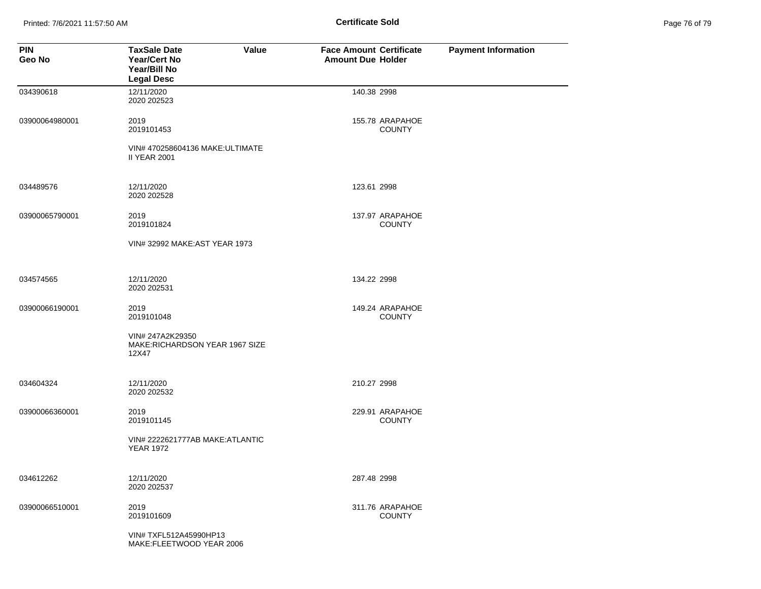Printed: 7/6/2021 11:57:50 AM **Page 11:57:50 AM** Page 76 of 79 of 79 of 79 of 79 of 79 of 79 of 79 of 79 of 79 of 79 of 79 of 79 of 79 of 79 of 79 of 79 of 79 of 79 of 79 of 79 of 79 of 79 of 79 of 79 of 79 of 79 of 79 of

| Page 76 of 79 |  |
|---------------|--|
|---------------|--|

| <b>PIN</b><br>Geo No | <b>TaxSale Date</b><br>Value<br>Year/Cert No<br>Year/Bill No<br><b>Legal Desc</b> | <b>Face Amount Certificate</b><br><b>Amount Due Holder</b> |                                  | <b>Payment Information</b> |
|----------------------|-----------------------------------------------------------------------------------|------------------------------------------------------------|----------------------------------|----------------------------|
| 034390618            | 12/11/2020<br>2020 202523                                                         | 140.38 2998                                                |                                  |                            |
| 03900064980001       | 2019<br>2019101453                                                                |                                                            | 155.78 ARAPAHOE<br><b>COUNTY</b> |                            |
|                      | VIN# 470258604136 MAKE: ULTIMATE<br><b>II YEAR 2001</b>                           |                                                            |                                  |                            |
| 034489576            | 12/11/2020<br>2020 202528                                                         | 123.61 2998                                                |                                  |                            |
| 03900065790001       | 2019<br>2019101824                                                                |                                                            | 137.97 ARAPAHOE<br><b>COUNTY</b> |                            |
|                      | VIN# 32992 MAKE: AST YEAR 1973                                                    |                                                            |                                  |                            |
| 034574565            | 12/11/2020<br>2020 202531                                                         | 134.22 2998                                                |                                  |                            |
| 03900066190001       | 2019<br>2019101048                                                                |                                                            | 149.24 ARAPAHOE<br><b>COUNTY</b> |                            |
|                      | VIN# 247A2K29350<br>MAKE:RICHARDSON YEAR 1967 SIZE<br>12X47                       |                                                            |                                  |                            |
| 034604324            | 12/11/2020<br>2020 202532                                                         | 210.27 2998                                                |                                  |                            |
| 03900066360001       | 2019<br>2019101145                                                                |                                                            | 229.91 ARAPAHOE<br><b>COUNTY</b> |                            |
|                      | VIN# 2222621777AB MAKE: ATLANTIC<br><b>YEAR 1972</b>                              |                                                            |                                  |                            |
| 034612262            | 12/11/2020<br>2020 202537                                                         | 287.48 2998                                                |                                  |                            |
| 03900066510001       | 2019<br>2019101609                                                                |                                                            | 311.76 ARAPAHOE<br><b>COUNTY</b> |                            |
|                      | VIN# TXFL512A45990HP13<br>MAKE:FLEETWOOD YEAR 2006                                |                                                            |                                  |                            |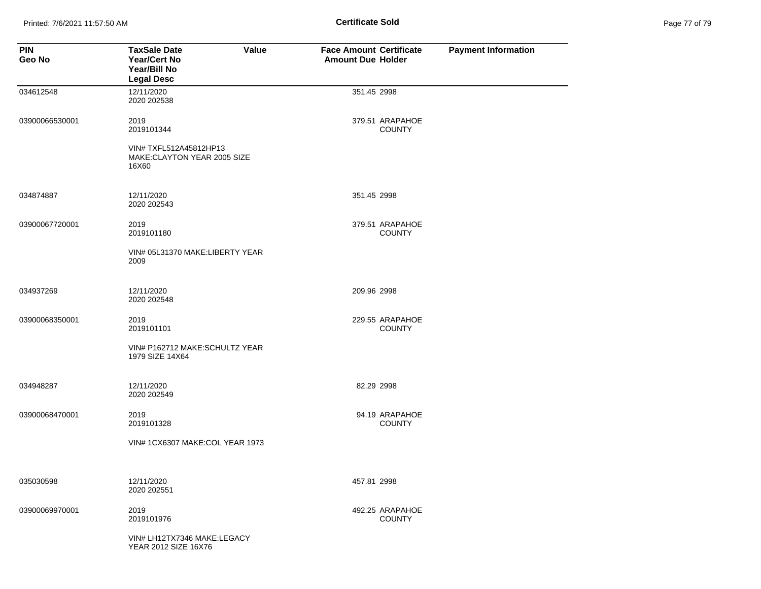Printed: 7/6/2021 11:57:50 AM **Page 11:57:50 AM** Page 71:00 **Certificate Sold** 

| <b>PIN</b><br>Geo No | <b>TaxSale Date</b><br>Value<br><b>Year/Cert No</b><br>Year/Bill No<br><b>Legal Desc</b> | <b>Face Amount Certificate</b><br><b>Amount Due Holder</b> | <b>Payment Information</b> |
|----------------------|------------------------------------------------------------------------------------------|------------------------------------------------------------|----------------------------|
| 034612548            | 12/11/2020<br>2020 202538                                                                | 351.45 2998                                                |                            |
| 03900066530001       | 2019<br>2019101344                                                                       | 379.51 ARAPAHOE<br><b>COUNTY</b>                           |                            |
|                      | VIN# TXFL512A45812HP13<br>MAKE:CLAYTON YEAR 2005 SIZE<br>16X60                           |                                                            |                            |
| 034874887            | 12/11/2020<br>2020 202543                                                                | 351.45 2998                                                |                            |
| 03900067720001       | 2019<br>2019101180                                                                       | 379.51 ARAPAHOE<br><b>COUNTY</b>                           |                            |
|                      | VIN# 05L31370 MAKE:LIBERTY YEAR<br>2009                                                  |                                                            |                            |
| 034937269            | 12/11/2020<br>2020 202548                                                                | 209.96 2998                                                |                            |
| 03900068350001       | 2019<br>2019101101                                                                       | 229.55 ARAPAHOE<br><b>COUNTY</b>                           |                            |
|                      | VIN# P162712 MAKE:SCHULTZ YEAR<br>1979 SIZE 14X64                                        |                                                            |                            |
| 034948287            | 12/11/2020<br>2020 202549                                                                | 82.29 2998                                                 |                            |
| 03900068470001       | 2019<br>2019101328                                                                       | 94.19 ARAPAHOE<br><b>COUNTY</b>                            |                            |
|                      | VIN# 1CX6307 MAKE:COL YEAR 1973                                                          |                                                            |                            |
| 035030598            | 12/11/2020<br>2020 202551                                                                | 457.81 2998                                                |                            |
| 03900069970001       | 2019<br>2019101976                                                                       | 492.25 ARAPAHOE<br><b>COUNTY</b>                           |                            |
|                      | VIN# LH12TX7346 MAKE:LEGACY<br>YEAR 2012 SIZE 16X76                                      |                                                            |                            |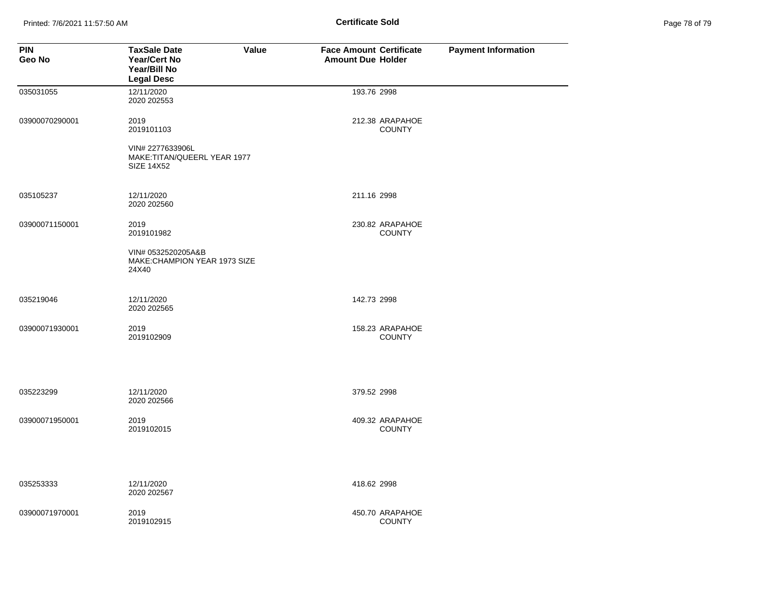Printed: 7/6/2021 11:57:50 AM **Page 11:57:50 AM** Page 78 of 79 of 79 of 79 of 79 of 79 of 79 of 79 of 79 of 79 of 79 of 79 of 79 of 79 of 79 of 79 of 79 of 79 of 79 of 79 of 79 of 79 of 79 of 79 of 79 of 79 of 79 of 79 of

| Page 78 of 79 |  |
|---------------|--|
|---------------|--|

| <b>PIN</b><br>Geo No | <b>TaxSale Date</b><br><b>Year/Cert No</b><br>Year/Bill No<br><b>Legal Desc</b> | <b>Value</b> | <b>Face Amount Certificate</b><br><b>Amount Due Holder</b> |                                  | <b>Payment Information</b> |
|----------------------|---------------------------------------------------------------------------------|--------------|------------------------------------------------------------|----------------------------------|----------------------------|
| 035031055            | 12/11/2020<br>2020 202553                                                       |              | 193.76 2998                                                |                                  |                            |
| 03900070290001       | 2019<br>2019101103<br>VIN# 2277633906L                                          |              |                                                            | 212.38 ARAPAHOE<br><b>COUNTY</b> |                            |
|                      | MAKE:TITAN/QUEERL YEAR 1977<br><b>SIZE 14X52</b>                                |              |                                                            |                                  |                            |
| 035105237            | 12/11/2020<br>2020 202560                                                       |              | 211.16 2998                                                |                                  |                            |
| 03900071150001       | 2019<br>2019101982                                                              |              |                                                            | 230.82 ARAPAHOE<br><b>COUNTY</b> |                            |
|                      | VIN# 0532520205A&B<br>MAKE:CHAMPION YEAR 1973 SIZE<br>24X40                     |              |                                                            |                                  |                            |
| 035219046            | 12/11/2020<br>2020 202565                                                       |              | 142.73 2998                                                |                                  |                            |
| 03900071930001       | 2019<br>2019102909                                                              |              |                                                            | 158.23 ARAPAHOE<br><b>COUNTY</b> |                            |
| 035223299            | 12/11/2020<br>2020 202566                                                       |              | 379.52 2998                                                |                                  |                            |
| 03900071950001       | 2019<br>2019102015                                                              |              |                                                            | 409.32 ARAPAHOE<br><b>COUNTY</b> |                            |
| 035253333            | 12/11/2020<br>2020 202567                                                       |              | 418.62 2998                                                |                                  |                            |
| 03900071970001       | 2019<br>2019102915                                                              |              |                                                            | 450.70 ARAPAHOE<br><b>COUNTY</b> |                            |